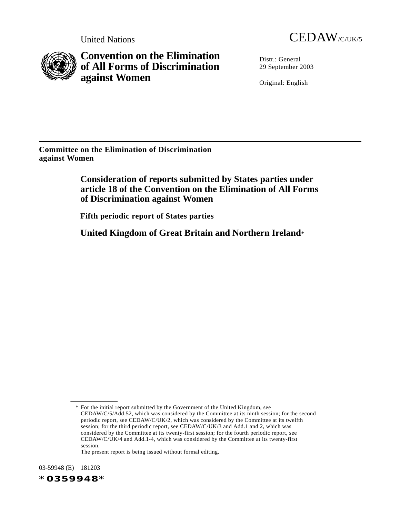



**Convention on the Elimination of All Forms of Discrimination against Women**

Distr · General 29 September 2003

Original: English

**Committee on the Elimination of Discrimination against Women**

> **Consideration of reports submitted by States parties under article 18 of the Convention on the Elimination of All Forms of Discrimination against Women**

**Fifth periodic report of States parties**

**United Kingdom of Great Britain and Northern Ireland**\*

The present report is being issued without formal editing.



<sup>\*</sup> For the initial report submitted by the Government of the United Kingdom, see CEDAW/C/5/Add.52, which was considered by the Committee at its ninth session; for the second periodic report, see CEDAW/C/UK/2, which was considered by the Committee at its twelfth session; for the third periodic report, see CEDAW/C/UK/3 and Add.1 and 2, which was considered by the Committee at its twenty-first session; for the fourth periodic report, see CEDAW/C/UK/4 and Add.1-4, which was considered by the Committee at its twenty-first session.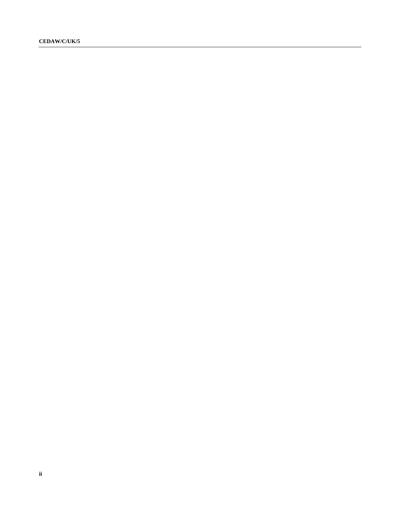**CEDAW/C/UK/5**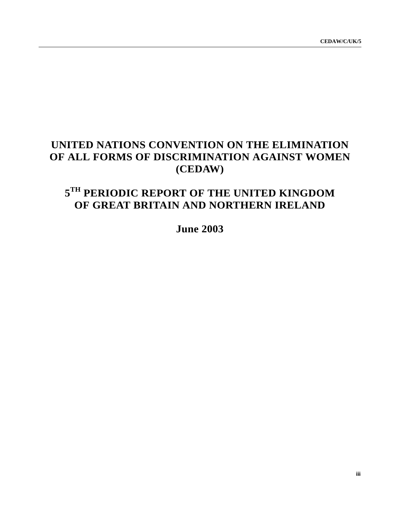# **UNITED NATIONS CONVENTION ON THE ELIMINATION OF ALL FORMS OF DISCRIMINATION AGAINST WOMEN (CEDAW)**

# **5TH PERIODIC REPORT OF THE UNITED KINGDOM OF GREAT BRITAIN AND NORTHERN IRELAND**

**June 2003**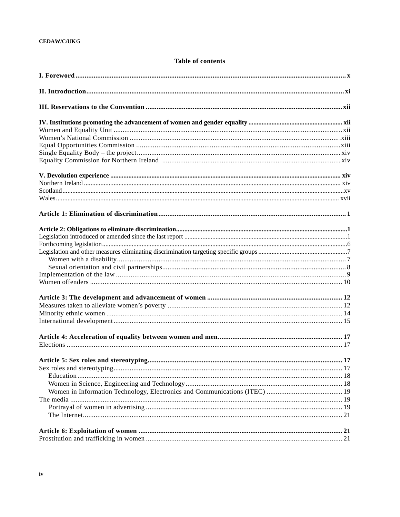# Table of contents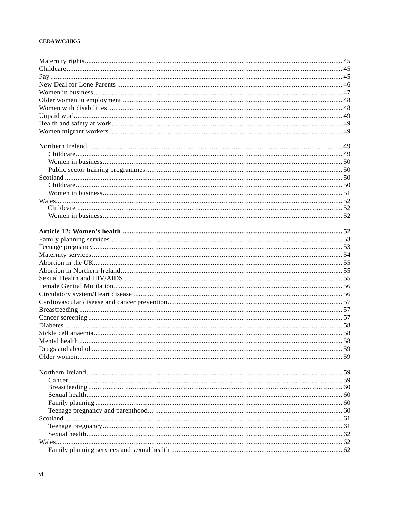# CEDAW/C/UK/5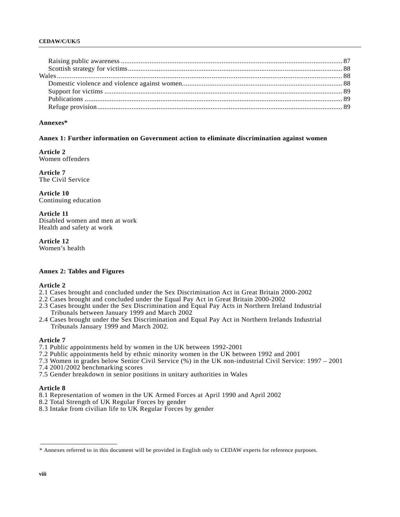## **Annexes\***

### **Annex 1: Further information on Government action to eliminate discrimination against women**

**Article 2** Women offenders

**Article 7** The Civil Service

**Article 10** Continuing education

**Article 11** Disabled women and men at work Health and safety at work

**Article 12** Women's health

## **Annex 2: Tables and Figures**

#### **Article 2**

- 2.1 Cases brought and concluded under the Sex Discrimination Act in Great Britain 2000-2002
- 2.2 Cases brought and concluded under the Equal Pay Act in Great Britain 2000-2002
- 2.3 Cases brought under the Sex Discrimination and Equal Pay Acts in Northern Ireland Industrial Tribunals between January 1999 and March 2002
- 2.4 Cases brought under the Sex Discrimination and Equal Pay Act in Northern Irelands Industrial Tribunals January 1999 and March 2002.

## **Article 7**

- 7.1 Public appointments held by women in the UK between 1992-2001
- 7.2 Public appointments held by ethnic minority women in the UK between 1992 and 2001
- 7.3 Women in grades below Senior Civil Service (%) in the UK non-industrial Civil Service: 1997 2001
- 7.4 2001/2002 benchmarking scores
- 7.5 Gender breakdown in senior positions in unitary authorities in Wales

## **Article 8**

- 8.1 Representation of women in the UK Armed Forces at April 1990 and April 2002
- 8.2 Total Strength of UK Regular Forces by gender
- 8.3 Intake from civilian life to UK Regular Forces by gender

<sup>\*</sup> Annexes referred to in this document will be provided in English only to CEDAW experts for reference purposes.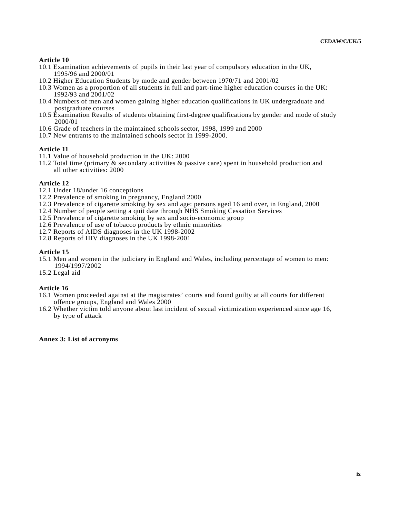### **Article 10**

- 10.1 Examination achievements of pupils in their last year of compulsory education in the UK, 1995/96 and 2000/01
- 10.2 Higher Education Students by mode and gender between 1970/71 and 2001/02
- 10.3 Women as a proportion of all students in full and part-time higher education courses in the UK: 1992/93 and 2001/02
- 10.4 Numbers of men and women gaining higher education qualifications in UK undergraduate and postgraduate courses
- 10.5 Examination Results of students obtaining first-degree qualifications by gender and mode of study 2000/01
- 10.6 Grade of teachers in the maintained schools sector, 1998, 1999 and 2000
- 10.7 New entrants to the maintained schools sector in 1999-2000.

## **Article 11**

- 11.1 Value of household production in the UK: 2000
- 11.2 Total time (primary & secondary activities & passive care) spent in household production and all other activities: 2000

# **Article 12**

- 12.1 Under 18/under 16 conceptions
- 12.2 Prevalence of smoking in pregnancy, England 2000
- 12.3 Prevalence of cigarette smoking by sex and age: persons aged 16 and over, in England, 2000
- 12.4 Number of people setting a quit date through NHS Smoking Cessation Services
- 12.5 Prevalence of cigarette smoking by sex and socio-economic group
- 12.6 Prevalence of use of tobacco products by ethnic minorities
- 12.7 Reports of AIDS diagnoses in the UK 1998-2002
- 12.8 Reports of HIV diagnoses in the UK 1998-2001

### **Article 15**

- 15.1 Men and women in the judiciary in England and Wales, including percentage of women to men: 1994/1997/2002
- 15.2 Legal aid

## **Article 16**

- 16.1 Women proceeded against at the magistrates' courts and found guilty at all courts for different offence groups, England and Wales 2000
- 16.2 Whether victim told anyone about last incident of sexual victimization experienced since age 16, by type of attack

#### **Annex 3: List of acronyms**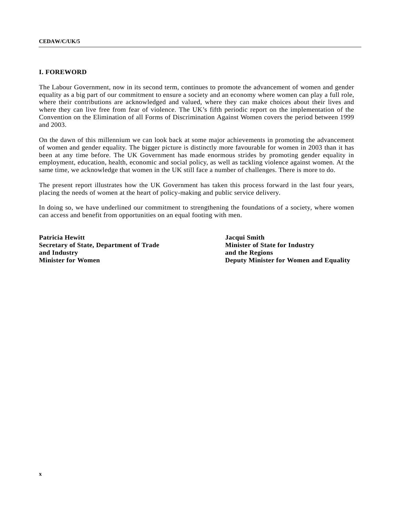## **I. FOREWORD**

The Labour Government, now in its second term, continues to promote the advancement of women and gender equality as a big part of our commitment to ensure a society and an economy where women can play a full role, where their contributions are acknowledged and valued, where they can make choices about their lives and where they can live free from fear of violence. The UK's fifth periodic report on the implementation of the Convention on the Elimination of all Forms of Discrimination Against Women covers the period between 1999 and 2003.

On the dawn of this millennium we can look back at some major achievements in promoting the advancement of women and gender equality. The bigger picture is distinctly more favourable for women in 2003 than it has been at any time before. The UK Government has made enormous strides by promoting gender equality in employment, education, health, economic and social policy, as well as tackling violence against women. At the same time, we acknowledge that women in the UK still face a number of challenges. There is more to do.

The present report illustrates how the UK Government has taken this process forward in the last four years, placing the needs of women at the heart of policy-making and public service delivery.

In doing so, we have underlined our commitment to strengthening the foundations of a society, where women can access and benefit from opportunities on an equal footing with men.

**Patricia Hewitt** *Patricia Hewitt* **<b>***Patricia Hewitt Patricia Hewitt Patricia Hewitt Patricia Hewitt Patricia Hewitt Patricia Hewitt Patricia Hewitt Patricia Hewitt Patricia Hewitt Pat* **Secretary of State, Department of Trade Minister of State for Industry and Industry and Industry and Industry and the Regions<br>
Minister for Women Server American Server American Server American Server American Server American Server American Server American Server American Server American Se** 

**Deputy Minister for Women and Equality**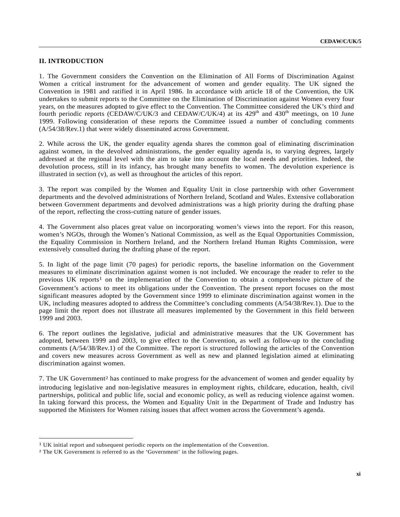# **II. INTRODUCTION**

1. The Government considers the Convention on the Elimination of All Forms of Discrimination Against Women a critical instrument for the advancement of women and gender equality. The UK signed the Convention in 1981 and ratified it in April 1986. In accordance with article 18 of the Convention, the UK undertakes to submit reports to the Committee on the Elimination of Discrimination against Women every four years, on the measures adopted to give effect to the Convention. The Committee considered the UK's third and fourth periodic reports (CEDAW/C/UK/3 and CEDAW/C/UK/4) at its 429<sup>th</sup> and 430<sup>th</sup> meetings, on 10 June 1999. Following consideration of these reports the Committee issued a number of concluding comments (A/54/38/Rev.1) that were widely disseminated across Government.

2. While across the UK, the gender equality agenda shares the common goal of eliminating discrimination against women, in the devolved administrations, the gender equality agenda is, to varying degrees, largely addressed at the regional level with the aim to take into account the local needs and priorities. Indeed, the devolution process, still in its infancy, has brought many benefits to women. The devolution experience is illustrated in section (v), as well as throughout the articles of this report.

3. The report was compiled by the Women and Equality Unit in close partnership with other Government departments and the devolved administrations of Northern Ireland, Scotland and Wales. Extensive collaboration between Government departments and devolved administrations was a high priority during the drafting phase of the report, reflecting the cross-cutting nature of gender issues.

4. The Government also places great value on incorporating women's views into the report. For this reason, women's NGOs, through the Women's National Commission, as well as the Equal Opportunities Commission, the Equality Commission in Northern Ireland, and the Northern Ireland Human Rights Commission, were extensively consulted during the drafting phase of the report.

5. In light of the page limit (70 pages) for periodic reports, the baseline information on the Government measures to eliminate discrimination against women is not included. We encourage the reader to refer to the previous UK reports<sup>1</sup> on the implementation of the Convention to obtain a comprehensive picture of the Government's actions to meet its obligations under the Convention. The present report focuses on the most significant measures adopted by the Government since 1999 to eliminate discrimination against women in the UK, including measures adopted to address the Committee's concluding comments (A/54/38/Rev.1). Due to the page limit the report does not illustrate all measures implemented by the Government in this field between 1999 and 2003.

6. The report outlines the legislative, judicial and administrative measures that the UK Government has adopted, between 1999 and 2003, to give effect to the Convention, as well as follow-up to the concluding comments (A/54/38/Rev.1) of the Committee. The report is structured following the articles of the Convention and covers new measures across Government as well as new and planned legislation aimed at eliminating discrimination against women.

7. The UK Government2 has continued to make progress for the advancement of women and gender equality by introducing legislative and non-legislative measures in employment rights, childcare, education, health, civil partnerships, political and public life, social and economic policy, as well as reducing violence against women. In taking forward this process, the Women and Equality Unit in the Department of Trade and Industry has supported the Ministers for Women raising issues that affect women across the Government's agenda.

l

<sup>1</sup> UK initial report and subsequent periodic reports on the implementation of the Convention.

<sup>2</sup> The UK Government is referred to as the 'Government' in the following pages.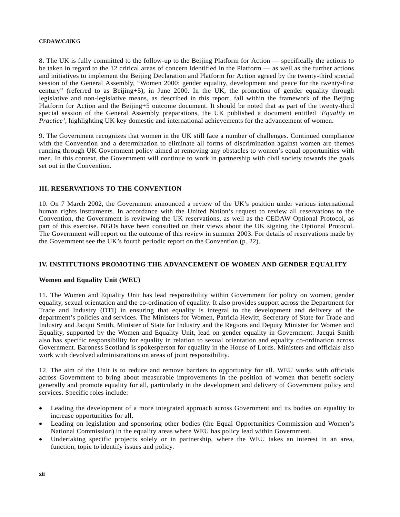8. The UK is fully committed to the follow-up to the Beijing Platform for Action — specifically the actions to be taken in regard to the 12 critical areas of concern identified in the Platform — as well as the further actions and initiatives to implement the Beijing Declaration and Platform for Action agreed by the twenty-third special session of the General Assembly, "Women 2000: gender equality, development and peace for the twenty-first century" (referred to as Beijing+5), in June 2000. In the UK, the promotion of gender equality through legislative and non-legislative means, as described in this report, fall within the framework of the Beijing Platform for Action and the Beijing+5 outcome document. It should be noted that as part of the twenty-third special session of the General Assembly preparations, the UK published a document entitled '*Equality in Practice',* highlighting UK key domestic and international achievements for the advancement of women.

9. The Government recognizes that women in the UK still face a number of challenges. Continued compliance with the Convention and a determination to eliminate all forms of discrimination against women are themes running through UK Government policy aimed at removing any obstacles to women's equal opportunities with men. In this context, the Government will continue to work in partnership with civil society towards the goals set out in the Convention.

## **III. RESERVATIONS TO THE CONVENTION**

10. On 7 March 2002, the Government announced a review of the UK's position under various international human rights instruments. In accordance with the United Nation's request to review all reservations to the Convention, the Government is reviewing the UK reservations, as well as the CEDAW Optional Protocol, as part of this exercise. NGOs have been consulted on their views about the UK signing the Optional Protocol. The Government will report on the outcome of this review in summer 2003. For details of reservations made by the Government see the UK's fourth periodic report on the Convention (p. 22).

# **IV. INSTITUTIONS PROMOTING THE ADVANCEMENT OF WOMEN AND GENDER EQUALITY**

## **Women and Equality Unit (WEU)**

11. The Women and Equality Unit has lead responsibility within Government for policy on women, gender equality, sexual orientation and the co-ordination of equality. It also provides support across the Department for Trade and Industry (DTI) in ensuring that equality is integral to the development and delivery of the department's policies and services. The Ministers for Women, Patricia Hewitt, Secretary of State for Trade and Industry and Jacqui Smith, Minister of State for Industry and the Regions and Deputy Minister for Women and Equality, supported by the Women and Equality Unit, lead on gender equality in Government. Jacqui Smith also has specific responsibility for equality in relation to sexual orientation and equality co-ordination across Government. Baroness Scotland is spokesperson for equality in the House of Lords. Ministers and officials also work with devolved administrations on areas of joint responsibility.

12. The aim of the Unit is to reduce and remove barriers to opportunity for all. WEU works with officials across Government to bring about measurable improvements in the position of women that benefit society generally and promote equality for all, particularly in the development and delivery of Government policy and services. Specific roles include:

- Leading the development of a more integrated approach across Government and its bodies on equality to increase opportunities for all.
- Leading on legislation and sponsoring other bodies (the Equal Opportunities Commission and Women's National Commission) in the equality areas where WEU has policy lead within Government.
- Undertaking specific projects solely or in partnership, where the WEU takes an interest in an area, function, topic to identify issues and policy.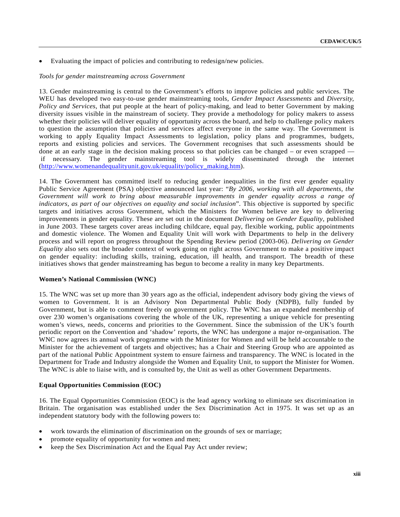• Evaluating the impact of policies and contributing to redesign/new policies.

## *Tools for gender mainstreaming across Government*

13. Gender mainstreaming is central to the Government's efforts to improve policies and public services. The WEU has developed two easy-to-use gender mainstreaming tools*, Gender Impact Assessments* and *Diversity, Policy and Services*, that put people at the heart of policy-making, and lead to better Government by making diversity issues visible in the mainstream of society. They provide a methodology for policy makers to assess whether their policies will deliver equality of opportunity across the board, and help to challenge policy makers to question the assumption that policies and services affect everyone in the same way. The Government is working to apply Equality Impact Assessments to legislation, policy plans and programmes, budgets, reports and existing policies and services. The Government recognises that such assessments should be done at an early stage in the decision making process so that policies can be changed – or even scrapped if necessary. The gender mainstreaming tool is widely disseminated through the internet (http://www.womenandequalityunit.gov.uk/equality/policy\_making.htm).

14. The Government has committed itself to reducing gender inequalities in the first ever gender equality Public Service Agreement (PSA) objective announced last year: "*By 2006, working with all departments, the Government will work to bring about measurable improvements in gender equality across a range of indicators, as part of our objectives on equality and social inclusion*". This objective is supported by specific targets and initiatives across Government, which the Ministers for Women believe are key to delivering improvements in gender equality. These are set out in the document *Delivering on Gender Equality*, published in June 2003. These targets cover areas including childcare, equal pay, flexible working, public appointments and domestic violence. The Women and Equality Unit will work with Departments to help in the delivery process and will report on progress throughout the Spending Review period (2003-06). *Delivering on Gender Equality* also sets out the broader context of work going on right across Government to make a positive impact on gender equality: including skills, training, education, ill health, and transport. The breadth of these initiatives shows that gender mainstreaming has begun to become a reality in many key Departments.

#### **Women's National Commission (WNC)**

15. The WNC was set up more than 30 years ago as the official, independent advisory body giving the views of women to Government. It is an Advisory Non Departmental Public Body (NDPB), fully funded by Government, but is able to comment freely on government policy. The WNC has an expanded membership of over 230 women's organisations covering the whole of the UK, representing a unique vehicle for presenting women's views, needs, concerns and priorities to the Government. Since the submission of the UK's fourth periodic report on the Convention and 'shadow' reports, the WNC has undergone a major re-organisation. The WNC now agrees its annual work programme with the Minister for Women and will be held accountable to the Minister for the achievement of targets and objectives; has a Chair and Steering Group who are appointed as part of the national Public Appointment system to ensure fairness and transparency. The WNC is located in the Department for Trade and Industry alongside the Women and Equality Unit, to support the Minister for Women. The WNC is able to liaise with, and is consulted by, the Unit as well as other Government Departments.

## **Equal Opportunities Commission (EOC)**

16. The Equal Opportunities Commission (EOC) is the lead agency working to eliminate sex discrimination in Britain. The organisation was established under the Sex Discrimination Act in 1975. It was set up as an independent statutory body with the following powers to:

- work towards the elimination of discrimination on the grounds of sex or marriage;
- promote equality of opportunity for women and men;
- keep the Sex Discrimination Act and the Equal Pay Act under review;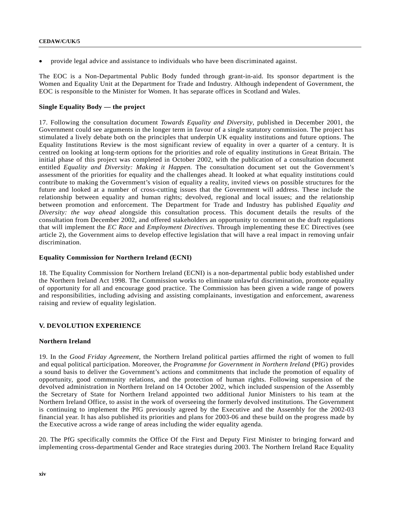• provide legal advice and assistance to individuals who have been discriminated against.

The EOC is a Non-Departmental Public Body funded through grant-in-aid. Its sponsor department is the Women and Equality Unit at the Department for Trade and Industry. Although independent of Government, the EOC is responsible to the Minister for Women. It has separate offices in Scotland and Wales.

## **Single Equality Body — the project**

17. Following the consultation document *Towards Equality and Diversity*, published in December 2001, the Government could see arguments in the longer term in favour of a single statutory commission. The project has stimulated a lively debate both on the principles that underpin UK equality institutions and future options. The Equality Institutions Review is the most significant review of equality in over a quarter of a century. It is centred on looking at long-term options for the priorities and role of equality institutions in Great Britain. The initial phase of this project was completed in October 2002, with the publication of a consultation document entitled *Equality and Diversity: Making it Happen.* The consultation document set out the Government's assessment of the priorities for equality and the challenges ahead. It looked at what equality institutions could contribute to making the Government's vision of equality a reality, invited views on possible structures for the future and looked at a number of cross-cutting issues that the Government will address. These include the relationship between equality and human rights; devolved, regional and local issues; and the relationship between promotion and enforcement. The Department for Trade and Industry has published *Equality and Diversity: the way ahead* alongside this consultation process. This document details the results of the consultation from December 2002, and offered stakeholders an opportunity to comment on the draft regulations that will implement the *EC Race* and *Employment Directives*. Through implementing these EC Directives (see article 2), the Government aims to develop effective legislation that will have a real impact in removing unfair discrimination.

## **Equality Commission for Northern Ireland (ECNI)**

18. The Equality Commission for Northern Ireland (ECNI) is a non-departmental public body established under the Northern Ireland Act 1998. The Commission works to eliminate unlawful discrimination, promote equality of opportunity for all and encourage good practice. The Commission has been given a wide range of powers and responsibilities, including advising and assisting complainants, investigation and enforcement, awareness raising and review of equality legislation.

## **V. DEVOLUTION EXPERIENCE**

#### **Northern Ireland**

19. In the *Good Friday Agreement*, the Northern Ireland political parties affirmed the right of women to full and equal political participation. Moreover, the *Programme for Government in Northern Ireland* (PfG) provides a sound basis to deliver the Government's actions and commitments that include the promotion of equality of opportunity, good community relations, and the protection of human rights. Following suspension of the devolved administration in Northern Ireland on 14 October 2002, which included suspension of the Assembly the Secretary of State for Northern Ireland appointed two additional Junior Ministers to his team at the Northern Ireland Office, to assist in the work of overseeing the formerly devolved institutions. The Government is continuing to implement the PfG previously agreed by the Executive and the Assembly for the 2002-03 financial year. It has also published its priorities and plans for 2003-06 and these build on the progress made by the Executive across a wide range of areas including the wider equality agenda.

20. The PfG specifically commits the Office Of the First and Deputy First Minister to bringing forward and implementing cross-departmental Gender and Race strategies during 2003. The Northern Ireland Race Equality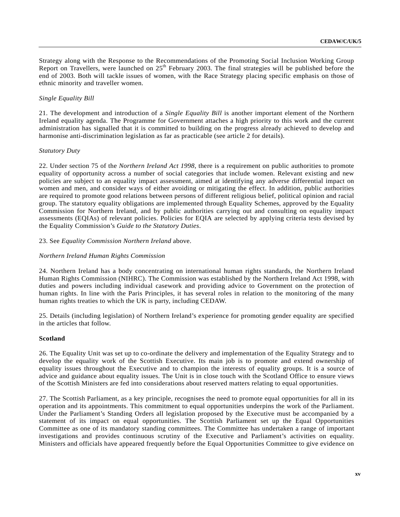Strategy along with the Response to the Recommendations of the Promoting Social Inclusion Working Group Report on Travellers, were launched on 25<sup>th</sup> February 2003. The final strategies will be published before the end of 2003. Both will tackle issues of women, with the Race Strategy placing specific emphasis on those of ethnic minority and traveller women.

## *Single Equality Bill*

21. The development and introduction of a *Single Equality Bill* is another important element of the Northern Ireland equality agenda. The Programme for Government attaches a high priority to this work and the current administration has signalled that it is committed to building on the progress already achieved to develop and harmonise anti-discrimination legislation as far as practicable (see article 2 for details).

#### *Statutory Duty*

22. Under section 75 of the *Northern Ireland Act 1998*, there is a requirement on public authorities to promote equality of opportunity across a number of social categories that include women. Relevant existing and new policies are subject to an equality impact assessment, aimed at identifying any adverse differential impact on women and men, and consider ways of either avoiding or mitigating the effect. In addition, public authorities are required to promote good relations between persons of different religious belief, political opinion and racial group. The statutory equality obligations are implemented through Equality Schemes, approved by the Equality Commission for Northern Ireland, and by public authorities carrying out and consulting on equality impact assessments (EQIAs) of relevant policies. Policies for EQIA are selected by applying criteria tests devised by the Equality Commission's *Guide to the Statutory Duties*.

## 23. See *Equality Commission Northern Ireland* above.

#### *Northern Ireland Human Rights Commission*

24. Northern Ireland has a body concentrating on international human rights standards, the Northern Ireland Human Rights Commission (NIHRC). The Commission was established by the Northern Ireland Act 1998, with duties and powers including individual casework and providing advice to Government on the protection of human rights. In line with the Paris Principles, it has several roles in relation to the monitoring of the many human rights treaties to which the UK is party, including CEDAW.

25. Details (including legislation) of Northern Ireland's experience for promoting gender equality are specified in the articles that follow.

## **Scotland**

26. The Equality Unit was set up to co-ordinate the delivery and implementation of the Equality Strategy and to develop the equality work of the Scottish Executive. Its main job is to promote and extend ownership of equality issues throughout the Executive and to champion the interests of equality groups. It is a source of advice and guidance about equality issues. The Unit is in close touch with the Scotland Office to ensure views of the Scottish Ministers are fed into considerations about reserved matters relating to equal opportunities.

27. The Scottish Parliament, as a key principle, recognises the need to promote equal opportunities for all in its operation and its appointments. This commitment to equal opportunities underpins the work of the Parliament. Under the Parliament's Standing Orders all legislation proposed by the Executive must be accompanied by a statement of its impact on equal opportunities. The Scottish Parliament set up the Equal Opportunities Committee as one of its mandatory standing committees. The Committee has undertaken a range of important investigations and provides continuous scrutiny of the Executive and Parliament's activities on equality. Ministers and officials have appeared frequently before the Equal Opportunities Committee to give evidence on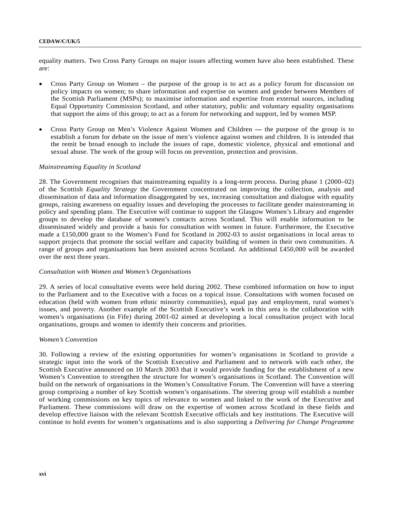equality matters. Two Cross Party Groups on major issues affecting women have also been established. These are:

- Cross Party Group on Women the purpose of the group is to act as a policy forum for discussion on policy impacts on women; to share information and expertise on women and gender between Members of the Scottish Parliament (MSPs); to maximise information and expertise from external sources, including Equal Opportunity Commission Scotland, and other statutory, public and voluntary equality organisations that support the aims of this group; to act as a forum for networking and support, led by women MSP.
- Cross Party Group on Men's Violence Against Women and Childrenthe purpose of the group is to establish a forum for debate on the issue of men's violence against women and children. It is intended that the remit be broad enough to include the issues of rape, domestic violence, physical and emotional and sexual abuse. The work of the group will focus on prevention, protection and provision.

#### *Mainstreaming Equality in Scotland*

28. The Government recognises that mainstreaming equality is a long-term process. During phase 1 (2000–02) of the Scottish *Equality Strategy* the Government concentrated on improving the collection, analysis and dissemination of data and information disaggregated by sex, increasing consultation and dialogue with equality groups, raising awareness on equality issues and developing the processes to facilitate gender mainstreaming in policy and spending plans. The Executive will continue to support the Glasgow Women's Library and engender groups to develop the database of women's contacts across Scotland. This will enable information to be disseminated widely and provide a basis for consultation with women in future. Furthermore, the Executive made a £150,000 grant to the Women's Fund for Scotland in 2002-03 to assist organisations in local areas to support projects that promote the social welfare and capacity building of women in their own communities. A range of groups and organisations has been assisted across Scotland. An additional £450,000 will be awarded over the next three years.

#### *Consultation with Women and Women's Organisations*

29. A series of local consultative events were held during 2002. These combined information on how to input to the Parliament and to the Executive with a focus on a topical issue. Consultations with women focused on education (held with women from ethnic minority communities), equal pay and employment, rural women's issues, and poverty. Another example of the Scottish Executive's work in this area is the collaboration with women's organisations (in Fife) during 2001-02 aimed at developing a local consultation project with local organisations, groups and women to identify their concerns and priorities.

#### *Women's Convention*

30. Following a review of the existing opportunities for women's organisations in Scotland to provide a strategic input into the work of the Scottish Executive and Parliament and to network with each other, the Scottish Executive announced on 10 March 2003 that it would provide funding for the establishment of a new Women's Convention to strengthen the structure for women's organisations in Scotland. The Convention will build on the network of organisations in the Women's Consultative Forum. The Convention will have a steering group comprising a number of key Scottish women's organisations. The steering group will establish a number of working commissions on key topics of relevance to women and linked to the work of the Executive and Parliament. These commissions will draw on the expertise of women across Scotland in these fields and develop effective liaison with the relevant Scottish Executive officials and key institutions. The Executive will continue to hold events for women's organisations and is also supporting a *Delivering for Change Programme*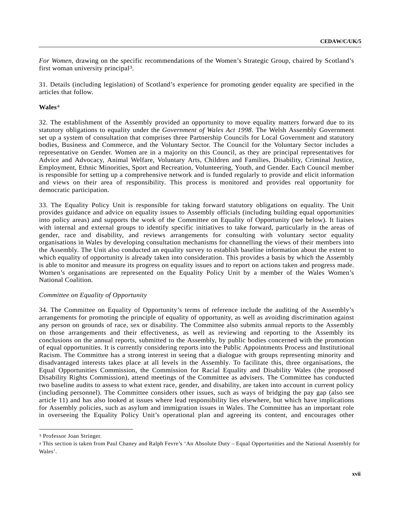*For Women,* drawing on the specific recommendations of the Women's Strategic Group, chaired by Scotland's first woman university principal3.

31. Details (including legislation) of Scotland's experience for promoting gender equality are specified in the articles that follow.

## **Wales**4

32. The establishment of the Assembly provided an opportunity to move equality matters forward due to its statutory obligations to equality under the *Government of Wales Act 1998*. The Welsh Assembly Government set up a system of consultation that comprises three Partnership Councils for Local Government and statutory bodies, Business and Commerce, and the Voluntary Sector. The Council for the Voluntary Sector includes a representative on Gender. Women are in a majority on this Council, as they are principal representatives for Advice and Advocacy, Animal Welfare, Voluntary Arts, Children and Families, Disability, Criminal Justice, Employment, Ethnic Minorities, Sport and Recreation, Volunteering, Youth, and Gender. Each Council member is responsible for setting up a comprehensive network and is funded regularly to provide and elicit information and views on their area of responsibility. This process is monitored and provides real opportunity for democratic participation.

33. The Equality Policy Unit is responsible for taking forward statutory obligations on equality. The Unit provides guidance and advice on equality issues to Assembly officials (including building equal opportunities into policy areas) and supports the work of the Committee on Equality of Opportunity (see below). It liaises with internal and external groups to identify specific initiatives to take forward, particularly in the areas of gender, race and disability, and reviews arrangements for consulting with voluntary sector equality organisations in Wales by developing consultation mechanisms for channelling the views of their members into the Assembly. The Unit also conducted an equality survey to establish baseline information about the extent to which equality of opportunity is already taken into consideration. This provides a basis by which the Assembly is able to monitor and measure its progress on equality issues and to report on actions taken and progress made. Women's organisations are represented on the Equality Policy Unit by a member of the Wales Women's National Coalition.

#### *Committee on Equality of Opportunity*

34. The Committee on Equality of Opportunity's terms of reference include the auditing of the Assembly's arrangements for promoting the principle of equality of opportunity, as well as avoiding discrimination against any person on grounds of race, sex or disability. The Committee also submits annual reports to the Assembly on those arrangements and their effectiveness, as well as reviewing and reporting to the Assembly its conclusions on the annual reports, submitted to the Assembly, by public bodies concerned with the promotion of equal opportunities. It is currently considering reports into the Public Appointments Process and Institutional Racism. The Committee has a strong interest in seeing that a dialogue with groups representing minority and disadvantaged interests takes place at all levels in the Assembly. To facilitate this, three organisations, the Equal Opportunities Commission, the Commission for Racial Equality and Disability Wales (the proposed Disability Rights Commission), attend meetings of the Committee as advisers. The Committee has conducted two baseline audits to assess to what extent race, gender, and disability, are taken into account in current policy (including personnel). The Committee considers other issues, such as ways of bridging the pay gap (also see article 11) and has also looked at issues where lead responsibility lies elsewhere, but which have implications for Assembly policies, such as asylum and immigration issues in Wales. The Committee has an important role in overseeing the Equality Policy Unit's operational plan and agreeing its content, and encourages other

l

<sup>3</sup> Professor Joan Stringer.

<sup>4</sup> This section is taken from Paul Chaney and Ralph Fevre's 'An Absolute Duty – Equal Opportunities and the National Assembly for Wales'.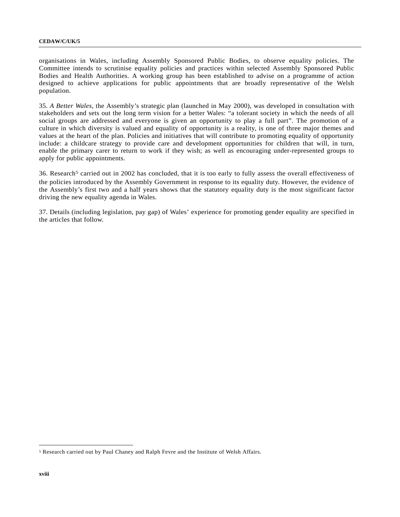organisations in Wales, including Assembly Sponsored Public Bodies, to observe equality policies. The Committee intends to scrutinise equality policies and practices within selected Assembly Sponsored Public Bodies and Health Authorities. A working group has been established to advise on a programme of action designed to achieve applications for public appointments that are broadly representative of the Welsh population.

35. *A Better Wales*, the Assembly's strategic plan (launched in May 2000), was developed in consultation with stakeholders and sets out the long term vision for a better Wales: "a tolerant society in which the needs of all social groups are addressed and everyone is given an opportunity to play a full part". The promotion of a culture in which diversity is valued and equality of opportunity is a reality, is one of three major themes and values at the heart of the plan. Policies and initiatives that will contribute to promoting equality of opportunity include: a childcare strategy to provide care and development opportunities for children that will, in turn, enable the primary carer to return to work if they wish; as well as encouraging under-represented groups to apply for public appointments.

36. Research5 carried out in 2002 has concluded, that it is too early to fully assess the overall effectiveness of the policies introduced by the Assembly Government in response to its equality duty. However, the evidence of the Assembly's first two and a half years shows that the statutory equality duty is the most significant factor driving the new equality agenda in Wales.

37. Details (including legislation, pay gap) of Wales' experience for promoting gender equality are specified in the articles that follow.

l

<sup>5</sup> Research carried out by Paul Chaney and Ralph Fevre and the Institute of Welsh Affairs.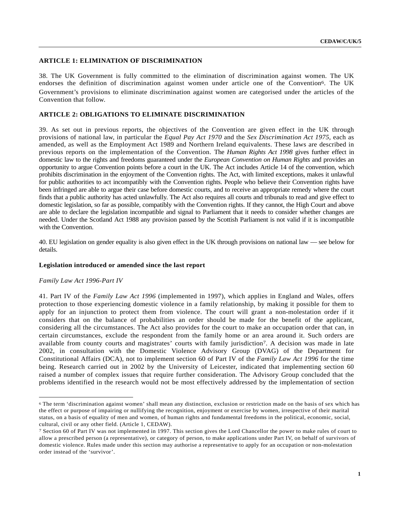## **ARTICLE 1: ELIMINATION OF DISCRIMINATION**

38. The UK Government is fully committed to the elimination of discrimination against women. The UK endorses the definition of discrimination against women under article one of the Convention6. The UK Government's provisions to eliminate discrimination against women are categorised under the articles of the Convention that follow.

## **ARTICLE 2: OBLIGATIONS TO ELIMINATE DISCRIMINATION**

39. As set out in previous reports, the objectives of the Convention are given effect in the UK through provisions of national law, in particular the *Equal Pay Act 1970* and the *Sex Discrimination Act 1975*, each as amended, as well as the Employment Act 1989 and Northern Ireland equivalents. These laws are described in previous reports on the implementation of the Convention. The *Human Rights Act 1998* gives further effect in domestic law to the rights and freedoms guaranteed under the *European Convention on Human Rights* and provides an opportunity to argue Convention points before a court in the UK. The Act includes Article 14 of the convention, which prohibits discrimination in the enjoyment of the Convention rights. The Act, with limited exceptions, makes it unlawful for public authorities to act incompatibly with the Convention rights. People who believe their Convention rights have been infringed are able to argue their case before domestic courts, and to receive an appropriate remedy where the court finds that a public authority has acted unlawfully. The Act also requires all courts and tribunals to read and give effect to domestic legislation, so far as possible, compatibly with the Convention rights. If they cannot, the High Court and above are able to declare the legislation incompatible and signal to Parliament that it needs to consider whether changes are needed. Under the Scotland Act 1988 any provision passed by the Scottish Parliament is not valid if it is incompatible with the Convention.

40. EU legislation on gender equality is also given effect in the UK through provisions on national law — see below for details.

#### **Legislation introduced or amended since the last report**

#### *Family Law Act 1996-Part IV*

l

41. Part IV of the *Family Law Act 1996* (implemented in 1997), which applies in England and Wales, offers protection to those experiencing domestic violence in a family relationship, by making it possible for them to apply for an injunction to protect them from violence. The court will grant a non-molestation order if it considers that on the balance of probabilities an order should be made for the benefit of the applicant, considering all the circumstances. The Act also provides for the court to make an occupation order that can, in certain circumstances, exclude the respondent from the family home or an area around it. Such orders are available from county courts and magistrates' courts with family jurisdiction7. A decision was made in late 2002, in consultation with the Domestic Violence Advisory Group (DVAG) of the Department for Constitutional Affairs (DCA), not to implement section 60 of Part IV of the *Family Law Act 1996* for the time being. Research carried out in 2002 by the University of Leicester, indicated that implementing section 60 raised a number of complex issues that require further consideration. The Advisory Group concluded that the problems identified in the research would not be most effectively addressed by the implementation of section

<sup>6</sup> The term 'discrimination against women' shall mean any distinction, exclusion or restriction made on the basis of sex which has the effect or purpose of impairing or nullifying the recognition, enjoyment or exercise by women, irrespective of their marital status, on a basis of equality of men and women, of human rights and fundamental freedoms in the political, economic, social, cultural, civil or any other field. (Article 1, CEDAW).

<sup>7</sup> Section 60 of Part IV was not implemented in 1997. This section gives the Lord Chancellor the power to make rules of court to allow a prescribed person (a representative), or category of person, to make applications under Part IV, on behalf of survivors of domestic violence. Rules made under this section may authorise a representative to apply for an occupation or non-molestation order instead of the 'survivor'.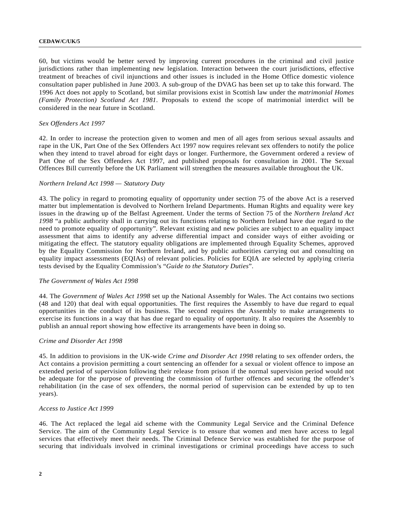60, but victims would be better served by improving current procedures in the criminal and civil justice jurisdictions rather than implementing new legislation. Interaction between the court jurisdictions, effective treatment of breaches of civil injunctions and other issues is included in the Home Office domestic violence consultation paper published in June 2003. A sub-group of the DVAG has been set up to take this forward. The 1996 Act does not apply to Scotland, but similar provisions exist in Scottish law under the *matrimonial Homes (Family Protection) Scotland Act 1981*. Proposals to extend the scope of matrimonial interdict will be considered in the near future in Scotland.

## *Sex Offenders Act 1997*

42. In order to increase the protection given to women and men of all ages from serious sexual assaults and rape in the UK, Part One of the Sex Offenders Act 1997 now requires relevant sex offenders to notify the police when they intend to travel abroad for eight days or longer. Furthermore, the Government ordered a review of Part One of the Sex Offenders Act 1997, and published proposals for consultation in 2001. The Sexual Offences Bill currently before the UK Parliament will strengthen the measures available throughout the UK.

#### *Northern Ireland Act 1998 — Statutory Duty*

43. The policy in regard to promoting equality of opportunity under section 75 of the above Act is a reserved matter but implementation is devolved to Northern Ireland Departments. Human Rights and equality were key issues in the drawing up of the Belfast Agreement. Under the terms of Section 75 of the *Northern Ireland Act 1998* "a public authority shall in carrying out its functions relating to Northern Ireland have due regard to the need to promote equality of opportunity". Relevant existing and new policies are subject to an equality impact assessment that aims to identify any adverse differential impact and consider ways of either avoiding or mitigating the effect. The statutory equality obligations are implemented through Equality Schemes, approved by the Equality Commission for Northern Ireland, and by public authorities carrying out and consulting on equality impact assessments (EQIAs) of relevant policies. Policies for EQIA are selected by applying criteria tests devised by the Equality Commission's "*Guide to the Statutory Duties*".

#### *The Government of Wales Act 1998*

44. The *Government of Wales Act 1998* set up the National Assembly for Wales. The Act contains two sections (48 and 120) that deal with equal opportunities. The first requires the Assembly to have due regard to equal opportunities in the conduct of its business. The second requires the Assembly to make arrangements to exercise its functions in a way that has due regard to equality of opportunity. It also requires the Assembly to publish an annual report showing how effective its arrangements have been in doing so.

## *Crime and Disorder Act 1998*

45. In addition to provisions in the UK-wide *Crime and Disorder Act 1998* relating to sex offender orders, the Act contains a provision permitting a court sentencing an offender for a sexual or violent offence to impose an extended period of supervision following their release from prison if the normal supervision period would not be adequate for the purpose of preventing the commission of further offences and securing the offender's rehabilitation (in the case of sex offenders, the normal period of supervision can be extended by up to ten years).

## *Access to Justice Act 1999*

46. The Act replaced the legal aid scheme with the Community Legal Service and the Criminal Defence Service. The aim of the Community Legal Service is to ensure that women and men have access to legal services that effectively meet their needs. The Criminal Defence Service was established for the purpose of securing that individuals involved in criminal investigations or criminal proceedings have access to such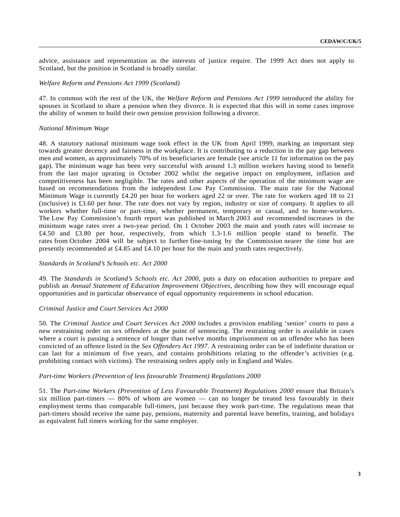advice, assistance and representation as the interests of justice require. The 1999 Act does not apply to Scotland, but the position in Scotland is broadly similar.

## *Welfare Reform and Pensions Act 1999 (Scotland)*

47. In common with the rest of the UK, the *Welfare Reform and Pensions Act 1999* introduced the ability for spouses in Scotland to share a pension when they divorce. It is expected that this will in some cases improve the ability of women to build their own pension provision following a divorce.

### *National Minimum Wage*

48. A statutory national minimum wage took effect in the UK from April 1999, marking an important step towards greater decency and fairness in the workplace. It is contributing to a reduction in the pay gap between men and women, as approximately 70% of its beneficiaries are female (see article 11 for information on the pay gap). The minimum wage has been very successful with around 1.3 million workers having stood to benefit from the last major uprating in October 2002 whilst the negative impact on employment, inflation and competitiveness has been negligible. The rates and other aspects of the operation of the minimum wage are based on recommendations from the independent Low Pay Commission. The main rate for the National Minimum Wage is currently £4.20 per hour for workers aged 22 or over. The rate for workers aged 18 to 21 (inclusive) is £3.60 per hour. The rate does not vary by region, industry or size of company. It applies to all workers whether full-time or part-time, whether permanent, temporary or casual, and to home-workers. The Low Pay Commission's fourth report was published in March 2003 and recommended increases in the minimum wage rates over a two-year period. On 1 October 2003 the main and youth rates will increase to £4.50 and £3.80 per hour, respectively, from which 1.3-1.6 million people stand to benefit. The rates from October 2004 will be subject to further fine-tuning by the Commission nearer the time but are presently recommended at £4.85 and £4.10 per hour for the main and youth rates respectively.

#### *Standards in Scotland's Schools etc. Act 2000*

49. The *Standards in Scotland's Schools etc. Act 2000*, puts a duty on education authorities to prepare and publish an *Annual Statement of Education Improvement Objectives*, describing how they will encourage equal opportunities and in particular observance of equal opportunity requirements in school education.

#### *Criminal Justice and Court Services Act 2000*

50. The *Criminal Justice and Court Services Act 2000* includes a provision enabling 'senior' courts to pass a new restraining order on sex offenders at the point of sentencing. The restraining order is available in cases where a court is passing a sentence of longer than twelve months imprisonment on an offender who has been convicted of an offence listed in the *Sex Offenders Act 1997*. A restraining order can be of indefinite duration or can last for a minimum of five years, and contains prohibitions relating to the offender's activities (e.g. prohibiting contact with victims). The restraining orders apply only in England and Wales.

#### *Part-time Workers (Prevention of less favourable Treatment) Regulations 2000*

51. The *Part-time Workers (Prevention of Less Favourable Treatment) Regulations 2000* ensure that Britain's six million part-timers  $-$  80% of whom are women  $-$  can no longer be treated less favourably in their employment terms than comparable full-timers, just because they work part-time. The regulations mean that part-timers should receive the same pay, pensions, maternity and parental leave benefits, training, and holidays as equivalent full timers working for the same employer.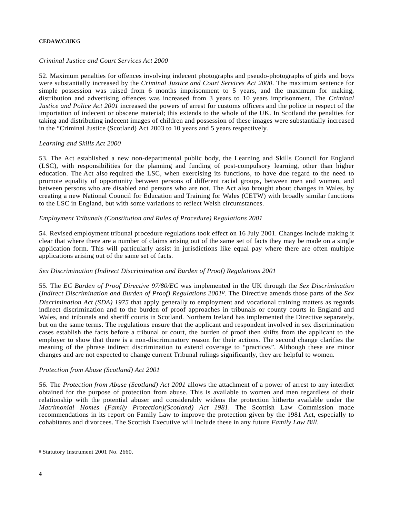# *Criminal Justice and Court Services Act 2000*

52. Maximum penalties for offences involving indecent photographs and pseudo-photographs of girls and boys were substantially increased by the *Criminal Justice and Court Services Act 2000*. The maximum sentence for simple possession was raised from 6 months imprisonment to 5 years, and the maximum for making, distribution and advertising offences was increased from 3 years to 10 years imprisonment. The *Criminal Justice and Police Act 2001* increased the powers of arrest for customs officers and the police in respect of the importation of indecent or obscene material; this extends to the whole of the UK. In Scotland the penalties for taking and distributing indecent images of children and possession of these images were substantially increased in the "Criminal Justice (Scotland) Act 2003 to 10 years and 5 years respectively.

## *Learning and Skills Act 2000*

53. The Act established a new non-departmental public body, the Learning and Skills Council for England (LSC), with responsibilities for the planning and funding of post-compulsory learning, other than higher education. The Act also required the LSC, when exercising its functions, to have due regard to the need to promote equality of opportunity between persons of different racial groups, between men and women, and between persons who are disabled and persons who are not. The Act also brought about changes in Wales, by creating a new National Council for Education and Training for Wales (CETW) with broadly similar functions to the LSC in England, but with some variations to reflect Welsh circumstances.

## *Employment Tribunals (Constitution and Rules of Procedure) Regulations 2001*

54. Revised employment tribunal procedure regulations took effect on 16 July 2001. Changes include making it clear that where there are a number of claims arising out of the same set of facts they may be made on a single application form. This will particularly assist in jurisdictions like equal pay where there are often multiple applications arising out of the same set of facts.

# *Sex Discrimination (Indirect Discrimination and Burden of Proof) Regulations 2001*

55. The *EC Burden of Proof Directive 97/80/EC* was implemented in the UK through the *Sex Discrimination (Indirect Discrimination and Burden of Proof) Regulations 20018.* The Directive amends those parts of the *Sex Discrimination Act (SDA) 1975* that apply generally to employment and vocational training matters as regards indirect discrimination and to the burden of proof approaches in tribunals or county courts in England and Wales, and tribunals and sheriff courts in Scotland. Northern Ireland has implemented the Directive separately, but on the same terms. The regulations ensure that the applicant and respondent involved in sex discrimination cases establish the facts before a tribunal or court, the burden of proof then shifts from the applicant to the employer to show that there is a non-discriminatory reason for their actions. The second change clarifies the meaning of the phrase indirect discrimination to extend coverage to "practices". Although these are minor changes and are not expected to change current Tribunal rulings significantly, they are helpful to women.

# *Protection from Abuse (Scotland) Act 2001*

56. The *Protection from Abuse (Scotland) Act 2001* allows the attachment of a power of arrest to any interdict obtained for the purpose of protection from abuse. This is available to women and men regardless of their relationship with the potential abuser and considerably widens the protection hitherto available under the *Matrimonial Homes (Family Protection)(Scotland) Act 1981*. The Scottish Law Commission made recommendations in its report on Family Law to improve the protection given by the 1981 Act, especially to cohabitants and divorcees. The Scottish Executive will include these in any future *Family Law Bill*.

l

<sup>8</sup> Statutory Instrument 2001 No. 2660.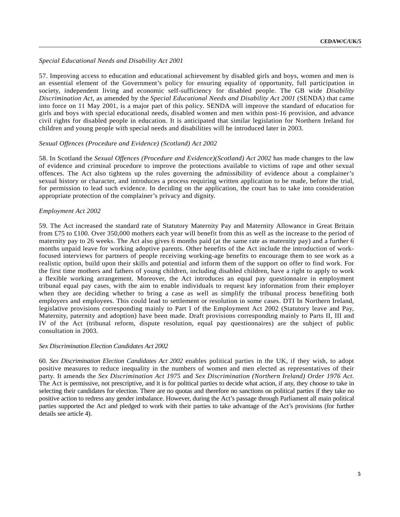## *Special Educational Needs and Disability Act 2001*

57. Improving access to education and educational achievement by disabled girls and boys, women and men is an essential element of the Government's policy for ensuring equality of opportunity, full participation in society, independent living and economic self-sufficiency for disabled people. The GB wide *Disability Discrimination Act*, as amended by the *Special Educational Needs and Disability Act 2001* (SENDA) that came into force on 11 May 2001, is a major part of this policy. SENDA will improve the standard of education for girls and boys with special educational needs, disabled women and men within post-16 provision, and advance civil rights for disabled people in education. It is anticipated that similar legislation for Northern Ireland for children and young people with special needs and disabilities will be introduced later in 2003.

## *Sexual Offences (Procedure and Evidence) (Scotland) Act 2002*

58. In Scotland the *Sexual Offences (Procedure and Evidence)(Scotland) Act 2002* has made changes to the law of evidence and criminal procedure to improve the protections available to victims of rape and other sexual offences. The Act also tightens up the rules governing the admissibility of evidence about a complainer's sexual history or character, and introduces a process requiring written application to be made, before the trial, for permission to lead such evidence. In deciding on the application, the court has to take into consideration appropriate protection of the complainer's privacy and dignity.

#### *Employment Act 2002*

59. The Act increased the standard rate of Statutory Maternity Pay and Maternity Allowance in Great Britain from £75 to £100. Over 350,000 mothers each year will benefit from this as well as the increase to the period of maternity pay to 26 weeks. The Act also gives 6 months paid (at the same rate as maternity pay) and a further 6 months unpaid leave for working adoptive parents. Other benefits of the Act include the introduction of workfocused interviews for partners of people receiving working-age benefits to encourage them to see work as a realistic option, build upon their skills and potential and inform them of the support on offer to find work. For the first time mothers and fathers of young children, including disabled children, have a right to apply to work a flexible working arrangement. Moreover, the Act introduces an equal pay questionnaire in employment tribunal equal pay cases, with the aim to enable individuals to request key information from their employer when they are deciding whether to bring a case as well as simplify the tribunal process benefiting both employers and employees. This could lead to settlement or resolution in some cases. DTI In Northern Ireland, legislative provisions corresponding mainly to Part I of the Employment Act 2002 (Statutory leave and Pay, Maternity, paternity and adoption) have been made. Draft provisions corresponding mainly to Parts II, III and IV of the Act (tribunal reform, dispute resolution, equal pay questionnaires) are the subject of public consultation in 2003.

#### *Sex Discrimination Election Candidates Act 2002*

60*. Sex Discrimination Election Candidates Act 2002* enables political parties in the UK, if they wish, to adopt positive measures to reduce inequality in the numbers of women and men elected as representatives of their party. It amends the *Sex Discrimination Act 1975* and *Sex Discrimination (Northern Ireland) Order 1976 Act*. The Act is permissive, not prescriptive, and it is for political parties to decide what action, if any, they choose to take in selecting their candidates for election. There are no quotas and therefore no sanctions on political parties if they take no positive action to redress any gender imbalance. However, during the Act's passage through Parliament all main political parties supported the Act and pledged to work with their parties to take advantage of the Act's provisions (for further details see article 4).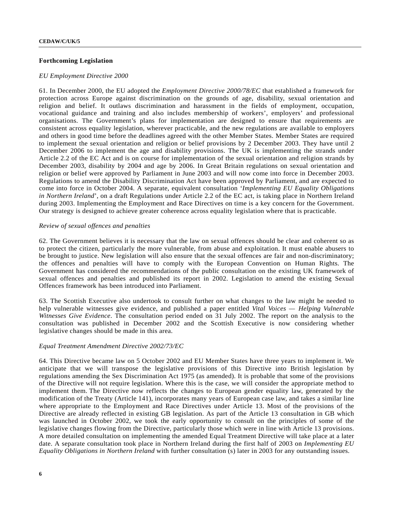## **Forthcoming Legislation**

#### *EU Employment Directive 2000*

61. In December 2000, the EU adopted the *Employment Directive 2000/78/EC* that established a framework for protection across Europe against discrimination on the grounds of age, disability, sexual orientation and religion and belief. It outlaws discrimination and harassment in the fields of employment, occupation, vocational guidance and training and also includes membership of workers', employers' and professional organisations. The Government's plans for implementation are designed to ensure that requirements are consistent across equality legislation, wherever practicable, and the new regulations are available to employers and others in good time before the deadlines agreed with the other Member States. Member States are required to implement the sexual orientation and religion or belief provisions by 2 December 2003. They have until 2 December 2006 to implement the age and disability provisions. The UK is implementing the strands under Article 2.2 of the EC Act and is on course for implementation of the sexual orientation and religion strands by December 2003, disability by 2004 and age by 2006. In Great Britain regulations on sexual orientation and religion or belief were approved by Parliament in June 2003 and will now come into force in December 2003. Regulations to amend the Disability Discrimination Act have been approved by Parliament, and are expected to come into force in October 2004. A separate, equivalent consultation '*Implementing EU Equality Obligations in Northern Ireland*', on a draft Regulations under Article 2.2 of the EC act, is taking place in Northern Ireland during 2003. Implementing the Employment and Race Directives on time is a key concern for the Government. Our strategy is designed to achieve greater coherence across equality legislation where that is practicable.

# *Review of sexual offences and penalties*

62. The Government believes it is necessary that the law on sexual offences should be clear and coherent so as to protect the citizen, particularly the more vulnerable, from abuse and exploitation. It must enable abusers to be brought to justice. New legislation will also ensure that the sexual offences are fair and non-discriminatory; the offences and penalties will have to comply with the European Convention on Human Rights. The Government has considered the recommendations of the public consultation on the existing UK framework of sexual offences and penalties and published its report in 2002. Legislation to amend the existing Sexual Offences framework has been introduced into Parliament.

63. The Scottish Executive also undertook to consult further on what changes to the law might be needed to help vulnerable witnesses give evidence, and published a paper entitled *Vital Voices — Helping Vulnerable Witnesses Give Evidence*. The consultation period ended on 31 July 2002. The report on the analysis to the consultation was published in December 2002 and the Scottish Executive is now considering whether legislative changes should be made in this area.

#### *Equal Treatment Amendment Directive 2002/73/EC*

64. This Directive became law on 5 October 2002 and EU Member States have three years to implement it. We anticipate that we will transpose the legislative provisions of this Directive into British legislation by regulations amending the Sex Discrimination Act 1975 (as amended). It is probable that some of the provisions of the Directive will not require legislation. Where this is the case, we will consider the appropriate method to implement them. The Directive now reflects the changes to European gender equality law, generated by the modification of the Treaty (Article 141), incorporates many years of European case law, and takes a similar line where appropriate to the Employment and Race Directives under Article 13. Most of the provisions of the Directive are already reflected in existing GB legislation. As part of the Article 13 consultation in GB which was launched in October 2002, we took the early opportunity to consult on the principles of some of the legislative changes flowing from the Directive, particularly those which were in line with Article 13 provisions. A more detailed consultation on implementing the amended Equal Treatment Directive will take place at a later date. A separate consultation took place in Northern Ireland during the first half of 2003 on *Implementing EU Equality Obligations in Northern Ireland* with further consultation (s) later in 2003 for any outstanding issues.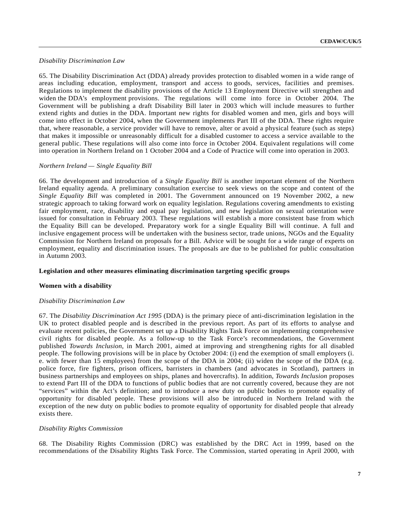## *Disability Discrimination Law*

65. The Disability Discrimination Act (DDA) already provides protection to disabled women in a wide range of areas including education, employment, transport and access to goods, services, facilities and premises. Regulations to implement the disability provisions of the Article 13 Employment Directive will strengthen and widen the DDA's employment provisions. The regulations will come into force in October 2004. The Government will be publishing a draft Disability Bill later in 2003 which will include measures to further extend rights and duties in the DDA. Important new rights for disabled women and men, girls and boys will come into effect in October 2004, when the Government implements Part III of the DDA. These rights require that, where reasonable, a service provider will have to remove, alter or avoid a physical feature (such as steps) that makes it impossible or unreasonably difficult for a disabled customer to access a service available to the general public. These regulations will also come into force in October 2004. Equivalent regulations will come into operation in Northern Ireland on 1 October 2004 and a Code of Practice will come into operation in 2003.

#### *Northern Ireland — Single Equality Bill*

66. The development and introduction of a *Single Equality Bill* is another important element of the Northern Ireland equality agenda. A preliminary consultation exercise to seek views on the scope and content of the *Single Equality Bill* was completed in 2001. The Government announced on 19 November 2002, a new strategic approach to taking forward work on equality legislation. Regulations covering amendments to existing fair employment, race, disability and equal pay legislation, and new legislation on sexual orientation were issued for consultation in February 2003. These regulations will establish a more consistent base from which the Equality Bill can be developed. Preparatory work for a single Equality Bill will continue. A full and inclusive engagement process will be undertaken with the business sector, trade unions, NGOs and the Equality Commission for Northern Ireland on proposals for a Bill. Advice will be sought for a wide range of experts on employment, equality and discrimination issues. The proposals are due to be published for public consultation in Autumn 2003.

## **Legislation and other measures eliminating discrimination targeting specific groups**

#### **Women with a disability**

#### *Disability Discrimination Law*

67. The *Disability Discrimination Act 1995* (DDA) is the primary piece of anti-discrimination legislation in the UK to protect disabled people and is described in the previous report. As part of its efforts to analyse and evaluate recent policies, the Government set up a Disability Rights Task Force on implementing comprehensive civil rights for disabled people. As a follow-up to the Task Force's recommendations, the Government published *Towards Inclusion*, in March 2001, aimed at improving and strengthening rights for all disabled people. The following provisions will be in place by October 2004: (i) end the exemption of small employers (i. e. with fewer than 15 employees) from the scope of the DDA in 2004; (ii) widen the scope of the DDA (e.g. police force, fire fighters, prison officers, barristers in chambers (and advocates in Scotland), partners in business partnerships and employees on ships, planes and hovercrafts). In addition, *Towards Inclusion* proposes to extend Part III of the DDA to functions of public bodies that are not currently covered, because they are not "services" within the Act's definition; and to introduce a new duty on public bodies to promote equality of opportunity for disabled people. These provisions will also be introduced in Northern Ireland with the exception of the new duty on public bodies to promote equality of opportunity for disabled people that already exists there.

## *Disability Rights Commission*

68. The Disability Rights Commission (DRC) was established by the DRC Act in 1999, based on the recommendations of the Disability Rights Task Force. The Commission, started operating in April 2000, with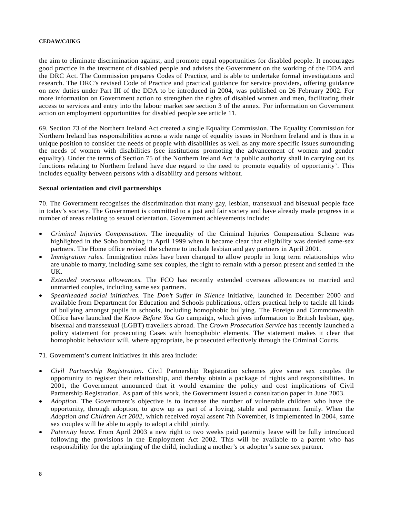the aim to eliminate discrimination against, and promote equal opportunities for disabled people. It encourages good practice in the treatment of disabled people and advises the Government on the working of the DDA and the DRC Act. The Commission prepares Codes of Practice, and is able to undertake formal investigations and research. The DRC's revised Code of Practice and practical guidance for service providers, offering guidance on new duties under Part III of the DDA to be introduced in 2004, was published on 26 February 2002. For more information on Government action to strengthen the rights of disabled women and men, facilitating their access to services and entry into the labour market see section 3 of the annex. For information on Government action on employment opportunities for disabled people see article 11.

69. Section 73 of the Northern Ireland Act created a single Equality Commission. The Equality Commission for Northern Ireland has responsibilities across a wide range of equality issues in Northern Ireland and is thus in a unique position to consider the needs of people with disabilities as well as any more specific issues surrounding the needs of women with disabilities (see institutions promoting the advancement of women and gender equality). Under the terms of Section 75 of the Northern Ireland Act 'a public authority shall in carrying out its functions relating to Northern Ireland have due regard to the need to promote equality of opportunity'. This includes equality between persons with a disability and persons without.

## **Sexual orientation and civil partnerships**

70. The Government recognises the discrimination that many gay, lesbian, transexual and bisexual people face in today's society. The Government is committed to a just and fair society and have already made progress in a number of areas relating to sexual orientation. Government achievements include:

- *Criminal Injuries Compensation.* The inequality of the Criminal Injuries Compensation Scheme was highlighted in the Soho bombing in April 1999 when it became clear that eligibility was denied same-sex partners. The Home office revised the scheme to include lesbian and gay partners in April 2001.
- *Immigration rules.* Immigration rules have been changed to allow people in long term relationships who are unable to marry, including same sex couples, the right to remain with a person present and settled in the UK.
- *Extended overseas allowances.* The FCO has recently extended overseas allowances to married and unmarried couples, including same sex partners.
- *Spearheaded social initiatives.* The *Don't Suffer in Silence* initiative, launched in December 2000 and available from Department for Education and Schools publications, offers practical help to tackle all kinds of bullying amongst pupils in schools, including homophobic bullying. The Foreign and Commonwealth Office have launched the *Know Before You Go* campaign, which gives information to British lesbian, gay, bisexual and transsexual (LGBT) travellers abroad. The *Crown Prosecution Service* has recently launched a policy statement for prosecuting Cases with homophobic elements. The statement makes it clear that homophobic behaviour will, where appropriate, be prosecuted effectively through the Criminal Courts.

71. Government's current initiatives in this area include:

- *Civil Partnership Registration.* Civil Partnership Registration schemes give same sex couples the opportunity to register their relationship, and thereby obtain a package of rights and responsibilities. In 2001, the Government announced that it would examine the policy and cost implications of Civil Partnership Registration. As part of this work, the Government issued a consultation paper in June 2003.
- *Adoption.* The Government's objective is to increase the number of vulnerable children who have the opportunity, through adoption, to grow up as part of a loving, stable and permanent family. When the *Adoption and Children Act 2002*, which received royal assent 7th November, is implemented in 2004, same sex couples will be able to apply to adopt a child jointly.
- *Paternity leave.* From April 2003 a new right to two weeks paid paternity leave will be fully introduced following the provisions in the Employment Act 2002. This will be available to a parent who has responsibility for the upbringing of the child, including a mother's or adopter's same sex partner.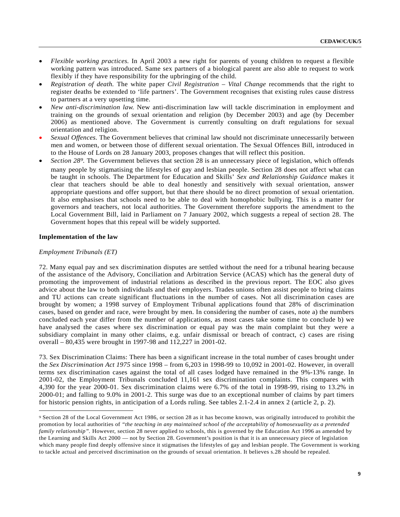- *Flexible working practices.* In April 2003 a new right for parents of young children to request a flexible working pattern was introduced. Same sex partners of a biological parent are also able to request to work flexibly if they have responsibility for the upbringing of the child.
- *Registration of death.* The white paper *Civil Registration Vital Change* recommends that the right to register deaths be extended to 'life partners'. The Government recognises that existing rules cause distress to partners at a very upsetting time.
- *New anti-discrimination law.* New anti-discrimination law will tackle discrimination in employment and training on the grounds of sexual orientation and religion (by December 2003) and age (by December 2006) as mentioned above. The Government is currently consulting on draft regulations for sexual orientation and religion.
- *Sexual Offences.* The Government believes that criminal law should not discriminate unnecessarily between men and women, or between those of different sexual orientation. The Sexual Offences Bill, introduced in to the House of Lords on 28 January 2003, proposes changes that will reflect this position.
- *Section 289.* The Government believes that section 28 is an unnecessary piece of legislation, which offends many people by stigmatising the lifestyles of gay and lesbian people. Section 28 does not affect what can be taught in schools. The Department for Education and Skills' *Sex and Relationship Guidance* makes it clear that teachers should be able to deal honestly and sensitively with sexual orientation, answer appropriate questions and offer support, but that there should be no direct promotion of sexual orientation. It also emphasises that schools need to be able to deal with homophobic bullying. This is a matter for governors and teachers, not local authorities. The Government therefore supports the amendment to the Local Government Bill, laid in Parliament on 7 January 2002, which suggests a repeal of section 28. The Government hopes that this repeal will be widely supported.

## **Implementation of the law**

## *Employment Tribunals (ET)*

l

72. Many equal pay and sex discrimination disputes are settled without the need for a tribunal hearing because of the assistance of the Advisory, Conciliation and Arbitration Service (ACAS) which has the general duty of promoting the improvement of industrial relations as described in the previous report. The EOC also gives advice about the law to both individuals and their employers. Trades unions often assist people to bring claims and TU actions can create significant fluctuations in the number of cases. Not all discrimination cases are brought by women; a 1998 survey of Employment Tribunal applications found that 28% of discrimination cases, based on gender and race, were brought by men. In considering the number of cases, note a) the numbers concluded each year differ from the number of applications, as most cases take some time to conclude b) we have analysed the cases where sex discrimination or equal pay was the main complaint but they were a subsidiary complaint in many other claims, e.g. unfair dismissal or breach of contract, c) cases are rising overall – 80,435 were brought in 1997-98 and 112,227 in 2001-02.

73. Sex Discrimination Claims: There has been a significant increase in the total number of cases brought under the *Sex Discrimination Act 1975* since 1998 – from 6,203 in 1998-99 to 10,092 in 2001-02. However, in overall terms sex discrimination cases against the total of all cases lodged have remained in the 9%-13% range. In 2001-02, the Employment Tribunals concluded 11,161 sex discrimination complaints. This compares with 4,390 for the year 2000-01. Sex discrimination claims were 6.7% of the total in 1998-99, rising to 13.2% in 2000-01; and falling to 9.0% in 2001-2. This surge was due to an exceptional number of claims by part timers for historic pension rights, in anticipation of a Lords ruling. See tables 2.1-2.4 in annex 2 (article 2, p. 2).

<sup>9</sup> Section 28 of the Local Government Act 1986, or section 28 as it has become known, was originally introduced to prohibit the promotion by local authorities of *"the teaching in any maintained school of the acceptability of homosexuality as a pretended family relationship".* However, section 28 never applied to schools, this is governed by the Education Act 1996 as amended by the Learning and Skills Act 2000 — not by Section 28. Government's position is that it is an unnecessary piece of legislation which many people find deeply offensive since it stigmatises the lifestyles of gay and lesbian people. The Government is working to tackle actual and perceived discrimination on the grounds of sexual orientation. It believes s.28 should be repealed.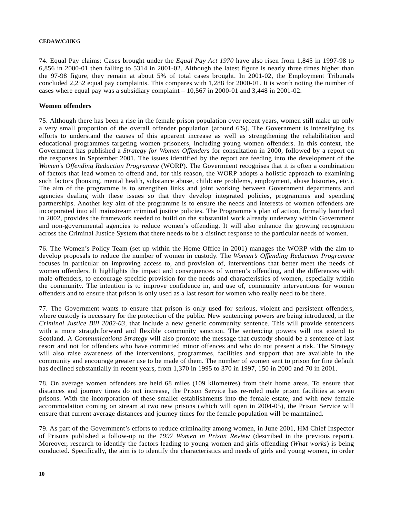74. Equal Pay claims: Cases brought under the *Equal Pay Act 1970* have also risen from 1,845 in 1997-98 to 6,856 in 2000-01 then falling to 5314 in 2001-02. Although the latest figure is nearly three times higher than the 97-98 figure, they remain at about 5% of total cases brought. In 2001-02, the Employment Tribunals concluded 2,252 equal pay complaints. This compares with 1,288 for 2000-01. It is worth noting the number of cases where equal pay was a subsidiary complaint  $-10,567$  in 2000-01 and 3,448 in 2001-02.

## **Women offenders**

75. Although there has been a rise in the female prison population over recent years, women still make up only a very small proportion of the overall offender population (around 6%). The Government is intensifying its efforts to understand the causes of this apparent increase as well as strengthening the rehabilitation and educational programmes targeting women prisoners, including young women offenders. In this context, the Government has published a *Strategy for Women Offenders* for consultation in 2000, followed by a report on the responses in September 2001. The issues identified by the report are feeding into the development of the *Women's Offending Reduction Programme* (WORP). The Government recognises that it is often a combination of factors that lead women to offend and, for this reason, the WORP adopts a holistic approach to examining such factors (housing, mental health, substance abuse, childcare problems, employment, abuse histories, etc.). The aim of the programme is to strengthen links and joint working between Government departments and agencies dealing with these issues so that they develop integrated policies, programmes and spending partnerships. Another key aim of the programme is to ensure the needs and interests of women offenders are incorporated into all mainstream criminal justice policies. The Programme's plan of action, formally launched in 2002, provides the framework needed to build on the substantial work already underway within Government and non-governmental agencies to reduce women's offending. It will also enhance the growing recognition across the Criminal Justice System that there needs to be a distinct response to the particular needs of women.

76. The Women's Policy Team (set up within the Home Office in 2001) manages the WORP with the aim to develop proposals to reduce the number of women in custody. The *Women's Offending Reduction Programme* focuses in particular on improving access to, and provision of, interventions that better meet the needs of women offenders. It highlights the impact and consequences of women's offending, and the differences with male offenders, to encourage specific provision for the needs and characteristics of women, especially within the community. The intention is to improve confidence in, and use of, community interventions for women offenders and to ensure that prison is only used as a last resort for women who really need to be there.

77. The Government wants to ensure that prison is only used for serious, violent and persistent offenders, where custody is necessary for the protection of the public. New sentencing powers are being introduced, in the *Criminal Justice Bill 2002-03,* that include a new generic community sentence. This will provide sentencers with a more straightforward and flexible community sanction. The sentencing powers will not extend to Scotland. A *Communications Strategy* will also promote the message that custody should be a sentence of last resort and not for offenders who have committed minor offences and who do not present a risk. The Strategy will also raise awareness of the interventions, programmes, facilities and support that are available in the community and encourage greater use to be made of them. The number of women sent to prison for fine default has declined substantially in recent years, from 1,370 in 1995 to 370 in 1997, 150 in 2000 and 70 in 2001.

78. On average women offenders are held 68 miles (109 kilometres) from their home areas. To ensure that distances and journey times do not increase, the Prison Service has re-roled male prison facilities at seven prisons. With the incorporation of these smaller establishments into the female estate, and with new female accommodation coming on stream at two new prisons (which will open in 2004-05), the Prison Service will ensure that current average distances and journey times for the female population will be maintained.

79. As part of the Government's efforts to reduce criminality among women, in June 2001, HM Chief Inspector of Prisons published a follow-up to the *1997 Women in Prison Review* (described in the previous report). Moreover, research to identify the factors leading to young women and girls offending (*What works*) is being conducted. Specifically, the aim is to identify the characteristics and needs of girls and young women, in order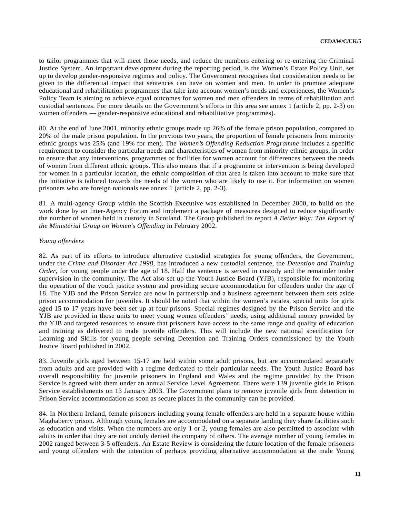to tailor programmes that will meet those needs, and reduce the numbers entering or re-entering the Criminal Justice System. An important development during the reporting period, is the Women's Estate Policy Unit, set up to develop gender-responsive regimes and policy. The Government recognises that consideration needs to be given to the differential impact that sentences can have on women and men. In order to promote adequate educational and rehabilitation programmes that take into account women's needs and experiences, the Women's Policy Team is aiming to achieve equal outcomes for women and men offenders in terms of rehabilitation and custodial sentences. For more details on the Government's efforts in this area see annex 1 (article 2, pp. 2-3) on women offenders — gender-responsive educational and rehabilitative programmes).

80. At the end of June 2001, minority ethnic groups made up 26% of the female prison population, compared to 20% of the male prison population. In the previous two years, the proportion of female prisoners from minority ethnic groups was 25% (and 19% for men). The *Women's Offending Reduction Programme* includes a specific requirement to consider the particular needs and characteristics of women from minority ethnic groups, in order to ensure that any interventions, programmes or facilities for women account for differences between the needs of women from different ethnic groups. This also means that if a programme or intervention is being developed for women in a particular location, the ethnic composition of that area is taken into account to make sure that the initiative is tailored towards the needs of the women who are likely to use it. For information on women prisoners who are foreign nationals see annex 1 (article 2, pp. 2-3).

81. A multi-agency Group within the Scottish Executive was established in December 2000, to build on the work done by an Inter-Agency Forum and implement a package of measures designed to reduce significantly the number of women held in custody in Scotland. The Group published its report *A Better Way: The Report of the Ministerial Group on Women's Offending* in February 2002.

#### *Young offenders*

82. As part of its efforts to introduce alternative custodial strategies for young offenders, the Government, under the *Crime and Disorder Act 1998*, has introduced a new custodial sentence, the *Detention and Training Order*, for young people under the age of 18. Half the sentence is served in custody and the remainder under supervision in the community. The Act also set up the Youth Justice Board (YJB), responsible for monitoring the operation of the youth justice system and providing secure accommodation for offenders under the age of 18. The YJB and the Prison Service are now in partnership and a business agreement between them sets aside prison accommodation for juveniles. It should be noted that within the women's estates, special units for girls aged 15 to 17 years have been set up at four prisons. Special regimes designed by the Prison Service and the YJB are provided in those units to meet young women offenders' needs, using additional money provided by the YJB and targeted resources to ensure that prisoners have access to the same range and quality of education and training as delivered to male juvenile offenders. This will include the new national specification for Learning and Skills for young people serving Detention and Training Orders commissioned by the Youth Justice Board published in 2002.

83. Juvenile girls aged between 15-17 are held within some adult prisons, but are accommodated separately from adults and are provided with a regime dedicated to their particular needs. The Youth Justice Board has overall responsibility for juvenile prisoners in England and Wales and the regime provided by the Prison Service is agreed with them under an annual Service Level Agreement. There were 139 juvenile girls in Prison Service establishments on 13 January 2003. The Government plans to remove juvenile girls from detention in Prison Service accommodation as soon as secure places in the community can be provided.

84. In Northern Ireland, female prisoners including young female offenders are held in a separate house within Maghaberry prison. Although young females are accommodated on a separate landing they share facilities such as education and visits. When the numbers are only 1 or 2, young females are also permitted to associate with adults in order that they are not unduly denied the company of others. The average number of young females in 2002 ranged between 3-5 offenders. An Estate Review is considering the future location of the female prisoners and young offenders with the intention of perhaps providing alternative accommodation at the male Young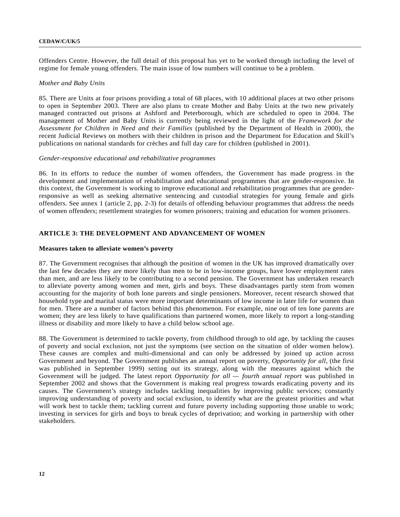Offenders Centre. However, the full detail of this proposal has yet to be worked through including the level of regime for female young offenders. The main issue of low numbers will continue to be a problem.

#### *Mother and Baby Units*

85. There are Units at four prisons providing a total of 68 places, with 10 additional places at two other prisons to open in September 2003. There are also plans to create Mother and Baby Units at the two new privately managed contracted out prisons at Ashford and Peterborough, which are scheduled to open in 2004. The management of Mother and Baby Units is currently being reviewed in the light of the *Framework for the Assessment for Children in Need and their Families* (published by the Department of Health in 2000), the recent Judicial Reviews on mothers with their children in prison and the Department for Education and Skill's publications on national standards for crèches and full day care for children (published in 2001).

#### *Gender-responsive educational and rehabilitative programmes*

86. In its efforts to reduce the number of women offenders, the Government has made progress in the development and implementation of rehabilitation and educational programmes that are gender-responsive. In this context, the Government is working to improve educational and rehabilitation programmes that are genderresponsive as well as seeking alternative sentencing and custodial strategies for young female and girls offenders. See annex 1 (article 2, pp. 2-3) for details of offending behaviour programmes that address the needs of women offenders; resettlement strategies for women prisoners; training and education for women prisoners.

## **ARTICLE 3: THE DEVELOPMENT AND ADVANCEMENT OF WOMEN**

#### **Measures taken to alleviate women's poverty**

87. The Government recognises that although the position of women in the UK has improved dramatically over the last few decades they are more likely than men to be in low-income groups, have lower employment rates than men, and are less likely to be contributing to a second pension. The Government has undertaken research to alleviate poverty among women and men, girls and boys. These disadvantages partly stem from women accounting for the majority of both lone parents and single pensioners. Moreover, recent research showed that household type and marital status were more important determinants of low income in later life for women than for men. There are a number of factors behind this phenomenon. For example, nine out of ten lone parents are women; they are less likely to have qualifications than partnered women, more likely to report a long-standing illness or disability and more likely to have a child below school age.

88. The Government is determined to tackle poverty, from childhood through to old age, by tackling the causes of poverty and social exclusion, not just the symptoms (see section on the situation of older women below). These causes are complex and multi-dimensional and can only be addressed by joined up action across Government and beyond. The Government publishes an annual report on poverty, *Opportunity for all*, (the first was published in September 1999) setting out its strategy, along with the measures against which the Government will be judged. The latest report *Opportunity for all — fourth annual report* was published in September 2002 and shows that the Government is making real progress towards eradicating poverty and its causes. The Government's strategy includes tackling inequalities by improving public services; constantly improving understanding of poverty and social exclusion, to identify what are the greatest priorities and what will work best to tackle them; tackling current and future poverty including supporting those unable to work; investing in services for girls and boys to break cycles of deprivation; and working in partnership with other stakeholders.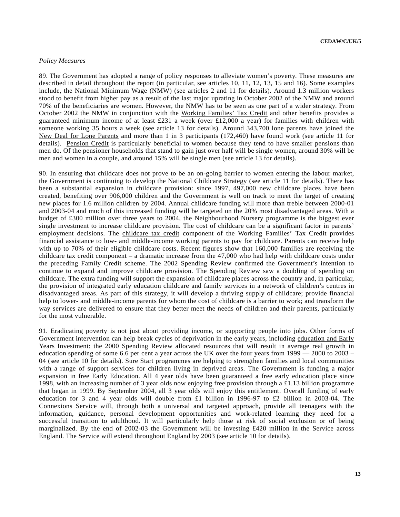## *Policy Measures*

89. The Government has adopted a range of policy responses to alleviate women's poverty. These measures are described in detail throughout the report (in particular, see articles 10, 11, 12, 13, 15 and 16). Some examples include, the National Minimum Wage (NMW) (see articles 2 and 11 for details). Around 1.3 million workers stood to benefit from higher pay as a result of the last major uprating in October 2002 of the NMW and around 70% of the beneficiaries are women. However, the NMW has to be seen as one part of a wider strategy. From October 2002 the NMW in conjunction with the Working Families' Tax Credit and other benefits provides a guaranteed minimum income of at least £231 a week (over £12,000 a year) for families with children with someone working 35 hours a week (see article 13 for details). Around 343,700 lone parents have joined the New Deal for Lone Parents and more than 1 in 3 participants (172,460) have found work (see article 11 for details). Pension Credit is particularly beneficial to women because they tend to have smaller pensions than men do. Of the pensioner households that stand to gain just over half will be single women, around 30% will be men and women in a couple, and around 15% will be single men (see article 13 for details).

90. In ensuring that childcare does not prove to be an on-going barrier to women entering the labour market, the Government is continuing to develop the National Childcare Strategy (see article 11 for details). There has been a substantial expansion in childcare provision: since 1997, 497,000 new childcare places have been created, benefiting over 906,000 children and the Government is well on track to meet the target of creating new places for 1.6 million children by 2004. Annual childcare funding will more than treble between 2000-01 and 2003-04 and much of this increased funding will be targeted on the 20% most disadvantaged areas. With a budget of £300 million over three years to 2004, the Neighbourhood Nursery programme is the biggest ever single investment to increase childcare provision. The cost of childcare can be a significant factor in parents' employment decisions. The childcare tax credit component of the Working Families' Tax Credit provides financial assistance to low- and middle-income working parents to pay for childcare. Parents can receive help with up to 70% of their eligible childcare costs. Recent figures show that 160,000 families are receiving the childcare tax credit component – a dramatic increase from the 47,000 who had help with childcare costs under the preceding Family Credit scheme. The 2002 Spending Review confirmed the Government's intention to continue to expand and improve childcare provision. The Spending Review saw a doubling of spending on childcare. The extra funding will support the expansion of childcare places across the country and, in particular, the provision of integrated early education childcare and family services in a network of children's centres in disadvantaged areas. As part of this strategy, it will develop a thriving supply of childcare; provide financial help to lower- and middle-income parents for whom the cost of childcare is a barrier to work; and transform the way services are delivered to ensure that they better meet the needs of children and their parents, particularly for the most vulnerable.

91. Eradicating poverty is not just about providing income, or supporting people into jobs. Other forms of Government intervention can help break cycles of deprivation in the early years, including education and Early Years Investment: the 2000 Spending Review allocated resources that will result in average real growth in education spending of some 6.6 per cent a year across the UK over the four years from 1999 — 2000 to 2003 – 04 (see article 10 for details). Sure Start programmes are helping to strengthen families and local communities with a range of support services for children living in deprived areas. The Government is funding a major expansion in free Early Education. All 4 year olds have been guaranteed a free early education place since 1998, with an increasing number of 3 year olds now enjoying free provision through a £1.13 billion programme that began in 1999. By September 2004, all 3 year olds will enjoy this entitlement. Overall funding of early education for 3 and 4 year olds will double from £1 billion in 1996-97 to £2 billion in 2003-04. The Connexions Service will, through both a universal and targeted approach, provide all teenagers with the information, guidance, personal development opportunities and work-related learning they need for a successful transition to adulthood. It will particularly help those at risk of social exclusion or of being marginalized. By the end of 2002-03 the Government will be investing £420 million in the Service across England. The Service will extend throughout England by 2003 (see article 10 for details).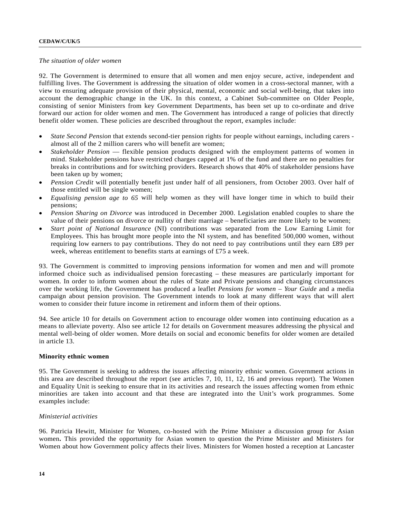#### *The situation of older women*

92. The Government is determined to ensure that all women and men enjoy secure, active, independent and fulfilling lives. The Government is addressing the situation of older women in a cross-sectoral manner, with a view to ensuring adequate provision of their physical, mental, economic and social well-being, that takes into account the demographic change in the UK. In this context, a Cabinet Sub-committee on Older People, consisting of senior Ministers from key Government Departments, has been set up to co-ordinate and drive forward our action for older women and men. The Government has introduced a range of policies that directly benefit older women. These policies are described throughout the report, examples include:

- *State Second Pension* that extends second-tier pension rights for people without earnings, including carers almost all of the 2 million carers who will benefit are women;
- *Stakeholder Pension* flexible pension products designed with the employment patterns of women in mind. Stakeholder pensions have restricted charges capped at 1% of the fund and there are no penalties for breaks in contributions and for switching providers. Research shows that 40% of stakeholder pensions have been taken up by women;
- *Pension Credit* will potentially benefit just under half of all pensioners, from October 2003. Over half of those entitled will be single women;
- *Equalising pension age to 65* will help women as they will have longer time in which to build their pensions;
- *Pension Sharing on Divorce* was introduced in December 2000. Legislation enabled couples to share the value of their pensions on divorce or nullity of their marriage – beneficiaries are more likely to be women;
- *Start point of National Insurance* (NI) contributions was separated from the Low Earning Limit for Employees. This has brought more people into the NI system, and has benefited 500,000 women, without requiring low earners to pay contributions. They do not need to pay contributions until they earn £89 per week, whereas entitlement to benefits starts at earnings of £75 a week.

93. The Government is committed to improving pensions information for women and men and will promote informed choice such as individualised pension forecasting – these measures are particularly important for women. In order to inform women about the rules of State and Private pensions and changing circumstances over the working life, the Government has produced a leaflet *Pensions for women – Your Guide* and a media campaign about pension provision. The Government intends to look at many different ways that will alert women to consider their future income in retirement and inform them of their options.

94. See article 10 for details on Government action to encourage older women into continuing education as a means to alleviate poverty. Also see article 12 for details on Government measures addressing the physical and mental well-being of older women. More details on social and economic benefits for older women are detailed in article 13.

#### **Minority ethnic women**

95. The Government is seeking to address the issues affecting minority ethnic women. Government actions in this area are described throughout the report (see articles 7, 10, 11, 12, 16 and previous report). The Women and Equality Unit is seeking to ensure that in its activities and research the issues affecting women from ethnic minorities are taken into account and that these are integrated into the Unit's work programmes. Some examples include:

## *Ministerial activities*

96. Patricia Hewitt, Minister for Women, co-hosted with the Prime Minister a discussion group for Asian women**.** This provided the opportunity for Asian women to question the Prime Minister and Ministers for Women about how Government policy affects their lives. Ministers for Women hosted a reception at Lancaster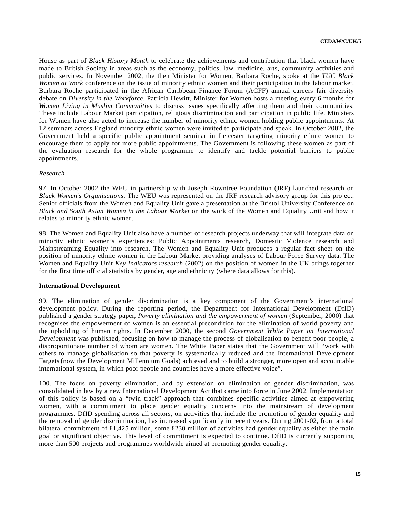House as part of *Black History Month* to celebrate the achievements and contribution that black women have made to British Society in areas such as the economy, politics, law, medicine, arts, community activities and public services. In November 2002, the then Minister for Women, Barbara Roche, spoke at the *TUC Black Women at Work* conference on the issue of minority ethnic women and their participation in the labour market. Barbara Roche participated in the African Caribbean Finance Forum (ACFF) annual careers fair diversity debate on *Diversity in the Workforce*. Patricia Hewitt, Minister for Women hosts a meeting every 6 months for *Women Living in Muslim Communities* to discuss issues specifically affecting them and their communities. These include Labour Market participation, religious discrimination and participation in public life. Ministers for Women have also acted to increase the number of minority ethnic women holding public appointments. At 12 seminars across England minority ethnic women were invited to participate and speak. In October 2002, the Government held a specific public appointment seminar in Leicester targeting minority ethnic women to encourage them to apply for more public appointments. The Government is following these women as part of the evaluation research for the whole programme to identify and tackle potential barriers to public appointments.

#### *Research*

97. In October 2002 the WEU in partnership with Joseph Rowntree Foundation (JRF) launched research on *Black Women's Organisations*. The WEU was represented on the JRF research advisory group for this project. Senior officials from the Women and Equality Unit gave a presentation at the Bristol University Conference on *Black and South Asian Women in the Labour Market* on the work of the Women and Equality Unit and how it relates to minority ethnic women.

98. The Women and Equality Unit also have a number of research projects underway that will integrate data on minority ethnic women's experiences: Public Appointments research, Domestic Violence research and Mainstreaming Equality into research. The Women and Equality Unit produces a regular fact sheet on the position of minority ethnic women in the Labour Market providing analyses of Labour Force Survey data. The Women and Equality Unit *Key Indicators research* (2002) on the position of women in the UK brings together for the first time official statistics by gender, age and ethnicity (where data allows for this).

#### **International Development**

99. The elimination of gender discrimination is a key component of the Government's international development policy. During the reporting period, the Department for International Development (DfID) published a gender strategy paper, *Poverty elimination and the empowerment of women* (September, 2000) that recognises the empowerment of women is an essential precondition for the elimination of world poverty and the upholding of human rights. In December 2000, the second *Government White Paper on International Development* was published, focusing on how to manage the process of globalisation to benefit poor people, a disproportionate number of whom are women. The White Paper states that the Government will "work with others to manage globalisation so that poverty is systematically reduced and the International Development Targets (now the Development Millennium Goals) achieved and to build a stronger, more open and accountable international system, in which poor people and countries have a more effective voice".

100. The focus on poverty elimination, and by extension on elimination of gender discrimination, was consolidated in law by a new International Development Act that came into force in June 2002. Implementation of this policy is based on a "twin track" approach that combines specific activities aimed at empowering women, with a commitment to place gender equality concerns into the mainstream of development programmes. DfID spending across all sectors, on activities that include the promotion of gender equality and the removal of gender discrimination, has increased significantly in recent years. During 2001-02, from a total bilateral commitment of £1,425 million, some £230 million of activities had gender equality as either the main goal or significant objective. This level of commitment is expected to continue. DfID is currently supporting more than 500 projects and programmes worldwide aimed at promoting gender equality.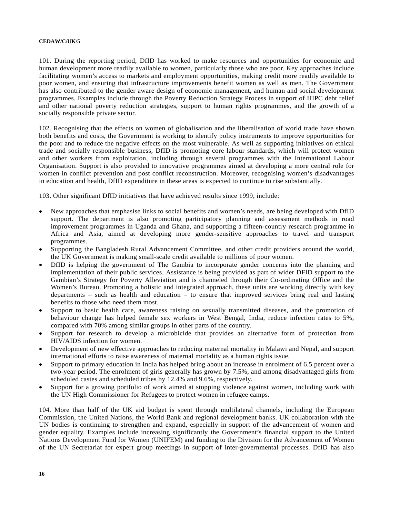101. During the reporting period, DfID has worked to make resources and opportunities for economic and human development more readily available to women, particularly those who are poor. Key approaches include facilitating women's access to markets and employment opportunities, making credit more readily available to poor women, and ensuring that infrastructure improvements benefit women as well as men. The Government has also contributed to the gender aware design of economic management, and human and social development programmes. Examples include through the Poverty Reduction Strategy Process in support of HIPC debt relief and other national poverty reduction strategies, support to human rights programmes, and the growth of a socially responsible private sector.

102. Recognising that the effects on women of globalisation and the liberalisation of world trade have shown both benefits and costs, the Government is working to identify policy instruments to improve opportunities for the poor and to reduce the negative effects on the most vulnerable. As well as supporting initiatives on ethical trade and socially responsible business, DfID is promoting core labour standards, which will protect women and other workers from exploitation, including through several programmes with the International Labour Organisation. Support is also provided to innovative programmes aimed at developing a more central role for women in conflict prevention and post conflict reconstruction. Moreover, recognising women's disadvantages in education and health, DfID expenditure in these areas is expected to continue to rise substantially.

103. Other significant DfID initiatives that have achieved results since 1999, include:

- New approaches that emphasise links to social benefits and women's needs, are being developed with DfID support. The department is also promoting participatory planning and assessment methods in road improvement programmes in Uganda and Ghana, and supporting a fifteen-country research programme in Africa and Asia, aimed at developing more gender-sensitive approaches to travel and transport programmes.
- Supporting the Bangladesh Rural Advancement Committee, and other credit providers around the world, the UK Government is making small-scale credit available to millions of poor women.
- DfID is helping the government of The Gambia to incorporate gender concerns into the planning and implementation of their public services. Assistance is being provided as part of wider DFID support to the Gambian's Strategy for Poverty Alleviation and is channeled through their Co-ordinating Office and the Women's Bureau. Promoting a holistic and integrated approach, these units are working directly with key departments – such as health and education – to ensure that improved services bring real and lasting benefits to those who need them most.
- Support to basic health care, awareness raising on sexually transmitted diseases, and the promotion of behaviour change has helped female sex workers in West Bengal, India, reduce infection rates to 5%, compared with 70% among similar groups in other parts of the country.
- Support for research to develop a microbicide that provides an alternative form of protection from HIV/AIDS infection for women.
- Development of new effective approaches to reducing maternal mortality in Malawi and Nepal, and support international efforts to raise awareness of maternal mortality as a human rights issue.
- Support to primary education in India has helped bring about an increase in enrolment of 6.5 percent over a two-year period. The enrolment of girls generally has grown by 7.5%, and among disadvantaged girls from scheduled castes and scheduled tribes by 12.4% and 9.6%, respectively.
- Support for a growing portfolio of work aimed at stopping violence against women, including work with the UN High Commissioner for Refugees to protect women in refugee camps.

104. More than half of the UK aid budget is spent through multilateral channels, including the European Commission, the United Nations, the World Bank and regional development banks. UK collaboration with the UN bodies is continuing to strengthen and expand, especially in support of the advancement of women and gender equality. Examples include increasing significantly the Government's financial support to the United Nations Development Fund for Women (UNIFEM) and funding to the Division for the Advancement of Women of the UN Secretariat for expert group meetings in support of inter-governmental processes. DfID has also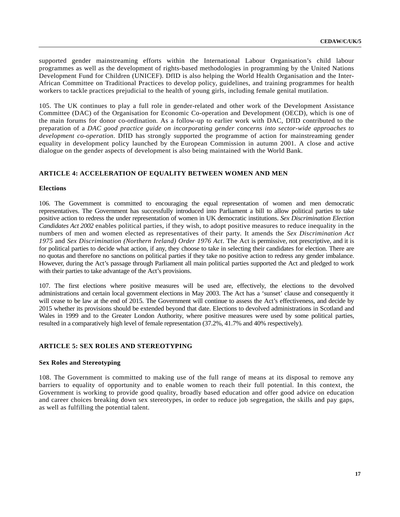supported gender mainstreaming efforts within the International Labour Organisation's child labour programmes as well as the development of rights-based methodologies in programming by the United Nations Development Fund for Children (UNICEF). DfID is also helping the World Health Organisation and the Inter-African Committee on Traditional Practices to develop policy, guidelines, and training programmes for health workers to tackle practices prejudicial to the health of young girls, including female genital mutilation.

105. The UK continues to play a full role in gender-related and other work of the Development Assistance Committee (DAC) of the Organisation for Economic Co-operation and Development (OECD), which is one of the main forums for donor co-ordination. As a follow-up to earlier work with DAC, DfID contributed to the preparation of a *DAC good practice guide on incorporating gender concerns into sector-wide approaches to development co-operation*. DfID has strongly supported the programme of action for mainstreaming gender equality in development policy launched by the European Commission in autumn 2001. A close and active dialogue on the gender aspects of development is also being maintained with the World Bank.

## **ARTICLE 4: ACCELERATION OF EQUALITY BETWEEN WOMEN AND MEN**

#### **Elections**

106. The Government is committed to encouraging the equal representation of women and men democratic representatives. The Government has successfully introduced into Parliament a bill to allow political parties to take positive action to redress the under representation of women in UK democratic institutions. *Sex Discrimination Election Candidates Act 2002* enables political parties, if they wish, to adopt positive measures to reduce inequality in the numbers of men and women elected as representatives of their party. It amends the *Sex Discrimination Act 1975* and *Sex Discrimination (Northern Ireland) Order 1976 Act*. The Act is permissive, not prescriptive, and it is for political parties to decide what action, if any, they choose to take in selecting their candidates for election. There are no quotas and therefore no sanctions on political parties if they take no positive action to redress any gender imbalance. However, during the Act's passage through Parliament all main political parties supported the Act and pledged to work with their parties to take advantage of the Act's provisions.

107. The first elections where positive measures will be used are, effectively, the elections to the devolved administrations and certain local government elections in May 2003. The Act has a 'sunset' clause and consequently it will cease to be law at the end of 2015. The Government will continue to assess the Act's effectiveness, and decide by 2015 whether its provisions should be extended beyond that date. Elections to devolved administrations in Scotland and Wales in 1999 and to the Greater London Authority, where positive measures were used by some political parties, resulted in a comparatively high level of female representation (37.2%, 41.7% and 40% respectively).

## **ARTICLE 5: SEX ROLES AND STEREOTYPING**

#### **Sex Roles and Stereotyping**

108. The Government is committed to making use of the full range of means at its disposal to remove any barriers to equality of opportunity and to enable women to reach their full potential. In this context, the Government is working to provide good quality, broadly based education and offer good advice on education and career choices breaking down sex stereotypes, in order to reduce job segregation, the skills and pay gaps, as well as fulfilling the potential talent.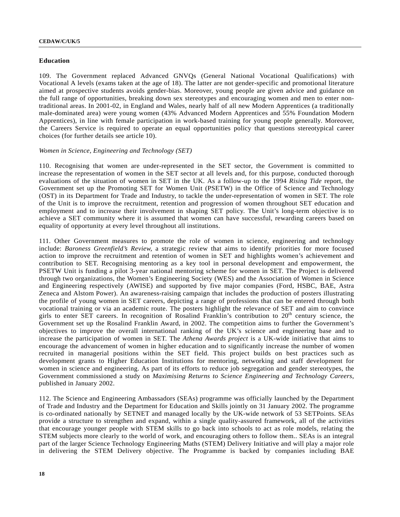## **Education**

109. The Government replaced Advanced GNVQs (General National Vocational Qualifications) with Vocational A levels (exams taken at the age of 18). The latter are not gender-specific and promotional literature aimed at prospective students avoids gender-bias. Moreover, young people are given advice and guidance on the full range of opportunities, breaking down sex stereotypes and encouraging women and men to enter nontraditional areas. In 2001-02, in England and Wales, nearly half of all new Modern Apprentices (a traditionally male-dominated area) were young women (43% Advanced Modern Apprentices and 55% Foundation Modern Apprentices), in line with female participation in work-based training for young people generally. Moreover, the Careers Service is required to operate an equal opportunities policy that questions stereotypical career choices (for further details see article 10).

#### *Women in Science, Engineering and Technology (SET)*

110. Recognising that women are under-represented in the SET sector, the Government is committed to increase the representation of women in the SET sector at all levels and, for this purpose, conducted thorough evaluations of the situation of women in SET in the UK. As a follow-up to the 1994 *Rising Tide* report, the Government set up the Promoting SET for Women Unit (PSETW) in the Office of Science and Technology (OST) in its Department for Trade and Industry, to tackle the under-representation of women in SET. The role of the Unit is to improve the recruitment, retention and progression of women throughout SET education and employment and to increase their involvement in shaping SET policy. The Unit's long-term objective is to achieve a SET community where it is assumed that women can have successful, rewarding careers based on equality of opportunity at every level throughout all institutions.

111. Other Government measures to promote the role of women in science, engineering and technology include: *Baroness Greenfield's Review,* a strategic review that aims to identify priorities for more focused action to improve the recruitment and retention of women in SET and highlights women's achievement and contribution to SET. Recognising mentoring as a key tool in personal development and empowerment, the PSETW Unit is funding a pilot 3-year national mentoring scheme for women in SET. The Project is delivered through two organizations, the Women's Engineering Society (WES) and the Association of Women in Science and Engineering respectively (AWISE) and supported by five major companies (Ford, HSBC, BAE, Astra Zeneca and Alstom Power). An awareness-raising campaign that includes the production of posters illustrating the profile of young women in SET careers, depicting a range of professions that can be entered through both vocational training or via an academic route. The posters highlight the relevance of SET and aim to convince girls to enter SET careers. In recognition of Rosalind Franklin's contribution to  $20<sup>th</sup>$  century science, the Government set up the Rosalind Franklin Award, in 2002. The competition aims to further the Government's objectives to improve the overall international ranking of the UK's science and engineering base and to increase the participation of women in SET. The *Athena Awards project* is a UK-wide initiative that aims to encourage the advancement of women in higher education and to significantly increase the number of women recruited in managerial positions within the SET field. This project builds on best practices such as development grants to Higher Education Institutions for mentoring, networking and staff development for women in science and engineering. As part of its efforts to reduce job segregation and gender stereotypes, the Government commissioned a study on *Maximising Returns to Science Engineering and Technology Careers*, published in January 2002.

112. The Science and Engineering Ambassadors (SEAs) programme was officially launched by the Department of Trade and Industry and the Department for Education and Skills jointly on 31 January 2002. The programme is co-ordinated nationally by SETNET and managed locally by the UK-wide network of 53 SETPoints. SEAs provide a structure to strengthen and expand, within a single quality-assured framework, all of the activities that encourage younger people with STEM skills to go back into schools to act as role models, relating the STEM subjects more clearly to the world of work, and encouraging others to follow them.. SEAs is an integral part of the larger Science Technology Engineering Maths (STEM) Delivery Initiative and will play a major role in delivering the STEM Delivery objective. The Programme is backed by companies including BAE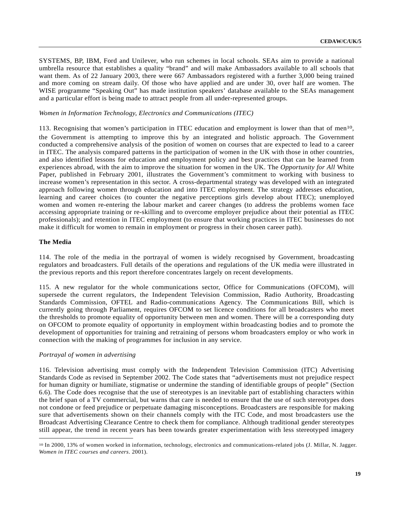SYSTEMS, BP, IBM, Ford and Unilever, who run schemes in local schools. SEAs aim to provide a national umbrella resource that establishes a quality "brand" and will make Ambassadors available to all schools that want them. As of 22 January 2003, there were 667 Ambassadors registered with a further 3,000 being trained and more coming on stream daily. Of those who have applied and are under 30, over half are women. The WISE programme "Speaking Out" has made institution speakers' database available to the SEAs management and a particular effort is being made to attract people from all under-represented groups.

### *Women in Information Technology, Electronics and Communications (ITEC)*

113. Recognising that women's participation in ITEC education and employment is lower than that of men10, the Government is attempting to improve this by an integrated and holistic approach. The Government conducted a comprehensive analysis of the position of women on courses that are expected to lead to a career in ITEC. The analysis compared patterns in the participation of women in the UK with those in other countries, and also identified lessons for education and employment policy and best practices that can be learned from experiences abroad, with the aim to improve the situation for women in the UK. The *Opportunity for All* White Paper, published in February 2001, illustrates the Government's commitment to working with business to increase women's representation in this sector. A cross-departmental strategy was developed with an integrated approach following women through education and into ITEC employment. The strategy addresses education, learning and career choices (to counter the negative perceptions girls develop about ITEC); unemployed women and women re-entering the labour market and career changes (to address the problems women face accessing appropriate training or re-skilling and to overcome employer prejudice about their potential as ITEC professionals); and retention in ITEC employment (to ensure that working practices in ITEC businesses do not make it difficult for women to remain in employment or progress in their chosen career path).

# **The Media**

l

114. The role of the media in the portrayal of women is widely recognised by Government, broadcasting regulators and broadcasters. Full details of the operations and regulations of the UK media were illustrated in the previous reports and this report therefore concentrates largely on recent developments.

115. A new regulator for the whole communications sector, Office for Communications (OFCOM), will supersede the current regulators, the Independent Television Commission, Radio Authority, Broadcasting Standards Commission, OFTEL and Radio-communications Agency. The Communications Bill, which is currently going through Parliament, requires OFCOM to set licence conditions for all broadcasters who meet the thresholds to promote equality of opportunity between men and women. There will be a corresponding duty on OFCOM to promote equality of opportunity in employment within broadcasting bodies and to promote the development of opportunities for training and retraining of persons whom broadcasters employ or who work in connection with the making of programmes for inclusion in any service.

# *Portrayal of women in advertising*

116. Television advertising must comply with the Independent Television Commission (ITC) Advertising Standards Code as revised in September 2002. The Code states that "advertisements must not prejudice respect for human dignity or humiliate, stigmatise or undermine the standing of identifiable groups of people" (Section 6.6). The Code does recognise that the use of stereotypes is an inevitable part of establishing characters within the brief span of a TV commercial, but warns that care is needed to ensure that the use of such stereotypes does not condone or feed prejudice or perpetuate damaging misconceptions. Broadcasters are responsible for making sure that advertisements shown on their channels comply with the ITC Code, and most broadcasters use the Broadcast Advertising Clearance Centre to check them for compliance. Although traditional gender stereotypes still appear, the trend in recent years has been towards greater experimentation with less stereotyped imagery

<sup>10</sup> In 2000, 13% of women worked in information, technology, electronics and communications-related jobs (J. Millar, N. Jagger. *Women in ITEC courses and careers*. 2001).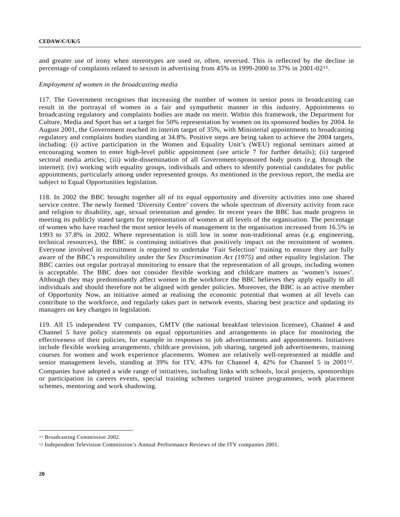and greater use of irony when stereotypes are used or, often, reversed. This is reflected by the decline in percentage of complaints related to sexism in advertising from 45% in 1999-2000 to 37% in 2001-0211.

## *Employment of women in the broadcasting media*

117. The Government recognises that increasing the number of women in senior posts in broadcasting can result in the portrayal of women in a fair and sympathetic manner in this industry. Appointments to broadcasting regulatory and complaints bodies are made on merit. Within this framework, the Department for Culture, Media and Sport has set a target for 50% representation by women on its sponsored bodies by 2004. In August 2001, the Government reached its interim target of 35%, with Ministerial appointments to broadcasting regulatory and complaints bodies standing at 34.8%. Positive steps are being taken to achieve the 2004 targets, including: (i) active participation in the Women and Equality Unit's (WEU) regional seminars aimed at encouraging women to enter high-level public appointment (see article 7 for further details); (ii) targeted sectoral media articles; (iii) wide-dissemination of all Government-sponsored body posts (e.g. through the internet); (iv) working with equality groups, individuals and others to identify potential candidates for public appointments, particularly among under represented groups. As mentioned in the previous report, the media are subject to Equal Opportunities legislation.

118. In 2002 the BBC brought together all of its equal opportunity and diversity activities into one shared service centre. The newly formed 'Diversity Centre' covers the whole spectrum of diversity activity from race and religion to disability, age, sexual orientation and gender. In recent years the BBC has made progress in meeting its publicly stated targets for representation of women at all levels of the organisation. The percentage of women who have reached the most senior levels of management in the organisation increased from 16.5% in 1993 to 37.8% in 2002. Where representation is still low in some non-traditional areas (e.g. engineering, technical resources), the BBC is continuing initiatives that positively impact on the recruitment of women. Everyone involved in recruitment is required to undertake 'Fair Selection' training to ensure they are fully aware of the BBC's responsibility under the *Sex Discrimination Act (1975)* and other equality legislation. The BBC carries out regular portrayal monitoring to ensure that the representation of all groups, including women is acceptable. The BBC does not consider flexible working and childcare matters as 'women's issues'. Although they may predominantly affect women in the workforce the BBC believes they apply equally to all individuals and should therefore not be aligned with gender policies. Moreover, the BBC is an active member of Opportunity Now, an initiative aimed at realising the economic potential that women at all levels can contribute to the workforce, and regularly takes part in network events, sharing best practice and updating its managers on key changes in legislation.

119. All 15 independent TV companies, GMTV (the national breakfast television licensee), Channel 4 and Channel 5 have policy statements on equal opportunities and arrangements in place for monitoring the effectiveness of their policies, for example in responses to job advertisements and appointments. Initiatives include flexible working arrangements, childcare provision, job sharing, targeted job advertisements, training courses for women and work experience placements. Women are relatively well-represented at middle and senior management levels, standing at 39% for ITV, 43% for Channel 4, 42% for Channel 5 in 2001<sup>12</sup>. Companies have adopted a wide range of initiatives, including links with schools, local projects, sponsorships or participation in careers events, special training schemes targeted trainee programmes, work placement schemes, mentoring and work shadowing.

l

<sup>11</sup> Broadcasting Commission 2002.

<sup>12</sup> Independent Television Commission's Annual Performance Reviews of the ITV companies 2001.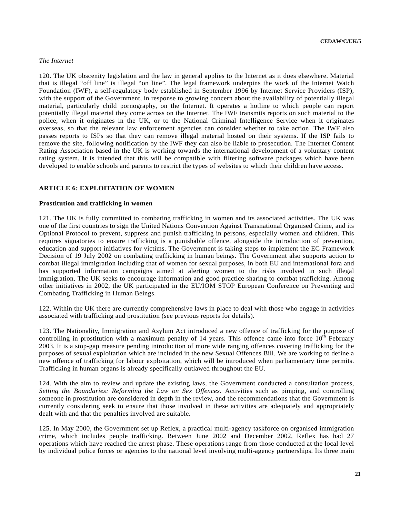# *The Internet*

120. The UK obscenity legislation and the law in general applies to the Internet as it does elsewhere. Material that is illegal "off line" is illegal "on line". The legal framework underpins the work of the Internet Watch Foundation (IWF), a self-regulatory body established in September 1996 by Internet Service Providers (ISP), with the support of the Government, in response to growing concern about the availability of potentially illegal material, particularly child pornography, on the Internet. It operates a hotline to which people can report potentially illegal material they come across on the Internet. The IWF transmits reports on such material to the police, when it originates in the UK, or to the National Criminal Intelligence Service when it originates overseas, so that the relevant law enforcement agencies can consider whether to take action. The IWF also passes reports to ISPs so that they can remove illegal material hosted on their systems. If the ISP fails to remove the site, following notification by the IWF they can also be liable to prosecution. The Internet Content Rating Association based in the UK is working towards the international development of a voluntary content rating system. It is intended that this will be compatible with filtering software packages which have been developed to enable schools and parents to restrict the types of websites to which their children have access.

# **ARTICLE 6: EXPLOITATION OF WOMEN**

## **Prostitution and trafficking in women**

121. The UK is fully committed to combating trafficking in women and its associated activities. The UK was one of the first countries to sign the United Nations Convention Against Transnational Organised Crime, and its Optional Protocol to prevent, suppress and punish trafficking in persons, especially women and children. This requires signatories to ensure trafficking is a punishable offence, alongside the introduction of prevention, education and support initiatives for victims. The Government is taking steps to implement the EC Framework Decision of 19 July 2002 on combating trafficking in human beings. The Government also supports action to combat illegal immigration including that of women for sexual purposes, in both EU and international fora and has supported information campaigns aimed at alerting women to the risks involved in such illegal immigration. The UK seeks to encourage information and good practice sharing to combat trafficking. Among other initiatives in 2002, the UK participated in the EU/IOM STOP European Conference on Preventing and Combating Trafficking in Human Beings.

122. Within the UK there are currently comprehensive laws in place to deal with those who engage in activities associated with trafficking and prostitution (see previous reports for details).

123. The Nationality, Immigration and Asylum Act introduced a new offence of trafficking for the purpose of controlling in prostitution with a maximum penalty of 14 years. This offence came into force  $10<sup>th</sup>$  February 2003. It is a stop-gap measure pending introduction of more wide ranging offences covering trafficking for the purposes of sexual exploitation which are included in the new Sexual Offences Bill. We are working to define a new offence of trafficking for labour exploitation, which will be introduced when parliamentary time permits. Trafficking in human organs is already specifically outlawed throughout the EU.

124. With the aim to review and update the existing laws, the Government conducted a consultation process, *Setting the Boundaries: Reforming the Law on Sex Offences*. Activities such as pimping, and controlling someone in prostitution are considered in depth in the review, and the recommendations that the Government is currently considering seek to ensure that those involved in these activities are adequately and appropriately dealt with and that the penalties involved are suitable.

125. In May 2000, the Government set up Reflex, a practical multi-agency taskforce on organised immigration crime, which includes people trafficking. Between June 2002 and December 2002, Reflex has had 27 operations which have reached the arrest phase. These operations range from those conducted at the local level by individual police forces or agencies to the national level involving multi-agency partnerships. Its three main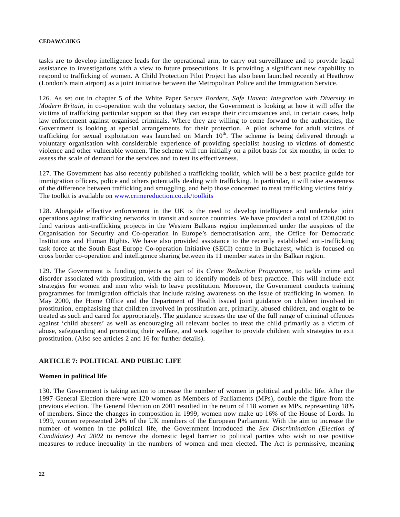tasks are to develop intelligence leads for the operational arm, to carry out surveillance and to provide legal assistance to investigations with a view to future prosecutions. It is providing a significant new capability to respond to trafficking of women. A Child Protection Pilot Project has also been launched recently at Heathrow (London's main airport) as a joint initiative between the Metropolitan Police and the Immigration Service.

126. As set out in chapter 5 of the White Paper *Secure Borders, Safe Haven: Integration with Diversity in Modern Britain*, in co-operation with the voluntary sector, the Government is looking at how it will offer the victims of trafficking particular support so that they can escape their circumstances and, in certain cases, help law enforcement against organised criminals. Where they are willing to come forward to the authorities, the Government is looking at special arrangements for their protection. A pilot scheme for adult victims of trafficking for sexual exploitation was launched on March  $10<sup>th</sup>$ . The scheme is being delivered through a voluntary organisation with considerable experience of providing specialist housing to victims of domestic violence and other vulnerable women. The scheme will run initially on a pilot basis for six months, in order to assess the scale of demand for the services and to test its effectiveness.

127. The Government has also recently published a trafficking toolkit, which will be a best practice guide for immigration officers, police and others potentially dealing with trafficking. In particular, it will raise awareness of the difference between trafficking and smuggling, and help those concerned to treat trafficking victims fairly. The toolkit is available on www.crimereduction.co.uk/toolkits

128. Alongside effective enforcement in the UK is the need to develop intelligence and undertake joint operations against trafficking networks in transit and source countries. We have provided a total of £200,000 to fund various anti-trafficking projects in the Western Balkans region implemented under the auspices of the Organisation for Security and Co-operation in Europe's democratisation arm, the Office for Democratic Institutions and Human Rights. We have also provided assistance to the recently established anti-trafficking task force at the South East Europe Co-operation Initiative (SECI) centre in Bucharest, which is focused on cross border co-operation and intelligence sharing between its 11 member states in the Balkan region.

129. The Government is funding projects as part of its *Crime Reduction Programme*, to tackle crime and disorder associated with prostitution, with the aim to identify models of best practice. This will include exit strategies for women and men who wish to leave prostitution. Moreover, the Government conducts training programmes for immigration officials that include raising awareness on the issue of trafficking in women. In May 2000, the Home Office and the Department of Health issued joint guidance on children involved in prostitution, emphasising that children involved in prostitution are, primarily, abused children, and ought to be treated as such and cared for appropriately. The guidance stresses the use of the full range of criminal offences against 'child abusers' as well as encouraging all relevant bodies to treat the child primarily as a victim of abuse, safeguarding and promoting their welfare, and work together to provide children with strategies to exit prostitution. (Also see articles 2 and 16 for further details).

# **ARTICLE 7: POLITICAL AND PUBLIC LIFE**

### **Women in political life**

130. The Government is taking action to increase the number of women in political and public life. After the 1997 General Election there were 120 women as Members of Parliaments (MPs), double the figure from the previous election. The General Election on 2001 resulted in the return of 118 women as MPs, representing 18% of members. Since the changes in composition in 1999, women now make up 16% of the House of Lords. In 1999, women represented 24% of the UK members of the European Parliament. With the aim to increase the number of women in the political life, the Government introduced the *Sex Discrimination (Election of Candidates) Act 2002* to remove the domestic legal barrier to political parties who wish to use positive measures to reduce inequality in the numbers of women and men elected. The Act is permissive, meaning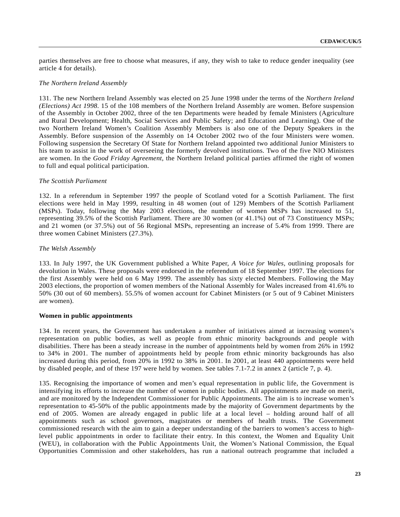parties themselves are free to choose what measures, if any, they wish to take to reduce gender inequality (see article 4 for details).

## *The Northern Ireland Assembly*

131. The new Northern Ireland Assembly was elected on 25 June 1998 under the terms of the *Northern Ireland (Elections) Act 1998*. 15 of the 108 members of the Northern Ireland Assembly are women. Before suspension of the Assembly in October 2002, three of the ten Departments were headed by female Ministers (Agriculture and Rural Development; Health, Social Services and Public Safety; and Education and Learning). One of the two Northern Ireland Women's Coalition Assembly Members is also one of the Deputy Speakers in the Assembly. Before suspension of the Assembly on 14 October 2002 two of the four Ministers were women. Following suspension the Secretary Of State for Northern Ireland appointed two additional Junior Ministers to his team to assist in the work of overseeing the formerly devolved institutions. Two of the five NIO Ministers are women. In the *Good Friday Agreement*, the Northern Ireland political parties affirmed the right of women to full and equal political participation.

## *The Scottish Parliament*

132. In a referendum in September 1997 the people of Scotland voted for a Scottish Parliament. The first elections were held in May 1999, resulting in 48 women (out of 129) Members of the Scottish Parliament (MSPs). Today, following the May 2003 elections, the number of women MSPs has increased to 51, representing 39.5% of the Scottish Parliament. There are 30 women (or 41.1%) out of 73 Constituency MSPs; and 21 women (or 37.5%) out of 56 Regional MSPs, representing an increase of 5.4% from 1999. There are three women Cabinet Ministers (27.3%).

## *The Welsh Assembly*

133. In July 1997, the UK Government published a White Paper, *A Voice for Wales*, outlining proposals for devolution in Wales. These proposals were endorsed in the referendum of 18 September 1997. The elections for the first Assembly were held on 6 May 1999. The assembly has sixty elected Members. Following the May 2003 elections, the proportion of women members of the National Assembly for Wales increased from 41.6% to 50% (30 out of 60 members). 55.5% of women account for Cabinet Ministers (or 5 out of 9 Cabinet Ministers are women).

# **Women in public appointments**

134. In recent years, the Government has undertaken a number of initiatives aimed at increasing women's representation on public bodies, as well as people from ethnic minority backgrounds and people with disabilities. There has been a steady increase in the number of appointments held by women from 26% in 1992 to 34% in 2001. The number of appointments held by people from ethnic minority backgrounds has also increased during this period, from 20% in 1992 to 38% in 2001. In 2001, at least 440 appointments were held by disabled people, and of these 197 were held by women. See tables 7.1-7.2 in annex 2 (article 7, p. 4).

135. Recognising the importance of women and men's equal representation in public life, the Government is intensifying its efforts to increase the number of women in public bodies. All appointments are made on merit, and are monitored by the Independent Commissioner for Public Appointments. The aim is to increase women's representation to 45-50% of the public appointments made by the majority of Government departments by the end of 2005. Women are already engaged in public life at a local level – holding around half of all appointments such as school governors, magistrates or members of health trusts. The Government commissioned research with the aim to gain a deeper understanding of the barriers to women's access to highlevel public appointments in order to facilitate their entry. In this context, the Women and Equality Unit (WEU), in collaboration with the Public Appointments Unit, the Women's National Commission, the Equal Opportunities Commission and other stakeholders, has run a national outreach programme that included a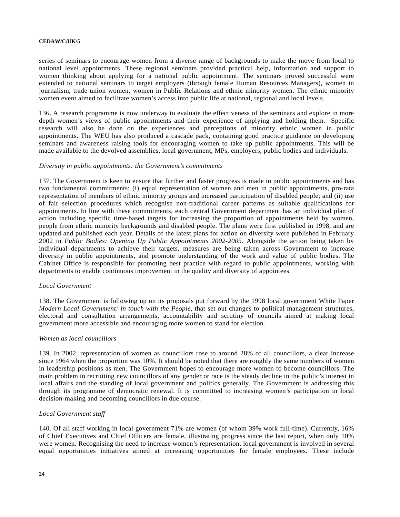series of seminars to encourage women from a diverse range of backgrounds to make the move from local to national level appointments. These regional seminars provided practical help, information and support to women thinking about applying for a national public appointment. The seminars proved successful were extended to national seminars to target employers (through female Human Resources Managers), women in journalism, trade union women, women in Public Relations and ethnic minority women. The ethnic minority women event aimed to facilitate women's access into public life at national, regional and local levels.

136. A research programme is now underway to evaluate the effectiveness of the seminars and explore in more depth women's views of public appointments and their experience of applying and holding them. Specific research will also be done on the experiences and perceptions of minority ethnic women in public appointments. The WEU has also produced a cascade pack, containing good practice guidance on developing seminars and awareness raising tools for encouraging women to take up public appointments. This will be made available to the devolved assemblies, local government, MPs, employers, public bodies and individuals.

# *Diversity in public appointments: the Government's commitments*

137. The Government is keen to ensure that further and faster progress is made in public appointments and has two fundamental commitments: (i) equal representation of women and men in public appointments, pro-rata representation of members of ethnic minority groups and increased participation of disabled people; and (ii) use of fair selection procedures which recognise non-traditional career patterns as suitable qualifications for appointments. In line with these commitments, each central Government department has an individual plan of action including specific time-based targets for increasing the proportion of appointments held by women, people from ethnic minority backgrounds and disabled people. The plans were first published in 1998, and are updated and published each year. Details of the latest plans for action on diversity were published in February 2002 in *Public Bodies: Opening Up Public Appointments 2002-2005*. Alongside the action being taken by individual departments to achieve their targets, measures are being taken across Government to increase diversity in public appointments, and promote understanding of the work and value of public bodies. The Cabinet Office is responsible for promoting best practice with regard to public appointments, working with departments to enable continuous improvement in the quality and diversity of appointees.

### *Local Government*

138. The Government is following up on its proposals put forward by the 1998 local government White Paper *Modern Local Government: in touch with the People, that set out changes to political management structures,* electoral and consultation arrangements, accountability and scrutiny of councils aimed at making local government more accessible and encouraging more women to stand for election.

#### *Women as local councillors*

139. In 2002, representation of women as councillors rose to around 28% of all councillors, a clear increase since 1964 when the proportion was 10%. It should be noted that there are roughly the same numbers of women in leadership positions as men. The Government hopes to encourage more women to become councillors. The main problem in recruiting new councillors of any gender or race is the steady decline in the public's interest in local affairs and the standing of local government and politics generally. The Government is addressing this through its programme of democratic renewal. It is committed to increasing women's participation in local decision-making and becoming councillors in due course.

## *Local Government staff*

140. Of all staff working in local government 71% are women (of whom 39% work full-time). Currently, 16% of Chief Executives and Chief Officers are female, illustrating progress since the last report, when only 10% were women. Recognising the need to increase women's representation, local government is involved in several equal opportunities initiatives aimed at increasing opportunities for female employees. These include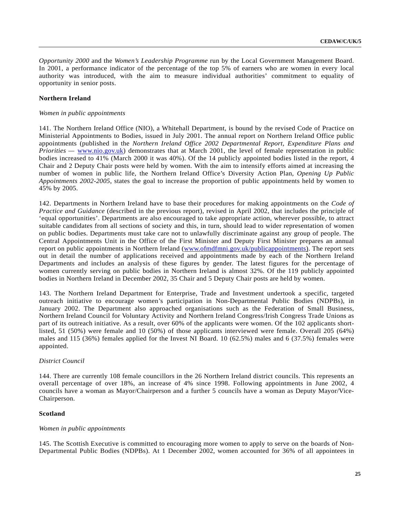*Opportunity 2000* and the *Women's Leadership Programme* run by the Local Government Management Board. In 2001, a performance indicator of the percentage of the top 5% of earners who are women in every local authority was introduced, with the aim to measure individual authorities' commitment to equality of opportunity in senior posts.

## **Northern Ireland**

### *Women in public appointments*

141. The Northern Ireland Office (NIO), a Whitehall Department, is bound by the revised Code of Practice on Ministerial Appointments to Bodies, issued in July 2001. The annual report on Northern Ireland Office public appointments (published in the *Northern Ireland Office 2002 Departmental Report, Expenditure Plans and Priorities* — **www.nio.gov.uk**) demonstrates that at March 2001, the level of female representation in public bodies increased to 41% (March 2000 it was 40%). Of the 14 publicly appointed bodies listed in the report, 4 Chair and 2 Deputy Chair posts were held by women. With the aim to intensify efforts aimed at increasing the number of women in public life, the Northern Ireland Office's Diversity Action Plan*, Opening Up Public Appointments 2002-2005*, states the goal to increase the proportion of public appointments held by women to 45% by 2005.

142. Departments in Northern Ireland have to base their procedures for making appointments on the *Code of Practice and Guidance* (described in the previous report), revised in April 2002, that includes the principle of 'equal opportunities'. Departments are also encouraged to take appropriate action, wherever possible, to attract suitable candidates from all sections of society and this, in turn, should lead to wider representation of women on public bodies. Departments must take care not to unlawfully discriminate against any group of people. The Central Appointments Unit in the Office of the First Minister and Deputy First Minister prepares an annual report on public appointments in Northern Ireland (www.ofmdfmni.gov.uk/publicappointments). The report sets out in detail the number of applications received and appointments made by each of the Northern Ireland Departments and includes an analysis of these figures by gender. The latest figures for the percentage of women currently serving on public bodies in Northern Ireland is almost 32%. Of the 119 publicly appointed bodies in Northern Ireland in December 2002, 35 Chair and 5 Deputy Chair posts are held by women.

143. The Northern Ireland Department for Enterprise, Trade and Investment undertook a specific, targeted outreach initiative to encourage women's participation in Non-Departmental Public Bodies (NDPBs), in January 2002. The Department also approached organisations such as the Federation of Small Business, Northern Ireland Council for Voluntary Activity and Northern Ireland Congress/Irish Congress Trade Unions as part of its outreach initiative. As a result, over 60% of the applicants were women. Of the 102 applicants shortlisted, 51 (50%) were female and 10 (50%) of those applicants interviewed were female. Overall 205 (64%) males and 115 (36%) females applied for the Invest NI Board. 10 (62.5%) males and 6 (37.5%) females were appointed.

### *District Council*

144. There are currently 108 female councillors in the 26 Northern Ireland district councils. This represents an overall percentage of over 18%, an increase of 4% since 1998. Following appointments in June 2002, 4 councils have a woman as Mayor/Chairperson and a further 5 councils have a woman as Deputy Mayor/Vice-Chairperson.

## **Scotland**

### *Women in public appointments*

145. The Scottish Executive is committed to encouraging more women to apply to serve on the boards of Non-Departmental Public Bodies (NDPBs). At 1 December 2002, women accounted for 36% of all appointees in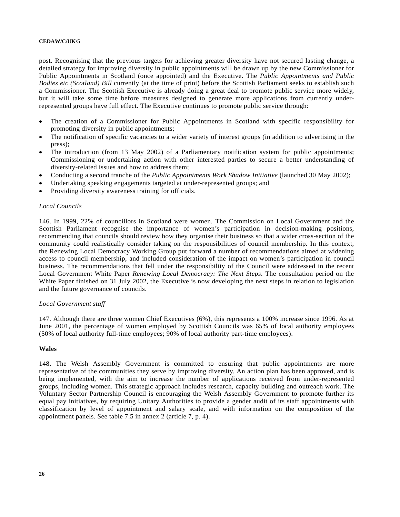post. Recognising that the previous targets for achieving greater diversity have not secured lasting change, a detailed strategy for improving diversity in public appointments will be drawn up by the new Commissioner for Public Appointments in Scotland (once appointed) and the Executive. The *Public Appointments and Public Bodies etc (Scotland) Bill* currently (at the time of print) before the Scottish Parliament seeks to establish such a Commissioner. The Scottish Executive is already doing a great deal to promote public service more widely, but it will take some time before measures designed to generate more applications from currently underrepresented groups have full effect. The Executive continues to promote public service through:

- The creation of a Commissioner for Public Appointments in Scotland with specific responsibility for promoting diversity in public appointments;
- The notification of specific vacancies to a wider variety of interest groups (in addition to advertising in the press);
- The introduction (from 13 May 2002) of a Parliamentary notification system for public appointments; Commissioning or undertaking action with other interested parties to secure a better understanding of diversity-related issues and how to address them;
- Conducting a second tranche of the *Public Appointments Work Shadow Initiative* (launched 30 May 2002);
- Undertaking speaking engagements targeted at under-represented groups; and
- Providing diversity awareness training for officials.

## *Local Councils*

146. In 1999, 22% of councillors in Scotland were women. The Commission on Local Government and the Scottish Parliament recognise the importance of women's participation in decision-making positions, recommending that councils should review how they organise their business so that a wider cross-section of the community could realistically consider taking on the responsibilities of council membership. In this context, the Renewing Local Democracy Working Group put forward a number of recommendations aimed at widening access to council membership, and included consideration of the impact on women's participation in council business. The recommendations that fell under the responsibility of the Council were addressed in the recent Local Government White Paper *Renewing Local Democracy: The Next Steps*. The consultation period on the White Paper finished on 31 July 2002, the Executive is now developing the next steps in relation to legislation and the future governance of councils.

## *Local Government staff*

147. Although there are three women Chief Executives (6%), this represents a 100% increase since 1996. As at June 2001, the percentage of women employed by Scottish Councils was 65% of local authority employees (50% of local authority full-time employees; 90% of local authority part-time employees).

## **Wales**

148. The Welsh Assembly Government is committed to ensuring that public appointments are more representative of the communities they serve by improving diversity. An action plan has been approved, and is being implemented, with the aim to increase the number of applications received from under-represented groups, including women. This strategic approach includes research, capacity building and outreach work. The Voluntary Sector Partnership Council is encouraging the Welsh Assembly Government to promote further its equal pay initiatives, by requiring Unitary Authorities to provide a gender audit of its staff appointments with classification by level of appointment and salary scale, and with information on the composition of the appointment panels. See table 7.5 in annex 2 (article 7, p. 4).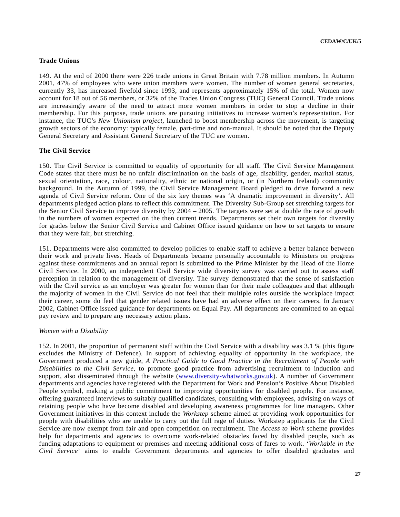# **Trade Unions**

149. At the end of 2000 there were 226 trade unions in Great Britain with 7.78 million members. In Autumn 2001, 47% of employees who were union members were women. The number of women general secretaries, currently 33, has increased fivefold since 1993, and represents approximately 15% of the total. Women now account for 18 out of 56 members, or 32% of the Trades Union Congress (TUC) General Council. Trade unions are increasingly aware of the need to attract more women members in order to stop a decline in their membership. For this purpose, trade unions are pursuing initiatives to increase women's representation. For instance, the TUC's *New Unionism project*, launched to boost membership across the movement, is targeting growth sectors of the economy: typically female, part-time and non-manual. It should be noted that the Deputy General Secretary and Assistant General Secretary of the TUC are women.

# **The Civil Service**

150. The Civil Service is committed to equality of opportunity for all staff. The Civil Service Management Code states that there must be no unfair discrimination on the basis of age, disability, gender, marital status, sexual orientation, race, colour, nationality, ethnic or national origin, or (in Northern Ireland) community background. In the Autumn of 1999, the Civil Service Management Board pledged to drive forward a new agenda of Civil Service reform. One of the six key themes was 'A dramatic improvement in diversity'. All departments pledged action plans to reflect this commitment. The Diversity Sub-Group set stretching targets for the Senior Civil Service to improve diversity by 2004 – 2005. The targets were set at double the rate of growth in the numbers of women expected on the then current trends. Departments set their own targets for diversity for grades below the Senior Civil Service and Cabinet Office issued guidance on how to set targets to ensure that they were fair, but stretching.

151. Departments were also committed to develop policies to enable staff to achieve a better balance between their work and private lives. Heads of Departments became personally accountable to Ministers on progress against these commitments and an annual report is submitted to the Prime Minister by the Head of the Home Civil Service. In 2000, an independent Civil Service wide diversity survey was carried out to assess staff perception in relation to the management of diversity. The survey demonstrated that the sense of satisfaction with the Civil service as an employer was greater for women than for their male colleagues and that although the majority of women in the Civil Service do not feel that their multiple roles outside the workplace impact their career, some do feel that gender related issues have had an adverse effect on their careers. In January 2002, Cabinet Office issued guidance for departments on Equal Pay. All departments are committed to an equal pay review and to prepare any necessary action plans.

### *Women with a Disability*

152. In 2001, the proportion of permanent staff within the Civil Service with a disability was 3.1 % (this figure excludes the Ministry of Defence). In support of achieving equality of opportunity in the workplace, the Government produced a new guide, *A Practical Guide to Good Practice in the Recruitment of People with Disabilities to the Civil Service*, to promote good practice from advertising recruitment to induction and support, also disseminated through the website (www.diversity-whatworks.gov.uk). A number of Government departments and agencies have registered with the Department for Work and Pension's Positive About Disabled People symbol, making a public commitment to improving opportunities for disabled people. For instance, offering guaranteed interviews to suitably qualified candidates, consulting with employees, advising on ways of retaining people who have become disabled and developing awareness programmes for line managers. Other Government initiatives in this context include the *Workstep* scheme aimed at providing work opportunities for people with disabilities who are unable to carry out the full rage of duties. Workstep applicants for the Civil Service are now exempt from fair and open competition on recruitment. The *Access to Work* scheme provides help for departments and agencies to overcome work-related obstacles faced by disabled people, such as funding adaptations to equipment or premises and meeting additional costs of fares to work. '*Workable in the Civil Service*' aims to enable Government departments and agencies to offer disabled graduates and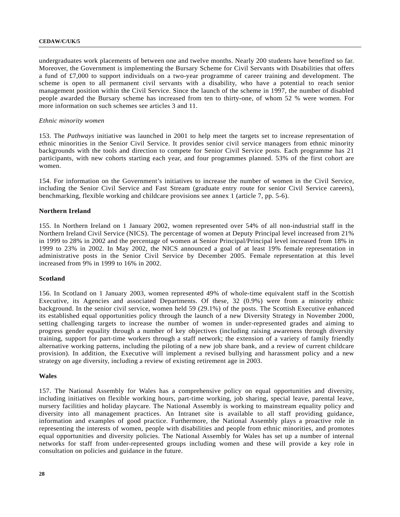undergraduates work placements of between one and twelve months. Nearly 200 students have benefited so far. Moreover, the Government is implementing the Bursary Scheme for Civil Servants with Disabilities that offers a fund of £7,000 to support individuals on a two-year programme of career training and development. The scheme is open to all permanent civil servants with a disability, who have a potential to reach senior management position within the Civil Service. Since the launch of the scheme in 1997, the number of disabled people awarded the Bursary scheme has increased from ten to thirty-one, of whom 52 % were women. For more information on such schemes see articles 3 and 11.

### *Ethnic minority women*

153. The *Pathways* initiative was launched in 2001 to help meet the targets set to increase representation of ethnic minorities in the Senior Civil Service. It provides senior civil service managers from ethnic minority backgrounds with the tools and direction to compete for Senior Civil Service posts. Each programme has 21 participants, with new cohorts starting each year, and four programmes planned. 53% of the first cohort are women.

154. For information on the Government's initiatives to increase the number of women in the Civil Service, including the Senior Civil Service and Fast Stream (graduate entry route for senior Civil Service careers), benchmarking, flexible working and childcare provisions see annex 1 (article 7, pp. 5-6).

### **Northern Ireland**

155. In Northern Ireland on 1 January 2002, women represented over 54% of all non-industrial staff in the Northern Ireland Civil Service (NICS). The percentage of women at Deputy Principal level increased from 21% in 1999 to 28% in 2002 and the percentage of women at Senior Principal/Principal level increased from 18% in 1999 to 23% in 2002. In May 2002, the NICS announced a goal of at least 19% female representation in administrative posts in the Senior Civil Service by December 2005. Female representation at this level increased from 9% in 1999 to 16% in 2002.

## **Scotland**

156. In Scotland on 1 January 2003, women represented 49% of whole-time equivalent staff in the Scottish Executive, its Agencies and associated Departments. Of these, 32 (0.9%) were from a minority ethnic background. In the senior civil service, women held 59 (29.1%) of the posts. The Scottish Executive enhanced its established equal opportunities policy through the launch of a new Diversity Strategy in November 2000, setting challenging targets to increase the number of women in under-represented grades and aiming to progress gender equality through a number of key objectives (including raising awareness through diversity training, support for part-time workers through a staff network; the extension of a variety of family friendly alternative working patterns, including the piloting of a new job share bank, and a review of current childcare provision). In addition, the Executive will implement a revised bullying and harassment policy and a new strategy on age diversity, including a review of existing retirement age in 2003.

### **Wales**

157. The National Assembly for Wales has a comprehensive policy on equal opportunities and diversity, including initiatives on flexible working hours, part-time working, job sharing, special leave, parental leave, nursery facilities and holiday playcare. The National Assembly is working to mainstream equality policy and diversity into all management practices. An Intranet site is available to all staff providing guidance, information and examples of good practice. Furthermore, the National Assembly plays a proactive role in representing the interests of women, people with disabilities and people from ethnic minorities, and promotes equal opportunities and diversity policies. The National Assembly for Wales has set up a number of internal networks for staff from under-represented groups including women and these will provide a key role in consultation on policies and guidance in the future.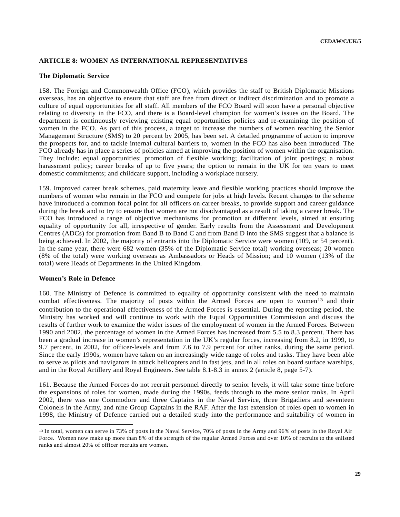# **ARTICLE 8: WOMEN AS INTERNATIONAL REPRESENTATIVES**

## **The Diplomatic Service**

158. The Foreign and Commonwealth Office (FCO), which provides the staff to British Diplomatic Missions overseas, has an objective to ensure that staff are free from direct or indirect discrimination and to promote a culture of equal opportunities for all staff. All members of the FCO Board will soon have a personal objective relating to diversity in the FCO, and there is a Board-level champion for women's issues on the Board. The department is continuously reviewing existing equal opportunities policies and re-examining the position of women in the FCO. As part of this process, a target to increase the numbers of women reaching the Senior Management Structure (SMS) to 20 percent by 2005, has been set. A detailed programme of action to improve the prospects for, and to tackle internal cultural barriers to, women in the FCO has also been introduced. The FCO already has in place a series of policies aimed at improving the position of women within the organisation. They include: equal opportunities; promotion of flexible working; facilitation of joint postings; a robust harassment policy; career breaks of up to five years; the option to remain in the UK for ten years to meet domestic commitments; and childcare support, including a workplace nursery.

159. Improved career break schemes, paid maternity leave and flexible working practices should improve the numbers of women who remain in the FCO and compete for jobs at high levels. Recent changes to the scheme have introduced a common focal point for all officers on career breaks, to provide support and career guidance during the break and to try to ensure that women are not disadvantaged as a result of taking a career break. The FCO has introduced a range of objective mechanisms for promotion at different levels, aimed at ensuring equality of opportunity for all, irrespective of gender. Early results from the Assessment and Development Centres (ADCs) for promotion from Band B to Band C and from Band D into the SMS suggest that a balance is being achieved. In 2002, the majority of entrants into the Diplomatic Service were women (109, or 54 percent). In the same year, there were 682 women (35% of the Diplomatic Service total) working overseas; 20 women (8% of the total) were working overseas as Ambassadors or Heads of Mission; and 10 women (13% of the total) were Heads of Departments in the United Kingdom.

# **Women's Role in Defence**

l

160. The Ministry of Defence is committed to equality of opportunity consistent with the need to maintain combat effectiveness. The majority of posts within the Armed Forces are open to women<sup>13</sup> and their contribution to the operational effectiveness of the Armed Forces is essential. During the reporting period, the Ministry has worked and will continue to work with the Equal Opportunities Commission and discuss the results of further work to examine the wider issues of the employment of women in the Armed Forces. Between 1990 and 2002, the percentage of women in the Armed Forces has increased from 5.5 to 8.3 percent. There has been a gradual increase in women's representation in the UK's regular forces, increasing from 8.2, in 1999, to 9.7 percent, in 2002, for officer-levels and from 7.6 to 7.9 percent for other ranks, during the same period. Since the early 1990s, women have taken on an increasingly wide range of roles and tasks. They have been able to serve as pilots and navigators in attack helicopters and in fast jets, and in all roles on board surface warships, and in the Royal Artillery and Royal Engineers. See table 8.1-8.3 in annex 2 (article 8, page 5-7).

161. Because the Armed Forces do not recruit personnel directly to senior levels, it will take some time before the expansions of roles for women, made during the 1990s, feeds through to the more senior ranks. In April 2002, there was one Commodore and three Captains in the Naval Service, three Brigadiers and seventeen Colonels in the Army, and nine Group Captains in the RAF. After the last extension of roles open to women in 1998, the Ministry of Defence carried out a detailed study into the performance and suitability of women in

<sup>13</sup> In total, women can serve in 73% of posts in the Naval Service, 70% of posts in the Army and 96% of posts in the Royal Air Force. Women now make up more than 8% of the strength of the regular Armed Forces and over 10% of recruits to the enlisted ranks and almost 20% of officer recruits are women.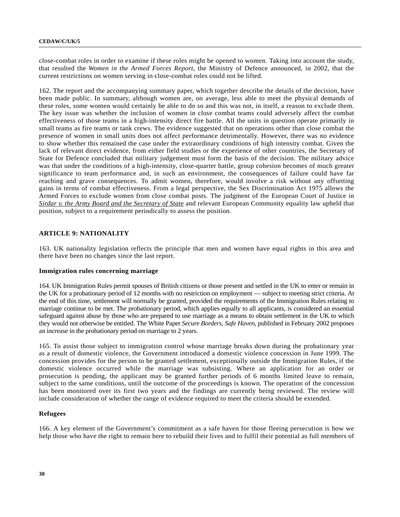close-combat roles in order to examine if these roles might be opened to women. Taking into account the study, that resulted the *Women in the Armed Forces Report,* the Ministry of Defence announced, in 2002, that the current restrictions on women serving in close-combat roles could not be lifted.

162. The report and the accompanying summary paper, which together describe the details of the decision, have been made public. In summary, although women are, on average, less able to meet the physical demands of these roles, some women would certainly be able to do so and this was not, in itself, a reason to exclude them. The key issue was whether the inclusion of women in close combat teams could adversely affect the combat effectiveness of those teams in a high-intensity direct fire battle. All the units in question operate primarily in small teams as fire teams or tank crews. The evidence suggested that on operations other than close combat the presence of women in small units does not affect performance detrimentally. However, there was no evidence to show whether this remained the case under the extraordinary conditions of high intensity combat. Given the lack of relevant direct evidence, from either field studies or the experience of other countries, the Secretary of State for Defence concluded that military judgement must form the basis of the decision. The military advice was that under the conditions of a high-intensity, close-quarter battle, group cohesion becomes of much greater significance to team performance and, in such an environment, the consequences of failure could have far reaching and grave consequences. To admit women, therefore, would involve a risk without any offsetting gains in terms of combat effectiveness. From a legal perspective, the Sex Discrimination Act 1975 allows the Armed Forces to exclude women from close combat posts. The judgment of the European Court of Justice in *Sirdar v. the Army Board and the Secretary of State* and relevant European Community equality law upheld that position, subject to a requirement periodically to assess the position.

# **ARTICLE 9: NATIONALITY**

163. UK nationality legislation reflects the principle that men and women have equal rights in this area and there have been no changes since the last report.

## **Immigration rules concerning marriage**

164. UK Immigration Rules permit spouses of British citizens or those present and settled in the UK to enter or remain in the UK for a probationary period of 12 months with no restriction on employment — subject to meeting strict criteria. At the end of this time, settlement will normally be granted, provided the requirements of the Immigration Rules relating to marriage continue to be met. The probationary period, which applies equally to all applicants, is considered an essential safeguard against abuse by those who are prepared to use marriage as a means to obtain settlement in the UK to which they would not otherwise be entitled. The White Paper *Secure Borders, Safe Haven*, published in February 2002 proposes an increase in the probationary period on marriage to 2 years.

165. To assist those subject to immigration control whose marriage breaks down during the probationary year as a result of domestic violence, the Government introduced a domestic violence concession in June 1999. The concession provides for the person to be granted settlement, exceptionally outside the Immigration Rules, if the domestic violence occurred while the marriage was subsisting. Where an application for an order or prosecution is pending, the applicant may be granted further periods of 6 months limited leave to remain, subject to the same conditions, until the outcome of the proceedings is known. The operation of the concession has been monitored over its first two years and the findings are currently being reviewed. The review will include consideration of whether the range of evidence required to meet the criteria should be extended.

## **Refugees**

166. A key element of the Government's commitment as a safe haven for those fleeing persecution is how we help those who have the right to remain here to rebuild their lives and to fulfil their potential as full members of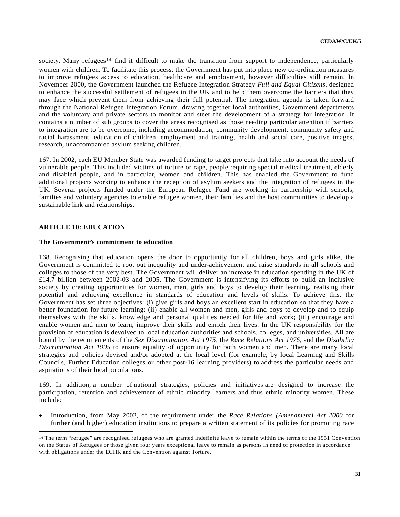society. Many refugees<sup>14</sup> find it difficult to make the transition from support to independence, particularly women with children. To facilitate this process, the Government has put into place new co-ordination measures to improve refugees access to education, healthcare and employment, however difficulties still remain. In November 2000, the Government launched the Refugee Integration Strategy *Full and Equal Citizens*, designed to enhance the successful settlement of refugees in the UK and to help them overcome the barriers that they may face which prevent them from achieving their full potential. The integration agenda is taken forward through the National Refugee Integration Forum, drawing together local authorities, Government departments and the voluntary and private sectors to monitor and steer the development of a strategy for integration. It contains a number of sub groups to cover the areas recognised as those needing particular attention if barriers to integration are to be overcome, including accommodation, community development, community safety and racial harassment, education of children, employment and training, health and social care, positive images, research, unaccompanied asylum seeking children.

167. In 2002, each EU Member State was awarded funding to target projects that take into account the needs of vulnerable people. This included victims of torture or rape, people requiring special medical treatment, elderly and disabled people, and in particular, women and children. This has enabled the Government to fund additional projects working to enhance the reception of asylum seekers and the integration of refugees in the UK. Several projects funded under the European Refugee Fund are working in partnership with schools, families and voluntary agencies to enable refugee women, their families and the host communities to develop a sustainable link and relationships.

## **ARTICLE 10: EDUCATION**

l

### **The Government's commitment to education**

168. Recognising that education opens the door to opportunity for all children, boys and girls alike, the Government is committed to root out inequality and under-achievement and raise standards in all schools and colleges to those of the very best. The Government will deliver an increase in education spending in the UK of £14.7 billion between 2002-03 and 2005. The Government is intensifying its efforts to build an inclusive society by creating opportunities for women, men, girls and boys to develop their learning, realising their potential and achieving excellence in standards of education and levels of skills. To achieve this, the Government has set three objectives: (i) give girls and boys an excellent start in education so that they have a better foundation for future learning; (ii) enable all women and men, girls and boys to develop and to equip themselves with the skills, knowledge and personal qualities needed for life and work; (iii) encourage and enable women and men to learn, improve their skills and enrich their lives. In the UK responsibility for the provision of education is devolved to local education authorities and schools, colleges, and universities. All are bound by the requirements of the *Sex Discrimination Act 1975,* the *Race Relations Act 1976,* and the *Disability Discrimination Act 1995* to ensure equality of opportunity for both women and men. There are many local strategies and policies devised and/or adopted at the local level (for example, by local Learning and Skills Councils, Further Education colleges or other post-16 learning providers) to address the particular needs and aspirations of their local populations.

169. In addition, a number of national strategies, policies and initiatives are designed to increase the participation, retention and achievement of ethnic minority learners and thus ethnic minority women. These include:

• Introduction, from May 2002, of the requirement under the *Race Relations (Amendment) Act 2000* for further (and higher) education institutions to prepare a written statement of its policies for promoting race

<sup>14</sup> The term "refugee" are recognised refugees who are granted indefinite leave to remain within the terms of the 1951 Convention on the Status of Refugees or those given four years exceptional leave to remain as persons in need of protection in accordance with obligations under the ECHR and the Convention against Torture.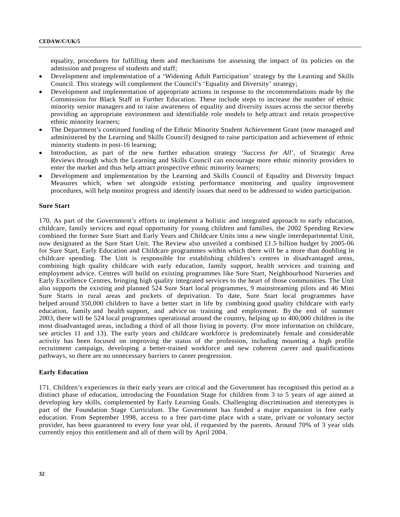equality, procedures for fulfilling them and mechanisms for assessing the impact of its policies on the admission and progress of students and staff;

- Development and implementation of a 'Widening Adult Participation' strategy by the Learning and Skills Council. This strategy will complement the Council's 'Equality and Diversity' strategy;
- Development and implementation of appropriate actions in response to the recommendations made by the Commission for Black Staff in Further Education. These include steps to increase the number of ethnic minority senior managers and to raise awareness of equality and diversity issues across the sector thereby providing an appropriate environment and identifiable role models to help attract and retain prospective ethnic minority learners;
- The Department's continued funding of the Ethnic Minority Student Achievement Grant (now managed and administered by the Learning and Skills Council) designed to raise participation and achievement of ethnic minority students in post-16 learning;
- Introduction, as part of the new further education strategy '*Success for All*', of Strategic Area Reviews through which the Learning and Skills Council can encourage more ethnic minority providers to enter the market and thus help attract prospective ethnic minority learners;
- Development and implementation by the Learning and Skills Council of Equality and Diversity Impact Measures which, when set alongside existing performance monitoring and quality improvement procedures, will help monitor progress and identify issues that need to be addressed to widen participation.

## **Sure Start**

170. As part of the Government's efforts to implement a holistic and integrated approach to early education, childcare, family services and equal opportunity for young children and families, the 2002 Spending Review combined the former Sure Start and Early Years and Childcare Units into a new single interdepartmental Unit, now designated as the Sure Start Unit. The Review also unveiled a combined £1.5 billion budget by 2005-06 for Sure Start, Early Education and Childcare programmes within which there will be a more than doubling in childcare spending. The Unit is responsible for *e*stablishing children's centres in disadvantaged areas, combining high quality childcare with early education, family support, health services and training and employment advice. Centres will build on existing programmes like Sure Start, Neighbourhood Nurseries and Early Excellence Centres, bringing high quality integrated services to the heart of those communities. The Unit also supports the existing and planned 524 Sure Start local programmes, 9 mainstreaming pilots and 46 Mini Sure Starts in rural areas and pockets of deprivation. To date, Sure Start local programmes have helped around 350,000 children to have a better start in life by combining good quality childcare with early education, family and health support, and advice on training and employment. By the end of summer 2003, there will be 524 local programmes operational around the country, helping up to 400,000 children in the most disadvantaged areas, including a third of all those living in poverty. (For more information on childcare, see articles 11 and 13). The early years and childcare workforce is predominately female and considerable activity has been focused on improving the status of the profession, including mounting a high profile recruitment campaign, developing a better-trained workforce and new coherent career and qualifications pathways, so there are no unnecessary barriers to career progression.

### **Early Education**

171. Children's experiences in their early years are critical and the Government has recognised this period as a distinct phase of education, introducing the Foundation Stage for children from 3 to 5 years of age aimed at developing key skills, complemented by Early Learning Goals. Challenging discrimination and stereotypes is part of the Foundation Stage Curriculum. The Government has funded a major expansion in free early education. From September 1998, access to a free part-time place with a state, private or voluntary sector provider, has been guaranteed to every four year old, if requested by the parents. Around 70% of 3 year olds currently enjoy this entitlement and all of them will by April 2004.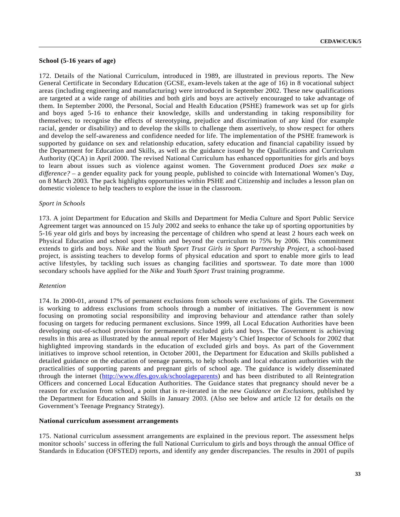# **School (5-16 years of age)**

172. Details of the National Curriculum, introduced in 1989, are illustrated in previous reports. The New General Certificate in Secondary Education (GCSE, exam-levels taken at the age of 16) in 8 vocational subject areas (including engineering and manufacturing) were introduced in September 2002. These new qualifications are targeted at a wide range of abilities and both girls and boys are actively encouraged to take advantage of them. In September 2000, the Personal, Social and Health Education (PSHE) framework was set up for girls and boys aged 5-16 to enhance their knowledge, skills and understanding in taking responsibility for themselves; to recognise the effects of stereotyping, prejudice and discrimination of any kind (for example racial, gender or disability) and to develop the skills to challenge them assertively, to show respect for others and develop the self-awareness and confidence needed for life. The implementation of the PSHE framework is supported by guidance on sex and relationship education, safety education and financial capability issued by the Department for Education and Skills, as well as the guidance issued by the Qualifications and Curriculum Authority (QCA) in April 2000. The revised National Curriculum has enhanced opportunities for girls and boys to learn about issues such as violence against women. The Government produced *Does sex make a difference?* – a gender equality pack for young people, published to coincide with International Women's Day, on 8 March 2003. The pack highlights opportunities within PSHE and Citizenship and includes a lesson plan on domestic violence to help teachers to explore the issue in the classroom.

## *Sport in Schools*

173. A joint Department for Education and Skills and Department for Media Culture and Sport Public Service Agreement target was announced on 15 July 2002 and seeks to enhance the take up of sporting opportunities by 5-16 year old girls and boys by increasing the percentage of children who spend at least 2 hours each week on Physical Education and school sport within and beyond the curriculum to 75% by 2006. This commitment extends to girls and boys. *Nike* and the *Youth Sport Trust Girls in Sport Partnership Project,* a school-based project, is assisting teachers to develop forms of physical education and sport to enable more girls to lead active lifestyles, by tackling such issues as changing facilities and sportswear. To date more than 1000 secondary schools have applied for the *Nike* and *Youth Sport Trust* training programme.

### *Retention*

174. In 2000-01, around 17% of permanent exclusions from schools were exclusions of girls. The Government is working to address exclusions from schools through a number of initiatives. The Government is now focusing on promoting social responsibility and improving behaviour and attendance rather than solely focusing on targets for reducing permanent exclusions. Since 1999, all Local Education Authorities have been developing out-of-school provision for permanently excluded girls and boys. The Government is achieving results in this area as illustrated by the annual report of Her Majesty's Chief Inspector of Schools for 2002 that highlighted improving standards in the education of excluded girls and boys. As part of the Government initiatives to improve school retention, in October 2001, the Department for Education and Skills published a detailed guidance on the education of teenage parents, to help schools and local education authorities with the practicalities of supporting parents and pregnant girls of school age. The guidance is widely disseminated through the internet (http://www.dfes.gov.uk/schoolageparents) and has been distributed to all Reintegration Officers and concerned Local Education Authorities. The Guidance states that pregnancy should never be a reason for exclusion from school, a point that is re-iterated in the new *Guidance on Exclusions,* published by the Department for Education and Skills in January 2003. (Also see below and article 12 for details on the Government's Teenage Pregnancy Strategy).

### **National curriculum assessment arrangements**

175. National curriculum assessment arrangements are explained in the previous report. The assessment helps monitor schools' success in offering the full National Curriculum to girls and boys through the annual Office of Standards in Education (OFSTED) reports, and identify any gender discrepancies. The results in 2001 of pupils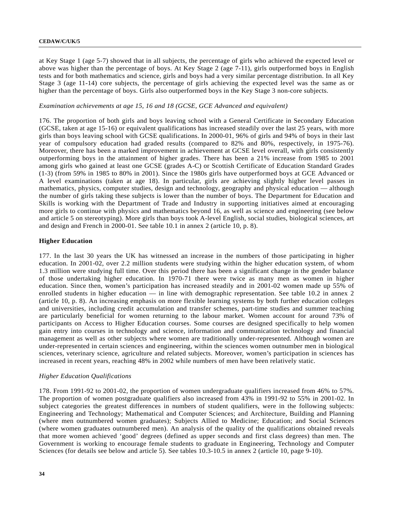at Key Stage 1 (age 5-7) showed that in all subjects, the percentage of girls who achieved the expected level or above was higher than the percentage of boys. At Key Stage 2 (age 7-11), girls outperformed boys in English tests and for both mathematics and science, girls and boys had a very similar percentage distribution. In all Key Stage 3 (age 11-14) core subjects, the percentage of girls achieving the expected level was the same as or higher than the percentage of boys. Girls also outperformed boys in the Key Stage 3 non-core subjects.

# *Examination achievements at age 15, 16 and 18 (GCSE, GCE Advanced and equivalent)*

176. The proportion of both girls and boys leaving school with a General Certificate in Secondary Education (GCSE, taken at age 15-16) or equivalent qualifications has increased steadily over the last 25 years, with more girls than boys leaving school with GCSE qualifications. In 2000-01, 96% of girls and 94% of boys in their last year of compulsory education had graded results (compared to 82% and 80%, respectively, in 1975-76). Moreover, there has been a marked improvement in achievement at GCSE level overall, with girls consistently outperforming boys in the attainment of higher grades. There has been a 21% increase from 1985 to 2001 among girls who gained at least one GCSE (grades A-C) or Scottish Certificate of Education Standard Grades (1-3) (from 59% in 1985 to 80% in 2001). Since the 1980s girls have outperformed boys at GCE Advanced or A level examinations (taken at age 18). In particular, girls are achieving slightly higher level passes in mathematics, physics, computer studies, design and technology, geography and physical education — although the number of girls taking these subjects is lower than the number of boys. The Department for Education and Skills is working with the Department of Trade and Industry in supporting initiatives aimed at encouraging more girls to continue with physics and mathematics beyond 16, as well as science and engineering (see below and article 5 on stereotyping). More girls than boys took A-level English, social studies, biological sciences, art and design and French in 2000-01. See table 10.1 in annex 2 (article 10, p. 8).

# **Higher Education**

177. In the last 30 years the UK has witnessed an increase in the numbers of those participating in higher education. In 2001-02, over 2.2 million students were studying within the higher education system, of whom 1.3 million were studying full time. Over this period there has been a significant change in the gender balance of those undertaking higher education. In 1970-71 there were twice as many men as women in higher education. Since then, women's participation has increased steadily and in 2001-02 women made up 55% of enrolled students in higher education — in line with demographic representation. See table 10.2 in annex 2 (article 10, p. 8). An increasing emphasis on more flexible learning systems by both further education colleges and universities, including credit accumulation and transfer schemes, part-time studies and summer teaching are particularly beneficial for women returning to the labour market. Women account for around 73% of participants on Access to Higher Education courses. Some courses are designed specifically to help women gain entry into courses in technology and science, information and communication technology and financial management as well as other subjects where women are traditionally under-represented. Although women are under-represented in certain sciences and engineering, within the sciences women outnumber men in biological sciences, veterinary science, agriculture and related subjects. Moreover, women's participation in sciences has increased in recent years, reaching 48% in 2002 while numbers of men have been relatively static.

### *Higher Education Qualifications*

178. From 1991-92 to 2001-02, the proportion of women undergraduate qualifiers increased from 46% to 57%. The proportion of women postgraduate qualifiers also increased from 43% in 1991-92 to 55% in 2001-02. In subject categories the greatest differences in numbers of student qualifiers, were in the following subjects: Engineering and Technology; Mathematical and Computer Sciences; and Architecture, Building and Planning (where men outnumbered women graduates); Subjects Allied to Medicine; Education; and Social Sciences (where women graduates outnumbered men). An analysis of the quality of the qualifications obtained reveals that more women achieved 'good' degrees (defined as upper seconds and first class degrees) than men. The Government is working to encourage female students to graduate in Engineering, Technology and Computer Sciences (for details see below and article 5). See tables 10.3-10.5 in annex 2 (article 10, page 9-10).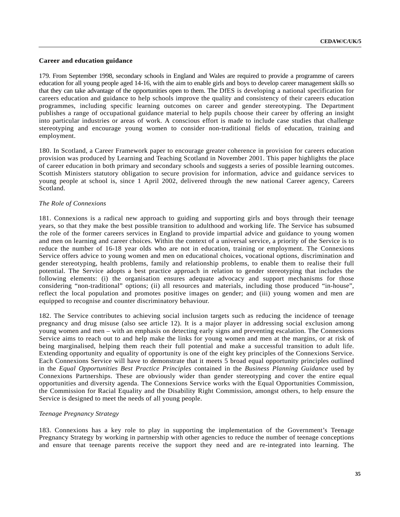## **Career and education guidance**

179. From September 1998, secondary schools in England and Wales are required to provide a programme of careers education for all young people aged 14-16, with the aim to enable girls and boys to develop career management skills so that they can take advantage of the opportunities open to them. The DfES is developing a national specification for careers education and guidance to help schools improve the quality and consistency of their careers education programmes, including specific learning outcomes on career and gender stereotyping. The Department publishes a range of occupational guidance material to help pupils choose their career by offering an insight into particular industries or areas of work. A conscious effort is made to include case studies that challenge stereotyping and encourage young women to consider non-traditional fields of education, training and employment.

180. In Scotland, a Career Framework paper to encourage greater coherence in provision for careers education provision was produced by Learning and Teaching Scotland in November 2001. This paper highlights the place of career education in both primary and secondary schools and suggests a series of possible learning outcomes. Scottish Ministers statutory obligation to secure provision for information, advice and guidance services to young people at school is, since 1 April 2002, delivered through the new national Career agency, Careers Scotland.

# *The Role of Connexions*

181. Connexions is a radical new approach to guiding and supporting girls and boys through their teenage years, so that they make the best possible transition to adulthood and working life. The Service has subsumed the role of the former careers services in England to provide impartial advice and guidance to young women and men on learning and career choices. Within the context of a universal service, a priority of the Service is to reduce the number of 16-18 year olds who are not in education, training or employment. The Connexions Service offers advice to young women and men on educational choices, vocational options, discrimination and gender stereotyping, health problems, family and relationship problems, to enable them to realise their full potential. The Service adopts a best practice approach in relation to gender stereotyping that includes the following elements: (i) the organisation ensures adequate advocacy and support mechanisms for those considering "non-traditional" options; (ii) all resources and materials, including those produced "in-house", reflect the local population and promotes positive images on gender; and (iii) young women and men are equipped to recognise and counter discriminatory behaviour.

182. The Service contributes to achieving social inclusion targets such as reducing the incidence of teenage pregnancy and drug misuse (also see article 12). It is a major player in addressing social exclusion among young women and men – with an emphasis on detecting early signs and preventing escalation. The Connexions Service aims to reach out to and help make the links for young women and men at the margins, or at risk of being marginalised, helping them reach their full potential and make a successful transition to adult life. Extending opportunity and equality of opportunity is one of the eight key principles of the Connexions Service. Each Connexions Service will have to demonstrate that it meets 5 broad equal opportunity principles outlined in the *Equal Opportunities Best Practice Principles* contained in the *Business Planning Guidance* used by Connexions Partnerships. These are obviously wider than gender stereotyping and cover the entire equal opportunities and diversity agenda. The Connexions Service works with the Equal Opportunities Commission, the Commission for Racial Equality and the Disability Right Commission, amongst others, to help ensure the Service is designed to meet the needs of all young people.

## *Teenage Pregnancy Strategy*

183. Connexions has a key role to play in supporting the implementation of the Government's Teenage Pregnancy Strategy by working in partnership with other agencies to reduce the number of teenage conceptions and ensure that teenage parents receive the support they need and are re-integrated into learning. The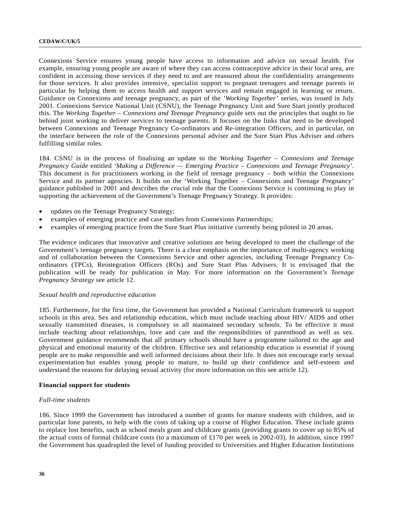Connexions Service ensures young people have access to information and advice on sexual health. For example, ensuring young people are aware of where they can access contraceptive advice in their local area, are confident in accessing those services if they need to and are reassured about the confidentiality arrangements for those services. It also provides intensive, specialist support to pregnant teenagers and teenage parents in particular by helping them to access health and support services and remain engaged in learning or return. Guidance on Connexions and teenage pregnancy, as part of the *'Working Together'* series, was issued in July 2001. Connexions Service National Unit (CSNU), the Teenage Pregnancy Unit and Sure Start jointly produced this. The *Working Together – Connexions and Teenage Pregnancy* guide sets out the principles that ought to lie behind joint working to deliver services to teenage parents. It focuses on the links that need to be developed between Connexions and Teenage Pregnancy Co-ordinators and Re-integration Officers, and in particular, on the interface between the role of the Connexions personal adviser and the Sure Start Plus Adviser and others fulfilling similar roles.

184. CSNU is in the process of finalising an update to the *Working Together – Connexions and Teenage Pregnancy Guide* entitled *'Making a Difference — Emerging Practice – Connexions and Teenage Pregnancy'*. This document is for practitioners working in the field of teenage pregnancy – both within the Connexions Service and its partner agencies. It builds on the 'Working Together – Connexions and Teenage Pregnancy' guidance published in 2001 and describes the crucial role that the Connexions Service is continuing to play in supporting the achievement of the Government's Teenage Pregnancy Strategy. It provides:

- updates on the Teenage Pregnancy Strategy;
- examples of emerging practice and case studies from Connexions Partnerships;
- examples of emerging practice from the Sure Start Plus initiative currently being piloted in 20 areas.

The evidence indicates that innovative and creative solutions are being developed to meet the challenge of the Government's teenage pregnancy targets. There is a clear emphasis on the importance of multi-agency working and of collaboration between the Connexions Service and other agencies, including Teenage Pregnancy Coordinators (TPCs), Reintegration Officers (ROs) and Sure Start Plus Advisers. It is envisaged that the publication will be ready for publication in May. For more information on the Government's *Teenage Pregnancy Strategy* see article 12.

# *Sexual health and reproductive education*

185. Furthermore, for the first time, the Government has provided a National Curriculum framework to support schools in this area. Sex and relationship education, which must include teaching about HIV/ AIDS and other sexually transmitted diseases, is compulsory in all maintained secondary schools. To be effective it must include teaching about relationships, love and care and the responsibilities of parenthood as well as sex. Government guidance recommends that all primary schools should have a programme tailored to the age and physical and emotional maturity of the children. Effective sex and relationship education is essential if young people are to make responsible and well informed decisions about their life. It does not encourage early sexual experimentation but enables young people to mature, to build up their confidence and self-esteem and understand the reasons for delaying sexual activity (for more information on this see article 12).

### **Financial support for students**

## *Full-time students*

186. Since 1999 the Government has introduced a number of grants for mature students with children, and in particular lone parents, to help with the costs of taking up a course of Higher Education. These include grants to replace lost benefits, such as school meals grant and childcare grants (providing grants to cover up to 85% of the actual costs of formal childcare costs (to a maximum of £170 per week in 2002-03). In addition, since 1997 the Government has quadrupled the level of funding provided to Universities and Higher Education Institutions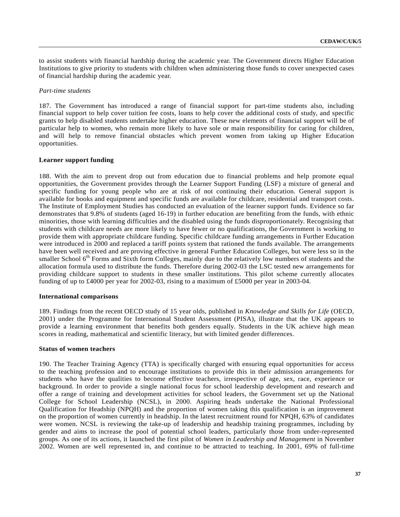to assist students with financial hardship during the academic year. The Government directs Higher Education Institutions to give priority to students with children when administering those funds to cover unexpected cases of financial hardship during the academic year.

#### *Part-time students*

187. The Government has introduced a range of financial support for part-time students also, including financial support to help cover tuition fee costs, loans to help cover the additional costs of study, and specific grants to help disabled students undertake higher education. These new elements of financial support will be of particular help to women, who remain more likely to have sole or main responsibility for caring for children, and will help to remove financial obstacles which prevent women from taking up Higher Education opportunities.

### **Learner support funding**

188. With the aim to prevent drop out from education due to financial problems and help promote equal opportunities, the Government provides through the Learner Support Funding (LSF) a mixture of general and specific funding for young people who are at risk of not continuing their education. General support is available for books and equipment and specific funds are available for childcare, residential and transport costs. The Institute of Employment Studies has conducted an evaluation of the learner support funds. Evidence so far demonstrates that 9.8% of students (aged 16-19) in further education are benefiting from the funds, with ethnic minorities, those with learning difficulties and the disabled using the funds disproportionately. Recognising that students with childcare needs are more likely to have fewer or no qualifications, the Government is working to provide them with appropriate childcare funding. Specific childcare funding arrangements in Further Education were introduced in 2000 and replaced a tariff points system that rationed the funds available. The arrangements have been well received and are proving effective in general Further Education Colleges, but were less so in the smaller School 6<sup>th</sup> Forms and Sixth form Colleges, mainly due to the relatively low numbers of students and the allocation formula used to distribute the funds. Therefore during 2002-03 the LSC tested new arrangements for providing childcare support to students in these smaller institutions. This pilot scheme currently allocates funding of up to £4000 per year for 2002-03, rising to a maximum of £5000 per year in 2003-04.

### **International comparisons**

189. Findings from the recent OECD study of 15 year olds, published in *Knowledge and Skills for Life* (OECD, 2001) under the Programme for International Student Assessment (PISA), illustrate that the UK appears to provide a learning environment that benefits both genders equally. Students in the UK achieve high mean scores in reading, mathematical and scientific literacy, but with limited gender differences.

## **Status of women teachers**

190. The Teacher Training Agency (TTA) is specifically charged with ensuring equal opportunities for access to the teaching profession and to encourage institutions to provide this in their admission arrangements for students who have the qualities to become effective teachers, irrespective of age, sex, race, experience or background. In order to provide a single national focus for school leadership development and research and offer a range of training and development activities for school leaders, the Government set up the National College for School Leadership (NCSL), in 2000. Aspiring heads undertake the National Professional Qualification for Headship (NPQH) and the proportion of women taking this qualification is an improvement on the proportion of women currently in headship. In the latest recruitment round for NPQH, 63% of candidates were women. NCSL is reviewing the take-up of leadership and headship training programmes, including by gender and aims to increase the pool of potential school leaders, particularly those from under-represented groups. As one of its actions, it launched the first pilot of *Women in Leadership and Management* in November 2002. Women are well represented in, and continue to be attracted to teaching. In 2001, 69% of full-time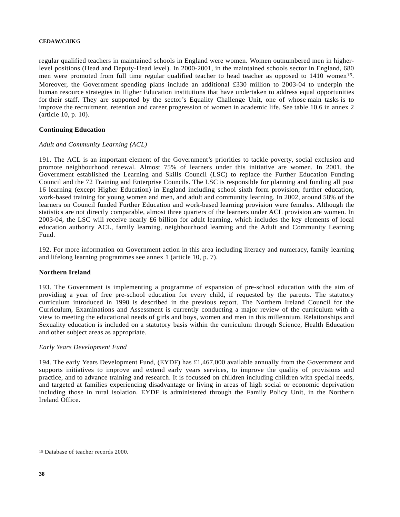regular qualified teachers in maintained schools in England were women. Women outnumbered men in higherlevel positions (Head and Deputy-Head level). In 2000-2001, in the maintained schools sector in England, 680 men were promoted from full time regular qualified teacher to head teacher as opposed to 1410 women<sup>15</sup>. Moreover, the Government spending plans include an additional £330 million to 2003-04 to underpin the human resource strategies in Higher Education institutions that have undertaken to address equal opportunities for their staff. They are supported by the sector's Equality Challenge Unit, one of whose main tasks is to improve the recruitment, retention and career progression of women in academic life. See table 10.6 in annex 2 (article 10, p. 10).

# **Continuing Education**

## *Adult and Community Learning (ACL)*

191. The ACL is an important element of the Government's priorities to tackle poverty, social exclusion and promote neighbourhood renewal. Almost 75% of learners under this initiative are women. In 2001, the Government established the Learning and Skills Council (LSC) to replace the Further Education Funding Council and the 72 Training and Enterprise Councils. The LSC is responsible for planning and funding all post 16 learning (except Higher Education) in England including school sixth form provision, further education, work-based training for young women and men, and adult and community learning. In 2002, around 58% of the learners on Council funded Further Education and work-based learning provision were females. Although the statistics are not directly comparable, almost three quarters of the learners under ACL provision are women. In 2003-04, the LSC will receive nearly £6 billion for adult learning, which includes the key elements of local education authority ACL, family learning, neighbourhood learning and the Adult and Community Learning Fund.

192. For more information on Government action in this area including literacy and numeracy, family learning and lifelong learning programmes see annex 1 (article 10, p. 7).

### **Northern Ireland**

193. The Government is implementing a programme of expansion of pre-school education with the aim of providing a year of free pre-school education for every child, if requested by the parents. The statutory curriculum introduced in 1990 is described in the previous report. The Northern Ireland Council for the Curriculum, Examinations and Assessment is currently conducting a major review of the curriculum with a view to meeting the educational needs of girls and boys, women and men in this millennium. Relationships and Sexuality education is included on a statutory basis within the curriculum through Science, Health Education and other subject areas as appropriate.

### *Early Years Development Fund*

194. The early Years Development Fund, (EYDF) has £1,467,000 available annually from the Government and supports initiatives to improve and extend early years services, to improve the quality of provisions and practice, and to advance training and research. It is focussed on children including children with special needs, and targeted at families experiencing disadvantage or living in areas of high social or economic deprivation including those in rural isolation. EYDF is administered through the Family Policy Unit, in the Northern Ireland Office.

l

<sup>15</sup> Database of teacher records 2000.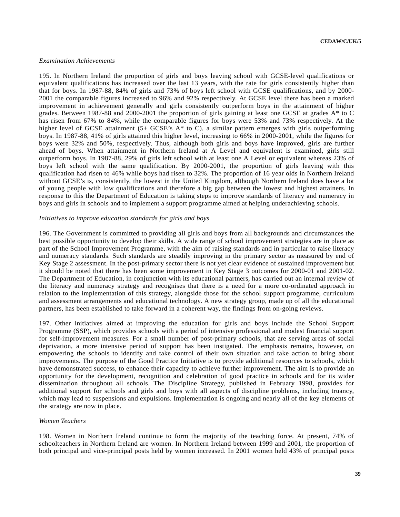# *Examination Achievements*

195. In Northern Ireland the proportion of girls and boys leaving school with GCSE-level qualifications or equivalent qualifications has increased over the last 13 years, with the rate for girls consistently higher than that for boys. In 1987-88, 84% of girls and 73% of boys left school with GCSE qualifications, and by 2000- 2001 the comparable figures increased to 96% and 92% respectively. At GCSE level there has been a marked improvement in achievement generally and girls consistently outperform boys in the attainment of higher grades. Between 1987-88 and 2000-2001 the proportion of girls gaining at least one GCSE at grades A\* to C has risen from 67% to 84%, while the comparable figures for boys were 53% and 73% respectively. At the higher level of GCSE attainment (5+ GCSE's A\* to C), a similar pattern emerges with girls outperforming boys. In 1987-88, 41% of girls attained this higher level, increasing to 66% in 2000-2001, while the figures for boys were 32% and 50%, respectively. Thus, although both girls and boys have improved, girls are further ahead of boys. When attainment in Northern Ireland at A Level and equivalent is examined, girls still outperform boys. In 1987-88, 29% of girls left school with at least one A Level or equivalent whereas 23% of boys left school with the same qualification. By 2000-2001, the proportion of girls leaving with this qualification had risen to 46% while boys had risen to 32%. The proportion of 16 year olds in Northern Ireland without GCSE's is, consistently, the lowest in the United Kingdom, although Northern Ireland does have a lot of young people with low qualifications and therefore a big gap between the lowest and highest attainers. In response to this the Department of Education is taking steps to improve standards of literacy and numeracy in boys and girls in schools and to implement a support programme aimed at helping underachieving schools.

## *Initiatives to improve education standards for girls and boys*

196. The Government is committed to providing all girls and boys from all backgrounds and circumstances the best possible opportunity to develop their skills. A wide range of school improvement strategies are in place as part of the School Improvement Programme, with the aim of raising standards and in particular to raise literacy and numeracy standards. Such standards are steadily improving in the primary sector as measured by end of Key Stage 2 assessment. In the post-primary sector there is not yet clear evidence of sustained improvement but it should be noted that there has been some improvement in Key Stage 3 outcomes for 2000-01 and 2001-02. The Department of Education, in conjunction with its educational partners, has carried out an internal review of the literacy and numeracy strategy and recognises that there is a need for a more co-ordinated approach in relation to the implementation of this strategy, alongside those for the school support programme, curriculum and assessment arrangements and educational technology. A new strategy group, made up of all the educational partners, has been established to take forward in a coherent way, the findings from on-going reviews.

197. Other initiatives aimed at improving the education for girls and boys include the School Support Programme (SSP), which provides schools with a period of intensive professional and modest financial support for self-improvement measures. For a small number of post-primary schools, that are serving areas of social deprivation, a more intensive period of support has been instigated. The emphasis remains, however, on empowering the schools to identify and take control of their own situation and take action to bring about improvements. The purpose of the Good Practice Initiative is to provide additional resources to schools, which have demonstrated success, to enhance their capacity to achieve further improvement. The aim is to provide an opportunity for the development, recognition and celebration of good practice in schools and for its wider dissemination throughout all schools. The Discipline Strategy, published in February 1998, provides for additional support for schools and girls and boys with all aspects of discipline problems, including truancy, which may lead to suspensions and expulsions. Implementation is ongoing and nearly all of the key elements of the strategy are now in place.

# *Women Teachers*

198. Women in Northern Ireland continue to form the majority of the teaching force. At present, 74% of schoolteachers in Northern Ireland are women. In Northern Ireland between 1999 and 2001, the proportion of both principal and vice-principal posts held by women increased. In 2001 women held 43% of principal posts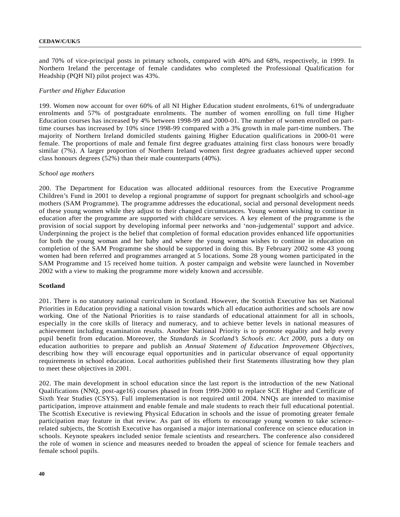and 70% of vice-principal posts in primary schools, compared with 40% and 68%, respectively, in 1999. In Northern Ireland the percentage of female candidates who completed the Professional Qualification for Headship (PQH NI) pilot project was 43%.

#### *Further and Higher Education*

199. Women now account for over 60% of all NI Higher Education student enrolments, 61% of undergraduate enrolments and 57% of postgraduate enrolments. The number of women enrolling on full time Higher Education courses has increased by 4% between 1998-99 and 2000-01. The number of women enrolled on parttime courses has increased by 10% since 1998-99 compared with a 3% growth in male part-time numbers. The majority of Northern Ireland domiciled students gaining Higher Education qualifications in 2000-01 were female. The proportions of male and female first degree graduates attaining first class honours were broadly similar (7%). A larger proportion of Northern Ireland women first degree graduates achieved upper second class honours degrees (52%) than their male counterparts (40%).

## *School age mothers*

200. The Department for Education was allocated additional resources from the Executive Programme Children's Fund in 2001 to develop a regional programme of support for pregnant schoolgirls and school-age mothers (SAM Programme). The programme addresses the educational, social and personal development needs of these young women while they adjust to their changed circumstances. Young women wishing to continue in education after the programme are supported with childcare services. A key element of the programme is the provision of social support by developing informal peer networks and 'non-judgemental' support and advice. Underpinning the project is the belief that completion of formal education provides enhanced life opportunities for both the young woman and her baby and where the young woman wishes to continue in education on completion of the SAM Programme she should be supported in doing this. By February 2002 some 43 young women had been referred and programmes arranged at 5 locations. Some 28 young women participated in the SAM Programme and 15 received home tuition. A poster campaign and website were launched in November 2002 with a view to making the programme more widely known and accessible.

#### **Scotland**

201. There is no statutory national curriculum in Scotland. However, the Scottish Executive has set National Priorities in Education providing a national vision towards which all education authorities and schools are now working. One of the National Priorities is to raise standards of educational attainment for all in schools, especially in the core skills of literacy and numeracy, and to achieve better levels in national measures of achievement including examination results. Another National Priority is to promote equality and help every pupil benefit from education. Moreover, the *Standards in Scotland's Schools etc. Act 2000*, puts a duty on education authorities to prepare and publish an *Annual Statement of Education Improvement Objectives,* describing how they will encourage equal opportunities and in particular observance of equal opportunity requirements in school education. Local authorities published their first Statements illustrating how they plan to meet these objectives in 2001.

202. The main development in school education since the last report is the introduction of the new National Qualifications (NNQ, post-age16) courses phased in from 1999-2000 to replace SCE Higher and Certificate of Sixth Year Studies (CSYS). Full implementation is not required until 2004. NNQs are intended to maximise participation, improve attainment and enable female and male students to reach their full educational potential. The Scottish Executive is reviewing Physical Education in schools and the issue of promoting greater female participation may feature in that review. As part of its efforts to encourage young women to take sciencerelated subjects, the Scottish Executive has organised a major international conference on science education in schools. Keynote speakers included senior female scientists and researchers. The conference also considered the role of women in science and measures needed to broaden the appeal of science for female teachers and female school pupils.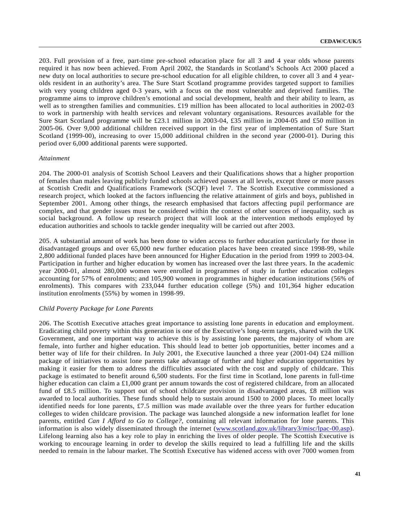203. Full provision of a free, part-time pre-school education place for all 3 and 4 year olds whose parents required it has now been achieved. From April 2002, the Standards in Scotland's Schools Act 2000 placed a new duty on local authorities to secure pre-school education for all eligible children, to cover all 3 and 4 yearolds resident in an authority's area. The Sure Start Scotland programme provides targeted support to families with very young children aged 0-3 years, with a focus on the most vulnerable and deprived families. The programme aims to improve children's emotional and social development, health and their ability to learn, as well as to strengthen families and communities. £19 million has been allocated to local authorities in 2002-03 to work in partnership with health services and relevant voluntary organisations. Resources available for the Sure Start Scotland programme will be £23.1 million in 2003-04, £35 million in 2004-05 and £50 million in 2005-06. Over 9,000 additional children received support in the first year of implementation of Sure Start Scotland (1999-00), increasing to over 15,000 additional children in the second year (2000-01). During this period over 6,000 additional parents were supported.

### *Attainment*

204. The 2000-01 analysis of Scottish School Leavers and their Qualifications shows that a higher proportion of females than males leaving publicly funded schools achieved passes at all levels, except three or more passes at Scottish Credit and Qualifications Framework (SCQF) level 7. The Scottish Executive commissioned a research project, which looked at the factors influencing the relative attainment of girls and boys, published in September 2001. Among other things, the research emphasised that factors affecting pupil performance are complex, and that gender issues must be considered within the context of other sources of inequality, such as social background. A follow up research project that will look at the intervention methods employed by education authorities and schools to tackle gender inequality will be carried out after 2003.

205. A substantial amount of work has been done to widen access to further education particularly for those in disadvantaged groups and over 65,000 new further education places have been created since 1998-99, while 2,800 additional funded places have been announced for Higher Education in the period from 1999 to 2003-04. Participation in further and higher education by women has increased over the last three years. In the academic year 2000-01, almost 280,000 women were enrolled in programmes of study in further education colleges accounting for 57% of enrolments; and 105,900 women in programmes in higher education institutions (56% of enrolments). This compares with 233,044 further education college (5%) and 101,364 higher education institution enrolments (55%) by women in 1998-99.

## *Child Poverty Package for Lone Parents*

206. The Scottish Executive attaches great importance to assisting lone parents in education and employment. Eradicating child poverty within this generation is one of the Executive's long-term targets, shared with the UK Government, and one important way to achieve this is by assisting lone parents, the majority of whom are female, into further and higher education. This should lead to better job opportunities, better incomes and a better way of life for their children. In July 2001, the Executive launched a three year (2001-04) £24 million package of initiatives to assist lone parents take advantage of further and higher education opportunities by making it easier for them to address the difficulties associated with the cost and supply of childcare. This package is estimated to benefit around 6,500 students. For the first time in Scotland, lone parents in full-time higher education can claim a £1,000 grant per annum towards the cost of registered childcare, from an allocated fund of £8.5 million. To support out of school childcare provision in disadvantaged areas, £8 million was awarded to local authorities. These funds should help to sustain around 1500 to 2000 places. To meet locally identified needs for lone parents, £7.5 million was made available over the three years for further education colleges to widen childcare provision. The package was launched alongside a new information leaflet for lone parents, entitled *Can I Afford to Go to College?,* containing all relevant information for lone parents. This information is also widely disseminated through the internet (www.scotland.gov.uk/library3/misc/lpac-00.asp). Lifelong learning also has a key role to play in enriching the lives of older people. The Scottish Executive is working to encourage learning in order to develop the skills required to lead a fulfilling life and the skills needed to remain in the labour market. The Scottish Executive has widened access with over 7000 women from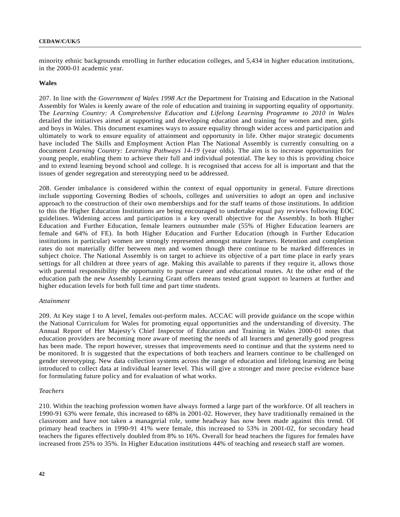#### **CEDAW/C/UK/5**

minority ethnic backgrounds enrolling in further education colleges, and 5,434 in higher education institutions, in the 2000-01 academic year.

### **Wales**

207. In line with the *Government of Wales 1998 Act* the Department for Training and Education in the National Assembly for Wales is keenly aware of the role of education and training in supporting equality of opportunity. The *Learning Country: A Comprehensive Education and Lifelong Learning Programme to 2010 in Wales* detailed the initiatives aimed at supporting and developing education and training for women and men, girls and boys in Wales. This document examines ways to assure equality through wider access and participation and ultimately to work to ensure equality of attainment and opportunity in life. Other major strategic documents have included The Skills and Employment Action Plan The National Assembly is currently consulting on a document *Learning Country: Learning Pathways 14-19* (year olds). The aim is to increase opportunities for young people, enabling them to achieve their full and individual potential. The key to this is providing choice and to extend learning beyond school and college. It is recognised that access for all is important and that the issues of gender segregation and stereotyping need to be addressed.

208. Gender imbalance is considered within the context of equal opportunity in general. Future directions include supporting Governing Bodies of schools, colleges and universities to adopt an open and inclusive approach to the construction of their own memberships and for the staff teams of those institutions. In addition to this the Higher Education Institutions are being encouraged to undertake equal pay reviews following EOC guidelines. Widening access and participation is a key overall objective for the Assembly. In both Higher Education and Further Education, female learners outnumber male (55% of Higher Education learners are female and 64% of FE). In both Higher Education and Further Education (though in Further Education institutions in particular) women are strongly represented amongst mature learners. Retention and completion rates do not materially differ between men and women though there continue to be marked differences in subject choice. The National Assembly is on target to achieve its objective of a part time place in early years settings for all children at three years of age. Making this available to parents if they require it, allows those with parental responsibility the opportunity to pursue career and educational routes. At the other end of the education path the new Assembly Learning Grant offers means tested grant support to learners at further and higher education levels for both full time and part time students.

## *Attainment*

209. At Key stage 1 to A level, females out-perform males. ACCAC will provide guidance on the scope within the National Curriculum for Wales for promoting equal opportunities and the understanding of diversity. The Annual Report of Her Majesty's Chief Inspector of Education and Training in Wales 2000-01 notes that education providers are becoming more aware of meeting the needs of all learners and generally good progress has been made. The report however, stresses that improvements need to continue and that the systems need to be monitored. It is suggested that the expectations of both teachers and learners continue to be challenged on gender stereotyping. New data collection systems across the range of education and lifelong learning are being introduced to collect data at individual learner level. This will give a stronger and more precise evidence base for formulating future policy and for evaluation of what works.

## *Teachers*

210. Within the teaching profession women have always formed a large part of the workforce. Of all teachers in 1990-91 63% were female, this increased to 68% in 2001-02. However, they have traditionally remained in the classroom and have not taken a managerial role, some headway has now been made against this trend. Of primary head teachers in 1990-91 41% were female, this increased to 53% in 2001-02, for secondary head teachers the figures effectively doubled from 8% to 16%. Overall for head teachers the figures for females have increased from 25% to 35%. In Higher Education institutions 44% of teaching and research staff are women.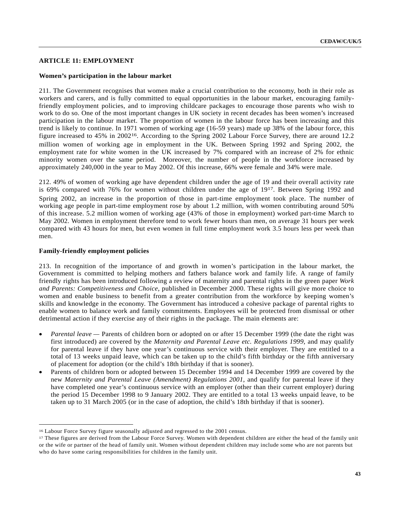# **ARTICLE 11: EMPLOYMENT**

## **Women's participation in the labour market**

211. The Government recognises that women make a crucial contribution to the economy, both in their role as workers and carers, and is fully committed to equal opportunities in the labour market, encouraging familyfriendly employment policies, and to improving childcare packages to encourage those parents who wish to work to do so. One of the most important changes in UK society in recent decades has been women's increased participation in the labour market. The proportion of women in the labour force has been increasing and this trend is likely to continue. In 1971 women of working age (16-59 years) made up 38% of the labour force, this figure increased to 45% in 200216. According to the Spring 2002 Labour Force Survey, there are around 12.2 million women of working age in employment in the UK. Between Spring 1992 and Spring 2002, the employment rate for white women in the UK increased by 7% compared with an increase of 2% for ethnic minority women over the same period. Moreover, the number of people in the workforce increased by approximately 240,000 in the year to May 2002. Of this increase, 66% were female and 34% were male.

212. 49% of women of working age have dependent children under the age of 19 and their overall activity rate is 69% compared with 76% for women without children under the age of 1917. Between Spring 1992 and Spring 2002, an increase in the proportion of those in part-time employment took place. The number of working age people in part-time employment rose by about 1.2 million, with women contributing around 50% of this increase. 5.2 million women of working age (43% of those in employment) worked part-time March to May 2002. Women in employment therefore tend to work fewer hours than men, on average 31 hours per week compared with 43 hours for men, but even women in full time employment work 3.5 hours less per week than men.

# **Family-friendly employment policies**

l

213. In recognition of the importance of and growth in women's participation in the labour market, the Government is committed to helping mothers and fathers balance work and family life. A range of family friendly rights has been introduced following a review of maternity and parental rights in the green paper *Work and Parents: Competitiveness and Choice*, published in December 2000. These rights will give more choice to women and enable business to benefit from a greater contribution from the workforce by keeping women's skills and knowledge in the economy. The Government has introduced a cohesive package of parental rights to enable women to balance work and family commitments. Employees will be protected from dismissal or other detrimental action if they exercise any of their rights in the package. The main elements are:

- *Parental leave* Parents of children born or adopted on or after 15 December 1999 (the date the right was first introduced) are covered by the *Maternity and Parental Leave etc. Regulations 1999*, and may qualify for parental leave if they have one year's continuous service with their employer. They are entitled to a total of 13 weeks unpaid leave, which can be taken up to the child's fifth birthday or the fifth anniversary of placement for adoption (or the child's 18th birthday if that is sooner).
- Parents of children born or adopted between 15 December 1994 and 14 December 1999 are covered by the new *Maternity and Parental Leave (Amendment) Regulations 2001*, and qualify for parental leave if they have completed one year's continuous service with an employer (other than their current employer) during the period 15 December 1998 to 9 January 2002. They are entitled to a total 13 weeks unpaid leave, to be taken up to 31 March 2005 (or in the case of adoption, the child's 18th birthday if that is sooner).

<sup>16</sup> Labour Force Survey figure seasonally adjusted and regressed to the 2001 census.

<sup>17</sup> These figures are derived from the Labour Force Survey. Women with dependent children are either the head of the family unit or the wife or partner of the head of family unit. Women without dependent children may include some who are not parents but who do have some caring responsibilities for children in the family unit.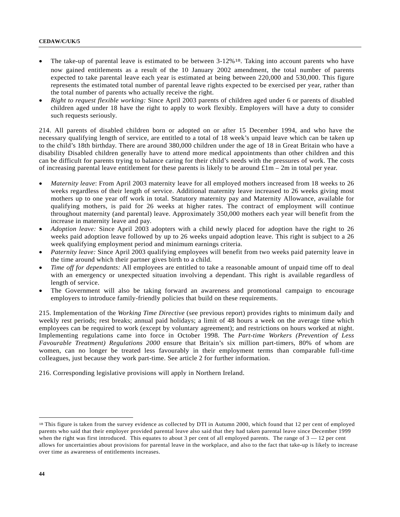#### **CEDAW/C/UK/5**

- The take-up of parental leave is estimated to be between  $3\t{-}12\%$ <sup>18</sup>. Taking into account parents who have now gained entitlements as a result of the 10 January 2002 amendment, the total number of parents expected to take parental leave each year is estimated at being between 220,000 and 530,000. This figure represents the estimated total number of parental leave rights expected to be exercised per year, rather than the total number of parents who actually receive the right.
- *Right to request flexible working:* Since April 2003 parents of children aged under 6 or parents of disabled children aged under 18 have the right to apply to work flexibly. Employers will have a duty to consider such requests seriously.

214. All parents of disabled children born or adopted on or after 15 December 1994, and who have the necessary qualifying length of service, are entitled to a total of 18 week's unpaid leave which can be taken up to the child's 18th birthday. There are around 380,000 children under the age of 18 in Great Britain who have a disability Disabled children generally have to attend more medical appointments than other children and this can be difficult for parents trying to balance caring for their child's needs with the pressures of work. The costs of increasing parental leave entitlement for these parents is likely to be around  $£1m - 2m$  in total per year.

- *Maternity leave*: From April 2003 maternity leave for all employed mothers increased from 18 weeks to 26 weeks regardless of their length of service. Additional maternity leave increased to 26 weeks giving most mothers up to one year off work in total. Statutory maternity pay and Maternity Allowance, available for qualifying mothers, is paid for 26 weeks at higher rates. The contract of employment will continue throughout maternity (and parental) leave. Approximately 350,000 mothers each year will benefit from the increase in maternity leave and pay.
- *Adoption leave:* Since April 2003 adopters with a child newly placed for adoption have the right to 26 weeks paid adoption leave followed by up to 26 weeks unpaid adoption leave. This right is subject to a 26 week qualifying employment period and minimum earnings criteria.
- *Paternity leave:* Since April 2003 qualifying employees will benefit from two weeks paid paternity leave in the time around which their partner gives birth to a child.
- *Time off for dependants:* All employees are entitled to take a reasonable amount of unpaid time off to deal with an emergency or unexpected situation involving a dependant. This right is available regardless of length of service.
- The Government will also be taking forward an awareness and promotional campaign to encourage employers to introduce family-friendly policies that build on these requirements.

215. Implementation of the *Working Time Directive* (see previous report) provides rights to minimum daily and weekly rest periods; rest breaks; annual paid holidays; a limit of 48 hours a week on the average time which employees can be required to work (except by voluntary agreement); and restrictions on hours worked at night. Implementing regulations came into force in October 1998. The *Part-time Workers (Prevention of Less Favourable Treatment) Regulations 2000* ensure that Britain's six million part-timers, 80% of whom are women, can no longer be treated less favourably in their employment terms than comparable full-time colleagues, just because they work part-time. See article 2 for further information.

216. Corresponding legislative provisions will apply in Northern Ireland.

l

<sup>18</sup> This figure is taken from the survey evidence as collected by DTI in Autumn 2000, which found that 12 per cent of employed parents who said that their employer provided parental leave also said that they had taken parental leave since December 1999 when the right was first introduced. This equates to about 3 per cent of all employed parents. The range of  $3 - 12$  per cent allows for uncertainties about provisions for parental leave in the workplace, and also to the fact that take-up is likely to increase over time as awareness of entitlements increases.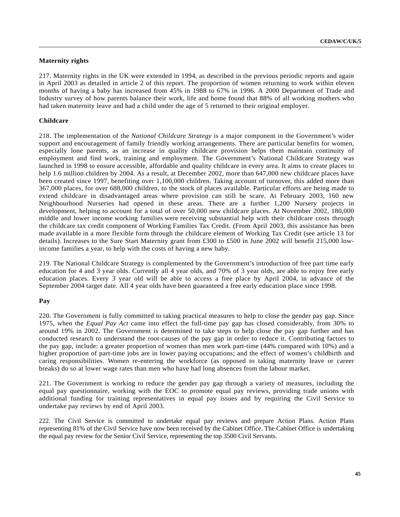# **Maternity rights**

217. Maternity rights in the UK were extended in 1994, as described in the previous periodic reports and again in April 2003 as detailed in article 2 of this report. The proportion of women returning to work within eleven months of having a baby has increased from 45% in 1988 to 67% in 1996. A 2000 Department of Trade and Industry survey of how parents balance their work, life and home found that 88% of all working mothers who had taken maternity leave and had a child under the age of 5 returned to their original employer.

# **Childcare**

218. The implementation of the *National Childcare Strategy* is a major component in the Government's wider support and encouragement of family friendly working arrangements. There are particular benefits for women, especially lone parents, as an increase in quality childcare provision helps them maintain continuity of employment and find work, training and employment. The Government's National Childcare Strategy was launched in 1998 to ensure accessible, affordable and quality childcare in every area. It aims to create places to help 1.6 million children by 2004. As a result, at December 2002, more than 647,000 new childcare places have been created since 1997, benefiting over 1,100,000 children. Taking account of turnover, this added more than 367,000 places, for over 688,000 children, to the stock of places available. Particular efforts are being made to extend childcare in disadvantaged areas where provision can still be scare. At February 2003, 160 new Neighbourhood Nurseries had opened in these areas. There are a further 1,200 Nursery projects in development, helping to account for a total of over 50,000 new childcare places. At November 2002, 180,000 middle and lower income working families were receiving substantial help with their childcare costs through the childcare tax credit component of Working Families Tax Credit. (From April 2003, this assistance has been made available in a more flexible form through the childcare element of Working Tax Credit (see article 13 for details). Increases to the Sure Start Maternity grant from £300 to £500 in June 2002 will benefit 215,000 lowincome families a year, to help with the costs of having a new baby.

219. The National Childcare Strategy is complemented by the Government's introduction of free part time early education for 4 and 3 year olds. Currently all 4 year olds, and 70% of 3 year olds, are able to enjoy free early education places. Every 3 year old will be able to access a free place by April 2004, in advance of the September 2004 target date. All 4 year olds have been guaranteed a free early education place since 1998.

# **Pay**

220. The Government is fully committed to taking practical measures to help to close the gender pay gap. Since 1975, when the *Equal Pay Act* came into effect the full-time pay gap has closed considerably, from 30% to around 19% in 2002. The Government is determined to take steps to help close the pay gap further and has conducted research to understand the root-causes of the pay gap in order to reduce it. Contributing factors to the pay gap, include: a greater proportion of women than men work part-time (44% compared with 10%) and a higher proportion of part-time jobs are in lower paying occupations; and the effect of women's childbirth and caring responsibilities. Women re-entering the workforce (as opposed to taking maternity leave or career breaks) do so at lower wage rates than men who have had long absences from the labour market.

221. The Government is working to reduce the gender pay gap through a variety of measures, including the equal pay questionnaire, working with the EOC to promote equal pay reviews, providing trade unions with additional funding for training representatives in equal pay issues and by requiring the Civil Service to undertake pay reviews by end of April 2003.

222. The Civil Service is committed to undertake equal pay reviews and prepare Action Plans. Action Plans representing 81% of the Civil Service have now been received by the Cabinet Office. The Cabinet Office is undertaking the equal pay review for the Senior Civil Service, representing the top 3500 Civil Servants.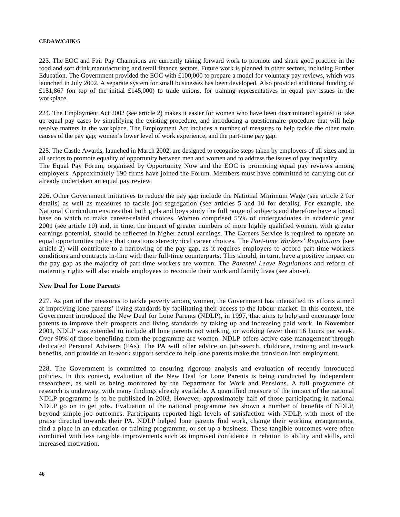223. The EOC and Fair Pay Champions are currently taking forward work to promote and share good practice in the food and soft drink manufacturing and retail finance sectors. Future work is planned in other sectors, including Further Education. The Government provided the EOC with £100,000 to prepare a model for voluntary pay reviews, which was launched in July 2002. A separate system for small businesses has been developed. Also provided additional funding of £151,867 (on top of the initial £145,000) to trade unions, for training representatives in equal pay issues in the workplace.

224. The Employment Act 2002 (see article 2) makes it easier for women who have been discriminated against to take up equal pay cases by simplifying the existing procedure, and introducing a questionnaire procedure that will help resolve matters in the workplace. The Employment Act includes a number of measures to help tackle the other main causes of the pay gap; women's lower level of work experience, and the part-time pay gap.

225. The Castle Awards, launched in March 2002, are designed to recognise steps taken by employers of all sizes and in all sectors to promote equality of opportunity between men and women and to address the issues of pay inequality. The Equal Pay Forum, organised by Opportunity Now and the EOC is promoting equal pay reviews among employers. Approximately 190 firms have joined the Forum. Members must have committed to carrying out or already undertaken an equal pay review.

226. Other Government initiatives to reduce the pay gap include the National Minimum Wage (see article 2 for details) as well as measures to tackle job segregation (see articles 5 and 10 for details). For example, the National Curriculum ensures that both girls and boys study the full range of subjects and therefore have a broad base on which to make career-related choices. Women comprised 55% of undergraduates in academic year 2001 (see article 10) and, in time, the impact of greater numbers of more highly qualified women, with greater earnings potential, should be reflected in higher actual earnings. The Careers Service is required to operate an equal opportunities policy that questions stereotypical career choices. The *Part-time Workers' Regulations* (see article 2) will contribute to a narrowing of the pay gap, as it requires employers to accord part-time workers conditions and contracts in-line with their full-time counterparts. This should, in turn, have a positive impact on the pay gap as the majority of part-time workers are women. The *Parental Leave Regulations* and reform of maternity rights will also enable employees to reconcile their work and family lives (see above).

### **New Deal for Lone Parents**

227. As part of the measures to tackle poverty among women, the Government has intensified its efforts aimed at improving lone parents' living standards by facilitating their access to the labour market. In this context, the Government introduced the New Deal for Lone Parents (NDLP), in 1997, that aims to help and encourage lone parents to improve their prospects and living standards by taking up and increasing paid work. In November 2001, NDLP was extended to include all lone parents not working, or working fewer than 16 hours per week. Over 90% of those benefiting from the programme are women. NDLP offers active case management through dedicated Personal Advisers (PAs). The PA will offer advice on job-search, childcare, training and in-work benefits, and provide an in-work support service to help lone parents make the transition into employment.

228. The Government is committed to ensuring rigorous analysis and evaluation of recently introduced policies. In this context, evaluation of the New Deal for Lone Parents is being conducted by independent researchers, as well as being monitored by the Department for Work and Pensions. A full programme of research is underway, with many findings already available. A quantified measure of the impact of the national NDLP programme is to be published in 2003. However, approximately half of those participating in national NDLP go on to get jobs. Evaluation of the national programme has shown a number of benefits of NDLP, beyond simple job outcomes. Participants reported high levels of satisfaction with NDLP, with most of the praise directed towards their PA. NDLP helped lone parents find work, change their working arrangements, find a place in an education or training programme, or set up a business. These tangible outcomes were often combined with less tangible improvements such as improved confidence in relation to ability and skills, and increased motivation.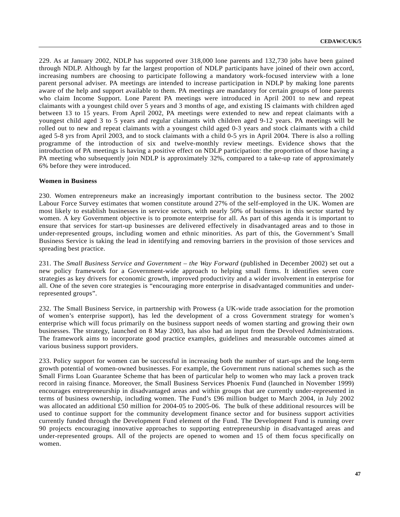229. As at January 2002, NDLP has supported over 318,000 lone parents and 132,730 jobs have been gained through NDLP. Although by far the largest proportion of NDLP participants have joined of their own accord, increasing numbers are choosing to participate following a mandatory work-focused interview with a lone parent personal adviser. PA meetings are intended to increase participation in NDLP by making lone parents aware of the help and support available to them. PA meetings are mandatory for certain groups of lone parents who claim Income Support. Lone Parent PA meetings were introduced in April 2001 to new and repeat claimants with a youngest child over 5 years and 3 months of age, and existing IS claimants with children aged between 13 to 15 years. From April 2002, PA meetings were extended to new and repeat claimants with a youngest child aged 3 to 5 years and regular claimants with children aged 9-12 years. PA meetings will be rolled out to new and repeat claimants with a youngest child aged 0-3 years and stock claimants with a child aged 5-8 yrs from April 2003, and to stock claimants with a child 0-5 yrs in April 2004. There is also a rolling programme of the introduction of six and twelve-monthly review meetings. Evidence shows that the introduction of PA meetings is having a positive effect on NDLP participation: the proportion of those having a PA meeting who subsequently join NDLP is approximately 32%, compared to a take-up rate of approximately 6% before they were introduced.

### **Women in Business**

230. Women entrepreneurs make an increasingly important contribution to the business sector. The 2002 Labour Force Survey estimates that women constitute around 27% of the self-employed in the UK. Women are most likely to establish businesses in service sectors, with nearly 50% of businesses in this sector started by women. A key Government objective is to promote enterprise for all. As part of this agenda it is important to ensure that services for start-up businesses are delivered effectively in disadvantaged areas and to those in under-represented groups, including women and ethnic minorities. As part of this, the Government's Small Business Service is taking the lead in identifying and removing barriers in the provision of those services and spreading best practice.

231. The *Small Business Service and Government – the Way Forward* (published in December 2002) set out a new policy framework for a Government-wide approach to helping small firms. It identifies seven core strategies as key drivers for economic growth, improved productivity and a wider involvement in enterprise for all. One of the seven core strategies is "encouraging more enterprise in disadvantaged communities and underrepresented groups".

232. The Small Business Service, in partnership with Prowess (a UK-wide trade association for the promotion of women's enterprise support), has led the development of a cross Government strategy for women's enterprise which will focus primarily on the business support needs of women starting and growing their own businesses. The strategy, launched on 8 May 2003, has also had an input from the Devolved Administrations. The framework aims to incorporate good practice examples, guidelines and measurable outcomes aimed at various business support providers.

233. Policy support for women can be successful in increasing both the number of start-ups and the long-term growth potential of women-owned businesses. For example, the Government runs national schemes such as the Small Firms Loan Guarantee Scheme that has been of particular help to women who may lack a proven track record in raising finance. Moreover, the Small Business Services Phoenix Fund (launched in November 1999) encourages entrepreneurship in disadvantaged areas and within groups that are currently under-represented in terms of business ownership, including women. The Fund's £96 million budget to March 2004, in July 2002 was allocated an additional £50 million for 2004-05 to 2005-06. The bulk of these additional resources will be used to continue support for the community development finance sector and for business support activities currently funded through the Development Fund element of the Fund. The Development Fund is running over 90 projects encouraging innovative approaches to supporting entrepreneurship in disadvantaged areas and under-represented groups. All of the projects are opened to women and 15 of them focus specifically on women.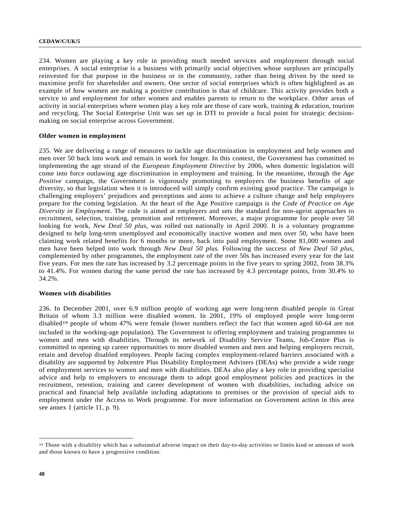234. Women are playing a key role in providing much needed services and employment through social enterprises. A social enterprise is a business with primarily social objectives whose surpluses are principally reinvested for that purpose in the business or in the community, rather than being driven by the need to maximise profit for shareholder and owners. One sector of social enterprises which is often highlighted as an example of how women are making a positive contribution is that of childcare. This activity provides both a service to and employment for other women and enables parents to return to the workplace. Other areas of activity in social enterprises where women play a key role are those of care work, training & education, tourism and recycling. The Social Enterprise Unit was set up in DTI to provide a focal point for strategic decisionmaking on social enterprise across Government.

### **Older women in employment**

235. We are delivering a range of measures to tackle age discrimination in employment and help women and men over 50 back into work and remain in work for longer. In this context, the Government has committed to implementing the age strand of the *European Employment Directive* by 2006, when domestic legislation will come into force outlawing age discrimination in employment and training. In the meantime, through the *Age Positive* campaign, the Government is vigorously promoting to employers the business benefits of age diversity, so that legislation when it is introduced will simply confirm existing good practice. The campaign is challenging employers' prejudices and perceptions and aims to achieve a culture change and help employers prepare for the coming legislation. At the heart of the Age Positive campaign is the *Code of Practice on Age Diversity in Employment*. The code is aimed at employers and sets the standard for non-ageist approaches to recruitment, selection, training, promotion and retirement. Moreover, a major programme for people over 50 looking for work, *New Deal 50 plus*, was rolled out nationally in April 2000. It is a voluntary programme designed to help long-term unemployed and economically inactive women and men over 50, who have been claiming work related benefits for 6 months or more, back into paid employment. Some 81,000 women and men have been helped into work through *New Deal 50 plus.* Following the success of *New Deal 50 plus*, complemented by other programmes, the employment rate of the over 50s has increased every year for the last five years. For men the rate has increased by 3.2 percentage points in the five years to spring 2002, from 38.3% to 41.4%. For women during the same period the rate has increased by 4.3 percentage points, from 30.4% to 34.2%.

### **Women with disabilities**

236. In December 2001, over 6.9 million people of working age were long-term disabled people in Great Britain of whom 3.3 million were disabled women. In 2001, 19% of employed people were long-term disabled19 people of whom 47% were female (lower numbers reflect the fact that women aged 60-64 are not included in the working-age population). The Government is offering employment and training programmes to women and men with disabilities. Through its network of Disability Service Teams, Job-Centre Plus is committed to opening up career opportunities to more disabled women and men and helping employers recruit, retain and develop disabled employees. People facing complex employment-related barriers associated with a disability are supported by Jobcentre Plus Disability Employment Advisers (DEAs) who provide a wide range of employment services to women and men with disabilities. DEAs also play a key role in providing specialist advice and help to employers to encourage them to adopt good employment policies and practices in the recruitment, retention, training and career development of women with disabilities, including advice on practical and financial help available including adaptations to premises or the provision of special aids to employment under the Access to Work programme. For more information on Government action in this area see annex 1 (article 11, p. 9).

l

<sup>19</sup> Those with a disability which has a substantial adverse impact on their day-to-day activities or limits kind or amount of work and those known to have a progressive condition.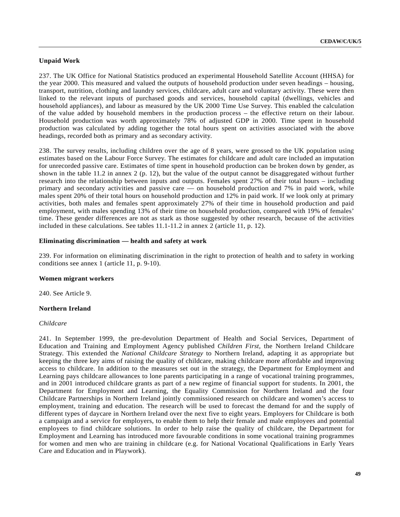# **Unpaid Work**

237. The UK Office for National Statistics produced an experimental Household Satellite Account (HHSA) for the year 2000. This measured and valued the outputs of household production under seven headings – housing, transport, nutrition, clothing and laundry services, childcare, adult care and voluntary activity. These were then linked to the relevant inputs of purchased goods and services, household capital (dwellings, vehicles and household appliances), and labour as measured by the UK 2000 Time Use Survey. This enabled the calculation of the value added by household members in the production process – the effective return on their labour. Household production was worth approximately 78% of adjusted GDP in 2000. Time spent in household production was calculated by adding together the total hours spent on activities associated with the above headings, recorded both as primary and as secondary activity.

238. The survey results, including children over the age of 8 years, were grossed to the UK population using estimates based on the Labour Force Survey. The estimates for childcare and adult care included an imputation for unrecorded passive care. Estimates of time spent in household production can be broken down by gender, as shown in the table 11.2 in annex 2 (p. 12), but the value of the output cannot be disaggregated without further research into the relationship between inputs and outputs. Females spent 27% of their total hours – including primary and secondary activities and passive care — on household production and 7% in paid work, while males spent 20% of their total hours on household production and 12% in paid work. If we look only at primary activities, both males and females spent approximately 27% of their time in household production and paid employment, with males spending 13% of their time on household production, compared with 19% of females' time. These gender differences are not as stark as those suggested by other research, because of the activities included in these calculations. See tables 11.1-11.2 in annex 2 (article 11, p. 12).

## **Eliminating discrimination — health and safety at work**

239. For information on eliminating discrimination in the right to protection of health and to safety in working conditions see annex 1 (article 11, p. 9-10).

### **Women migrant workers**

240. See Article 9.

# **Northern Ireland**

### *Childcare*

241. In September 1999, the pre-devolution Department of Health and Social Services, Department of Education and Training and Employment Agency published *Children First,* the Northern Ireland Childcare Strategy. This extended the *National Childcare Strategy* to Northern Ireland, adapting it as appropriate but keeping the three key aims of raising the quality of childcare, making childcare more affordable and improving access to childcare. In addition to the measures set out in the strategy, the Department for Employment and Learning pays childcare allowances to lone parents participating in a range of vocational training programmes, and in 2001 introduced childcare grants as part of a new regime of financial support for students. In 2001, the Department for Employment and Learning, the Equality Commission for Northern Ireland and the four Childcare Partnerships in Northern Ireland jointly commissioned research on childcare and women's access to employment, training and education. The research will be used to forecast the demand for and the supply of different types of daycare in Northern Ireland over the next five to eight years. Employers for Childcare is both a campaign and a service for employers, to enable them to help their female and male employees and potential employees to find childcare solutions. In order to help raise the quality of childcare, the Department for Employment and Learning has introduced more favourable conditions in some vocational training programmes for women and men who are training in childcare (e.g. for National Vocational Qualifications in Early Years Care and Education and in Playwork).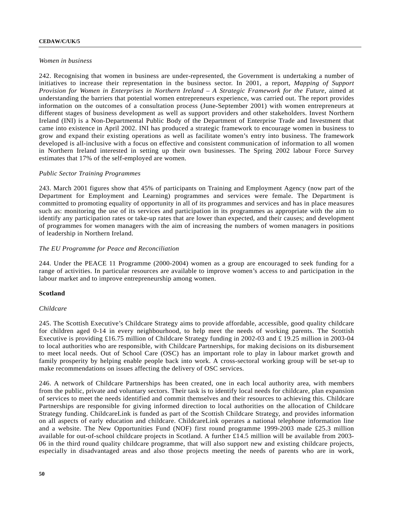### *Women in business*

242. Recognising that women in business are under-represented, the Government is undertaking a number of initiatives to increase their representation in the business sector. In 2001, a report, *Mapping of Support Provision for Women in Enterprises in Northern Ireland – A Strategic Framework for the Future,* aimed at understanding the barriers that potential women entrepreneurs experience, was carried out. The report provides information on the outcomes of a consultation process (June-September 2001) with women entrepreneurs at different stages of business development as well as support providers and other stakeholders. Invest Northern Ireland (INI) is a Non-Departmental Public Body of the Department of Enterprise Trade and Investment that came into existence in April 2002. INI has produced a strategic framework to encourage women in business to grow and expand their existing operations as well as facilitate women's entry into business. The framework developed is all-inclusive with a focus on effective and consistent communication of information to all women in Northern Ireland interested in setting up their own businesses. The Spring 2002 labour Force Survey estimates that 17% of the self-employed are women.

## *Public Sector Training Programmes*

243. March 2001 figures show that 45% of participants on Training and Employment Agency (now part of the Department for Employment and Learning) programmes and services were female. The Department is committed to promoting equality of opportunity in all of its programmes and services and has in place measures such as: monitoring the use of its services and participation in its programmes as appropriate with the aim to identify any participation rates or take-up rates that are lower than expected, and their causes; and development of programmes for women managers with the aim of increasing the numbers of women managers in positions of leadership in Northern Ireland.

## *The EU Programme for Peace and Reconciliation*

244. Under the PEACE 11 Programme (2000-2004) women as a group are encouraged to seek funding for a range of activities. In particular resources are available to improve women's access to and participation in the labour market and to improve entrepreneurship among women.

# **Scotland**

### *Childcare*

245. The Scottish Executive's Childcare Strategy aims to provide affordable, accessible, good quality childcare for children aged 0-14 in every neighbourhood, to help meet the needs of working parents. The Scottish Executive is providing £16.75 million of Childcare Strategy funding in 2002-03 and £ 19.25 million in 2003-04 to local authorities who are responsible, with Childcare Partnerships, for making decisions on its disbursement to meet local needs. Out of School Care (OSC) has an important role to play in labour market growth and family prosperity by helping enable people back into work. A cross-sectoral working group will be set-up to make recommendations on issues affecting the delivery of OSC services.

246. A network of Childcare Partnerships has been created, one in each local authority area, with members from the public, private and voluntary sectors. Their task is to identify local needs for childcare, plan expansion of services to meet the needs identified and commit themselves and their resources to achieving this. Childcare Partnerships are responsible for giving informed direction to local authorities on the allocation of Childcare Strategy funding. ChildcareLink is funded as part of the Scottish Childcare Strategy, and provides information on all aspects of early education and childcare. ChildcareLink operates a national telephone information line and a website. The New Opportunities Fund (NOF) first round programme 1999-2003 made £25.3 million available for out-of-school childcare projects in Scotland. A further £14.5 million will be available from 2003- 06 in the third round quality childcare programme, that will also support new and existing childcare projects, especially in disadvantaged areas and also those projects meeting the needs of parents who are in work,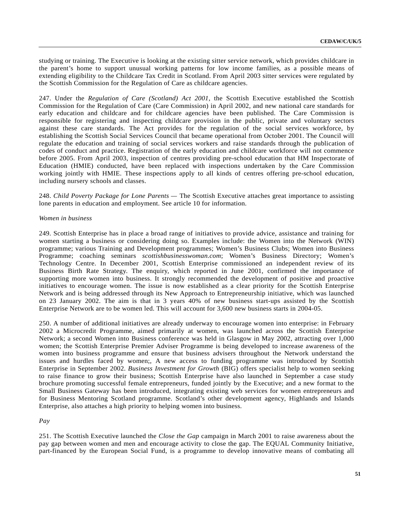studying or training. The Executive is looking at the existing sitter service network, which provides childcare in the parent's home to support unusual working patterns for low income families, as a possible means of extending eligibility to the Childcare Tax Credit in Scotland. From April 2003 sitter services were regulated by the Scottish Commission for the Regulation of Care as childcare agencies.

247. Under the *Regulation of Care (Scotland) Act 2001,* the Scottish Executive established the Scottish Commission for the Regulation of Care (Care Commission) in April 2002, and new national care standards for early education and childcare and for childcare agencies have been published. The Care Commission is responsible for registering and inspecting childcare provision in the public, private and voluntary sectors against these care standards. The Act provides for the regulation of the social services workforce, by establishing the Scottish Social Services Council that became operational from October 2001. The Council will regulate the education and training of social services workers and raise standards through the publication of codes of conduct and practice. Registration of the early education and childcare workforce will not commence before 2005. From April 2003, inspection of centres providing pre-school education that HM Inspectorate of Education (HMIE) conducted, have been replaced with inspections undertaken by the Care Commission working jointly with HMIE. These inspections apply to all kinds of centres offering pre-school education, including nursery schools and classes.

248. *Child Poverty Package for Lone Parents —* The Scottish Executive attaches great importance to assisting lone parents in education and employment. See article 10 for information.

## *Women in business*

249. Scottish Enterprise has in place a broad range of initiatives to provide advice, assistance and training for women starting a business or considering doing so. Examples include: the Women into the Network (WIN) programme; various Training and Development programmes; Women's Business Clubs; Women into Business Programme; coaching seminars *scottishbusinesswoman.com*; Women's Business Directory; Women's Technology Centre. In December 2001, Scottish Enterprise commissioned an independent review of its Business Birth Rate Strategy. The enquiry, which reported in June 2001, confirmed the importance of supporting more women into business. It strongly recommended the development of positive and proactive initiatives to encourage women. The issue is now established as a clear priority for the Scottish Enterprise Network and is being addressed through its New Approach to Entrepreneurship initiative, which was launched on 23 January 2002. The aim is that in 3 years 40% of new business start-ups assisted by the Scottish Enterprise Network are to be women led. This will account for 3,600 new business starts in 2004-05.

250. A number of additional initiatives are already underway to encourage women into enterprise: in February 2002 a Microcredit Programme, aimed primarily at women, was launched across the Scottish Enterprise Network; a second Women into Business conference was held in Glasgow in May 2002, attracting over 1,000 women; the Scottish Enterprise Premier Adviser Programme is being developed to increase awareness of the women into business programme and ensure that business advisers throughout the Network understand the issues and hurdles faced by women;, A new access to funding programme was introduced by Scottish Enterprise in September 2002. *Business Investment for Growth* (BIG) offers specialist help to women seeking to raise finance to grow their business; Scottish Enterprise have also launched in September a case study brochure promoting successful female entrepreneurs, funded jointly by the Executive; and a new format to the Small Business Gateway has been introduced, integrating existing web services for women entrepreneurs and for Business Mentoring Scotland programme. Scotland's other development agency, Highlands and Islands Enterprise, also attaches a high priority to helping women into business.

*Pay*

251. The Scottish Executive launched the *Close the Gap* campaign in March 2001 to raise awareness about the pay gap between women and men and encourage activity to close the gap. The EQUAL Community Initiative, part-financed by the European Social Fund, is a programme to develop innovative means of combating all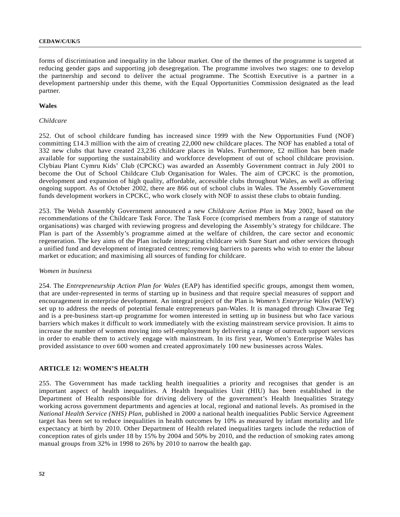forms of discrimination and inequality in the labour market. One of the themes of the programme is targeted at reducing gender gaps and supporting job desegregation. The programme involves two stages: one to develop the partnership and second to deliver the actual programme. The Scottish Executive is a partner in a development partnership under this theme, with the Equal Opportunities Commission designated as the lead partner.

### **Wales**

## *Childcare*

252. Out of school childcare funding has increased since 1999 with the New Opportunities Fund (NOF) committing £14.3 million with the aim of creating 22,000 new childcare places. The NOF has enabled a total of 332 new clubs that have created 23,236 childcare places in Wales. Furthermore, £2 million has been made available for supporting the sustainability and workforce development of out of school childcare provision. Clybiau Plant Cymru Kids' Club (CPCKC) was awarded an Assembly Government contract in July 2001 to become the Out of School Childcare Club Organisation for Wales. The aim of CPCKC is the promotion, development and expansion of high quality, affordable, accessible clubs throughout Wales, as well as offering ongoing support. As of October 2002, there are 866 out of school clubs in Wales. The Assembly Government funds development workers in CPCKC, who work closely with NOF to assist these clubs to obtain funding.

253. The Welsh Assembly Government announced a new *Childcare Action Plan* in May 2002, based on the recommendations of the Childcare Task Force. The Task Force (comprised members from a range of statutory organisations) was charged with reviewing progress and developing the Assembly's strategy for childcare. The Plan is part of the Assembly's programme aimed at the welfare of children, the care sector and economic regeneration. The key aims of the Plan include integrating childcare with Sure Start and other services through a unified fund and development of integrated centres; removing barriers to parents who wish to enter the labour market or education; and maximising all sources of funding for childcare.

### *Women in business*

254. The *Entrepreneurship Action Plan for Wales* (EAP) has identified specific groups, amongst them women, that are under-represented in terms of starting up in business and that require special measures of support and encouragement in enterprise development. An integral project of the Plan is *Women's Enterprise Wales* (WEW) set up to address the needs of potential female entrepreneurs pan-Wales. It is managed through Chwarae Teg and is a pre-business start-up programme for women interested in setting up in business but who face various barriers which makes it difficult to work immediately with the existing mainstream service provision. It aims to increase the number of women moving into self-employment by delivering a range of outreach support services in order to enable them to actively engage with mainstream. In its first year, Women's Enterprise Wales has provided assistance to over 600 women and created approximately 100 new businesses across Wales.

### **ARTICLE 12: WOMEN'S HEALTH**

255. The Government has made tackling health inequalities a priority and recognises that gender is an important aspect of health inequalities. A Health Inequalities Unit (HIU) has been established in the Department of Health responsible for driving delivery of the government's Health Inequalities Strategy working across government departments and agencies at local, regional and national levels. As promised in the *National Health Service (NHS) Plan*, published in 2000 a national health inequalities Public Service Agreement target has been set to reduce inequalities in health outcomes by 10% as measured by infant mortality and life expectancy at birth by 2010. Other Department of Health related inequalities targets include the reduction of conception rates of girls under 18 by 15% by 2004 and 50% by 2010, and the reduction of smoking rates among manual groups from 32% in 1998 to 26% by 2010 to narrow the health gap.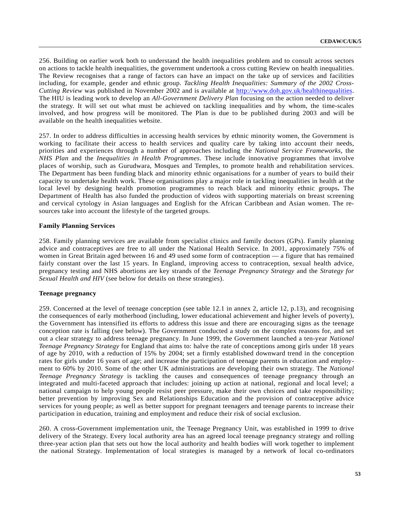256. Building on earlier work both to understand the health inequalities problem and to consult across sectors on actions to tackle health inequalities, the government undertook a cross cutting Review on health inequalities. The Review recognises that a range of factors can have an impact on the take up of services and facilities including, for example, gender and ethnic group. *Tackling Health Inequalities: Summary of the 2002 Cross-Cutting Review* was published in November 2002 and is available at http://www.doh.gov.uk/healthinequalities. The HIU is leading work to develop an *All-Government Delivery Plan* focusing on the action needed to deliver the strategy. It will set out what must be achieved on tackling inequalities and by whom, the time-scales involved, and how progress will be monitored. The Plan is due to be published during 2003 and will be available on the health inequalities website.

257. In order to address difficulties in accessing health services by ethnic minority women, the Government is working to facilitate their access to health services and quality care by taking into account their needs, priorities and experiences through a number of approaches including the *National Service Frameworks*, the *NHS Plan* and the *Inequalities in Health Programmes*. These include innovative programmes that involve places of worship, such as Gurudwara, Mosques and Temples, to promote health and rehabilitation services. The Department has been funding black and minority ethnic organisations for a number of years to build their capacity to undertake health work. These organisations play a major role in tackling inequalities in health at the local level by designing health promotion programmes to reach black and minority ethnic groups**.** The Department of Health has also funded the production of videos with supporting materials on breast screening and cervical cytology in Asian languages and English for the African Caribbean and Asian women. The resources take into account the lifestyle of the targeted groups.

# **Family Planning Services**

258. Family planning services are available from specialist clinics and family doctors (GPs). Family planning advice and contraceptives are free to all under the National Health Service. In 2001, approximately 75% of women in Great Britain aged between 16 and 49 used some form of contraception — a figure that has remained fairly constant over the last 15 years. In England, improving access to contraception, sexual health advice, pregnancy testing and NHS abortions are key strands of the *Teenage Pregnancy Strategy* and the *Strategy for Sexual Health and HIV* (see below for details on these strategies).

## **Teenage pregnancy**

259. Concerned at the level of teenage conception (see table 12.1 in annex 2, article 12, p.13), and recognising the consequences of early motherhood (including, lower educational achievement and higher levels of poverty), the Government has intensified its efforts to address this issue and there are encouraging signs as the teenage conception rate is falling (see below). The Government conducted a study on the complex reasons for, and set out a clear strategy to address teenage pregnancy. In June 1999, the Government launched a ten-year *National Teenage Pregnancy Strategy* for England that aims to: halve the rate of conceptions among girls under 18 years of age by 2010, with a reduction of 15% by 2004; set a firmly established downward trend in the conception rates for girls under 16 years of age; and increase the participation of teenage parents in education and employment to 60% by 2010. Some of the other UK administrations are developing their own strategy. The *National Teenage Pregnancy Strategy* is tackling the causes and consequences of teenage pregnancy through an integrated and multi-faceted approach that includes: joining up action at national, regional and local level; a national campaign to help young people resist peer pressure, make their own choices and take responsibility; better prevention by improving Sex and Relationships Education and the provision of contraceptive advice services for young people; as well as better support for pregnant teenagers and teenage parents to increase their participation in education, training and employment and reduce their risk of social exclusion.

260. A cross-Government implementation unit, the Teenage Pregnancy Unit, was established in 1999 to drive delivery of the Strategy. Every local authority area has an agreed local teenage pregnancy strategy and rolling three-year action plan that sets out how the local authority and health bodies will work together to implement the national Strategy. Implementation of local strategies is managed by a network of local co-ordinators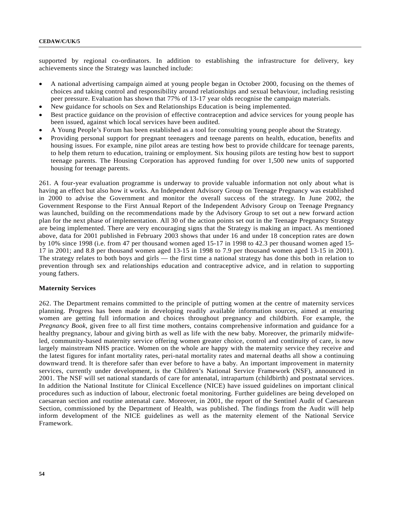#### **CEDAW/C/UK/5**

supported by regional co-ordinators. In addition to establishing the infrastructure for delivery, key achievements since the Strategy was launched include:

- A national advertising campaign aimed at young people began in October 2000, focusing on the themes of choices and taking control and responsibility around relationships and sexual behaviour, including resisting peer pressure. Evaluation has shown that 77% of 13-17 year olds recognise the campaign materials.
- New guidance for schools on Sex and Relationships Education is being implemented.
- Best practice guidance on the provision of effective contraception and advice services for young people has been issued, against which local services have been audited.
- A Young People's Forum has been established as a tool for consulting young people about the Strategy.
- Providing personal support for pregnant teenagers and teenage parents on health, education, benefits and housing issues. For example, nine pilot areas are testing how best to provide childcare for teenage parents, to help them return to education, training or employment. Six housing pilots are testing how best to support teenage parents. The Housing Corporation has approved funding for over 1,500 new units of supported housing for teenage parents.

261. A four-year evaluation programme is underway to provide valuable information not only about what is having an effect but also how it works. An Independent Advisory Group on Teenage Pregnancy was established in 2000 to advise the Government and monitor the overall success of the strategy. In June 2002, the Government Response to the First Annual Report of the Independent Advisory Group on Teenage Pregnancy was launched, building on the recommendations made by the Advisory Group to set out a new forward action plan for the next phase of implementation. All 30 of the action points set out in the Teenage Pregnancy Strategy are being implemented. There are very encouraging signs that the Strategy is making an impact. As mentioned above, data for 2001 published in February 2003 shows that under 16 and under 18 conception rates are down by 10% since 1998 (i.e. from 47 per thousand women aged 15-17 in 1998 to 42.3 per thousand women aged 15- 17 in 2001; and 8.8 per thousand women aged 13-15 in 1998 to 7.9 per thousand women aged 13-15 in 2001). The strategy relates to both boys and girls — the first time a national strategy has done this both in relation to prevention through sex and relationships education and contraceptive advice, and in relation to supporting young fathers.

# **Maternity Services**

262. The Department remains committed to the principle of putting women at the centre of maternity services planning. Progress has been made in developing readily available information sources, aimed at ensuring women are getting full information and choices throughout pregnancy and childbirth. For example, the *Pregnancy Book*, given free to all first time mothers, contains comprehensive information and guidance for a healthy pregnancy, labour and giving birth as well as life with the new baby. Moreover, the primarily midwifeled, community-based maternity service offering women greater choice, control and continuity of care, is now largely mainstream NHS practice. Women on the whole are happy with the maternity service they receive and the latest figures for infant mortality rates, peri-natal mortality rates and maternal deaths all show a continuing downward trend. It is therefore safer than ever before to have a baby. An important improvement in maternity services, currently under development, is the Children's National Service Framework (NSF), announced in 2001. The NSF will set national standards of care for antenatal, intrapartum (childbirth) and postnatal services. In addition the National Institute for Clinical Excellence (NICE) have issued guidelines on important clinical procedures such as induction of labour, electronic foetal monitoring. Further guidelines are being developed on caesarean section and routine antenatal care. Moreover, in 2001, the report of the Sentinel Audit of Caesarean Section, commissioned by the Department of Health, was published. The findings from the Audit will help inform development of the NICE guidelines as well as the maternity element of the National Service Framework.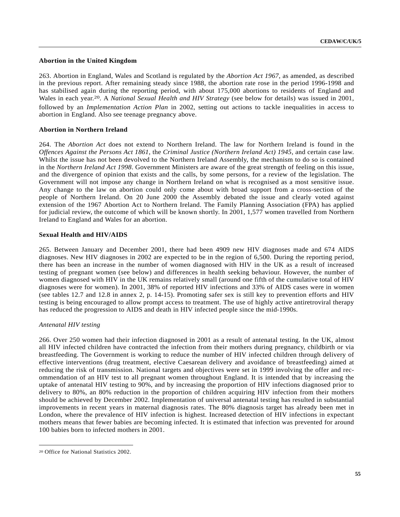# **Abortion in the United Kingdom**

263. Abortion in England, Wales and Scotland is regulated by the *Abortion Act 1967*, as amended, as described in the previous report. After remaining steady since 1988, the abortion rate rose in the period 1996-1998 and has stabilised again during the reporting period, with about 175,000 abortions to residents of England and Wales in each year.20. A *National Sexual Health and HIV Strategy* (see below for details) was issued in 2001, followed by an *Implementation Action Plan* in 2002, setting out actions to tackle inequalities in access to abortion in England. Also see teenage pregnancy above.

# **Abortion in Northern Ireland**

264. The *Abortion Act* does not extend to Northern Ireland. The law for Northern Ireland is found in the *Offences Against the Persons Act 1861*, the *Criminal Justice (Northern Ireland Act) 1945*, and certain case law. Whilst the issue has not been devolved to the Northern Ireland Assembly, the mechanism to do so is contained in the *Northern Ireland Act 1998*. Government Ministers are aware of the great strength of feeling on this issue, and the divergence of opinion that exists and the calls, by some persons, for a review of the legislation. The Government will not impose any change in Northern Ireland on what is recognised as a most sensitive issue. Any change to the law on abortion could only come about with broad support from a cross-section of the people of Northern Ireland. On 20 June 2000 the Assembly debated the issue and clearly voted against extension of the 1967 Abortion Act to Northern Ireland. The Family Planning Association (FPA) has applied for judicial review, the outcome of which will be known shortly. In 2001, 1,577 women travelled from Northern Ireland to England and Wales for an abortion.

# **Sexual Health and HIV/AIDS**

265. Between January and December 2001, there had been 4909 new HIV diagnoses made and 674 AIDS diagnoses. New HIV diagnoses in 2002 are expected to be in the region of 6,500. During the reporting period, there has been an increase in the number of women diagnosed with HIV in the UK as a result of increased testing of pregnant women (see below) and differences in health seeking behaviour. However, the number of women diagnosed with HIV in the UK remains relatively small (around one fifth of the cumulative total of HIV diagnoses were for women). In 2001, 38% of reported HIV infections and 33% of AIDS cases were in women (see tables 12.7 and 12.8 in annex 2, p. 14-15). Promoting safer sex is still key to prevention efforts and HIV testing is being encouraged to allow prompt access to treatment. The use of highly active antiretroviral therapy has reduced the progression to AIDS and death in HIV infected people since the mid-1990s.

# *Antenatal HIV testing*

266. Over 250 women had their infection diagnosed in 2001 as a result of antenatal testing. In the UK, almost all HIV infected children have contracted the infection from their mothers during pregnancy, childbirth or via breastfeeding. The Government is working to reduce the number of HIV infected children through delivery of effective interventions (drug treatment, elective Caesarean delivery and avoidance of breastfeeding) aimed at reducing the risk of transmission. National targets and objectives were set in 1999 involving the offer and recommendation of an HIV test to all pregnant women throughout England. It is intended that by increasing the uptake of antenatal HIV testing to 90%, and by increasing the proportion of HIV infections diagnosed prior to delivery to 80%, an 80% reduction in the proportion of children acquiring HIV infection from their mothers should be achieved by December 2002. Implementation of universal antenatal testing has resulted in substantial improvements in recent years in maternal diagnosis rates. The 80% diagnosis target has already been met in London, where the prevalence of HIV infection is highest. Increased detection of HIV infections in expectant mothers means that fewer babies are becoming infected. It is estimated that infection was prevented for around 100 babies born to infected mothers in 2001.

l

<sup>20</sup> Office for National Statistics 2002.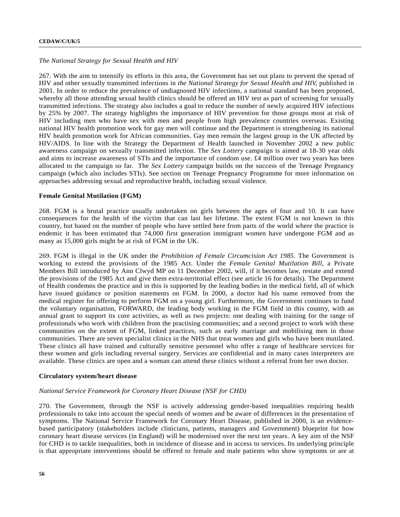# *The National Strategy for Sexual Health and HIV*

267. With the aim to intensify its efforts in this area, the Government has set out plans to prevent the spread of HIV and other sexually transmitted infections in *the National Strategy for Sexual Health and HIV,* published in 2001. In order to reduce the prevalence of undiagnosed HIV infections, a national standard has been proposed, whereby all those attending sexual health clinics should be offered an HIV test as part of screening for sexually transmitted infections. The strategy also includes a goal to reduce the number of newly acquired HIV infections by 25% by 2007. The strategy highlights the importance of HIV prevention for those groups most at risk of HIV including men who have sex with men and people from high prevalence countries overseas. Existing national HIV health promotion work for gay men will continue and the Department is strengthening its national HIV health promotion work for African communities. Gay men remain the largest group in the UK affected by HIV/AIDS. In line with the Strategy the Department of Health launched in November 2002 a new public awareness campaign on sexually transmitted infection. The *Sex Lottery* campaign is aimed at 18-30 year olds and aims to increase awareness of STIs and the importance of condom use. £4 million over two years has been allocated to the campaign so far. The *Sex Lottery* campaign builds on the success of the Teenage Pregnancy campaign (which also includes STIs). See section on Teenage Pregnancy Programme for more information on approaches addressing sexual and reproductive health, including sexual violence.

#### **Female Genital Mutilation (FGM)**

268. FGM is a brutal practice usually undertaken on girls between the ages of four and 10. It can have consequences for the health of the victim that can last her lifetime. The extent FGM is not known in this country, but based on the number of people who have settled here from parts of the world where the practice is endemic it has been estimated that 74,000 first generation immigrant women have undergone FGM and as many as 15,000 girls might be at risk of FGM in the UK.

269. FGM is illegal in the UK under the *Prohibition of Female Circumcision Act 1985*. The Government is working to extend the provisions of the 1985 Act. Under the *Female Genital Mutilation Bill*, a Private Members Bill introduced by Ann Clwyd MP on 11 December 2002, will, if it becomes law, restate and extend the provisions of the 1985 Act and give them extra-territorial effect (see article 16 for details). The Department of Health condemns the practice and in this is supported by the leading bodies in the medical field, all of which have issued guidance or position statements on FGM. In 2000, a doctor had his name removed from the medical register for offering to perform FGM on a young girl. Furthermore, the Government continues to fund the voluntary organisation, FORWARD, the leading body working in the FGM field in this country, with an annual grant to support its core activities, as well as two projects: one dealing with training for the range of professionals who work with children from the practising communities; and a second project to work with these communities on the extent of FGM, linked practices, such as early marriage and mobilising men in those communities. There are seven specialist clinics in the NHS that treat women and girls who have been mutilated. These clinics all have trained and culturally sensitive personnel who offer a range of healthcare services for these women and girls including reversal surgery. Services are confidential and in many cases interpreters are available. These clinics are open and a woman can attend these clinics without a referral from her own doctor.

### **Circulatory system/heart disease**

#### *National Service Framework for Coronary Heart Disease (NSF for CHD)*

270. The Government, through the NSF is actively addressing gender-based inequalities requiring health professionals to take into account the special needs of women and be aware of differences in the presentation of symptoms. The National Service Framework for Coronary Heart Disease, published in 2000, is an evidencebased participatory (stakeholders include clinicians, patients, managers and Government) blueprint for how coronary heart disease services (in England) will be modernised over the next ten years. A key aim of the NSF for CHD is to tackle inequalities, both in incidence of disease and in access to services. Its underlying principle is that appropriate interventions should be offered to female and male patients who show symptoms or are at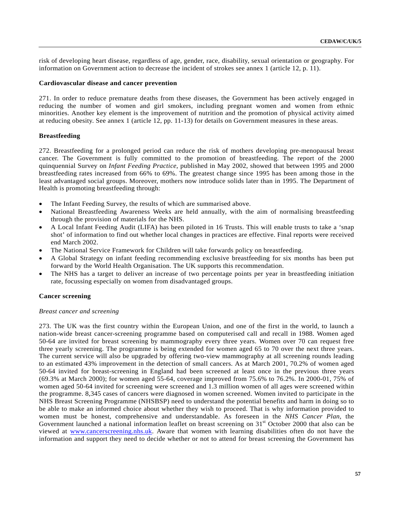risk of developing heart disease, regardless of age, gender, race, disability, sexual orientation or geography. For information on Government action to decrease the incident of strokes see annex 1 (article 12, p. 11).

### **Cardiovascular disease and cancer prevention**

271. In order to reduce premature deaths from these diseases, the Government has been actively engaged in reducing the number of women and girl smokers, including pregnant women and women from ethnic minorities. Another key element is the improvement of nutrition and the promotion of physical activity aimed at reducing obesity. See annex 1 (article 12, pp. 11-13) for details on Government measures in these areas.

### **Breastfeeding**

272. Breastfeeding for a prolonged period can reduce the risk of mothers developing pre-menopausal breast cancer. The Government is fully committed to the promotion of breastfeeding. The report of the 2000 quinquennial Survey on *Infant Feeding Practice*, published in May 2002, showed that between 1995 and 2000 breastfeeding rates increased from 66% to 69%. The greatest change since 1995 has been among those in the least advantaged social groups. Moreover, mothers now introduce solids later than in 1995. The Department of Health is promoting breastfeeding through:

- The Infant Feeding Survey, the results of which are summarised above.
- National Breastfeeding Awareness Weeks are held annually, with the aim of normalising breastfeeding through the provision of materials for the NHS.
- A Local Infant Feeding Audit (LIFA) has been piloted in 16 Trusts. This will enable trusts to take a 'snap shot' of information to find out whether local changes in practices are effective. Final reports were received end March 2002.
- The National Service Framework for Children will take forwards policy on breastfeeding.
- A Global Strategy on infant feeding recommending exclusive breastfeeding for six months has been put forward by the World Health Organisation. The UK supports this recommendation.
- The NHS has a target to deliver an increase of two percentage points per year in breastfeeding initiation rate, focussing especially on women from disadvantaged groups.

# **Cancer screening**

### *Breast cancer and screening*

273. The UK was the first country within the European Union, and one of the first in the world, to launch a nation-wide breast cancer-screening programme based on computerised call and recall in 1988. Women aged 50-64 are invited for breast screening by mammography every three years. Women over 70 can request free three yearly screening. The programme is being extended for women aged 65 to 70 over the next three years. The current service will also be upgraded by offering two-view mammography at all screening rounds leading to an estimated 43% improvement in the detection of small cancers. As at March 2001, 70.2% of women aged 50-64 invited for breast-screening in England had been screened at least once in the previous three years (69.3% at March 2000); for women aged 55-64, coverage improved from 75.6% to 76.2%. In 2000-01, 75% of women aged 50-64 invited for screening were screened and 1.3 million women of all ages were screened within the programme. 8,345 cases of cancers were diagnosed in women screened. Women invited to participate in the NHS Breast Screening Programme (NHSBSP) need to understand the potential benefits and harm in doing so to be able to make an informed choice about whether they wish to proceed. That is why information provided to women must be honest, comprehensive and understandable. As foreseen in the *NHS Cancer Plan,* the Government launched a national information leaflet on breast screening on 31<sup>st</sup> October 2000 that also can be viewed at www.cancerscreening.nhs.uk. Aware that women with learning disabilities often do not have the information and support they need to decide whether or not to attend for breast screening the Government has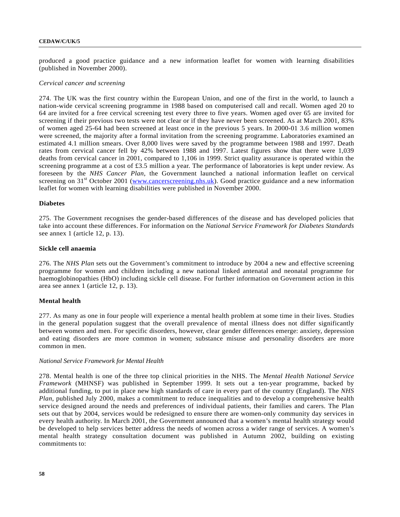produced a good practice guidance and a new information leaflet for women with learning disabilities (published in November 2000).

### *Cervical cancer and screening*

274. The UK was the first country within the European Union, and one of the first in the world, to launch a nation-wide cervical screening programme in 1988 based on computerised call and recall. Women aged 20 to 64 are invited for a free cervical screening test every three to five years. Women aged over 65 are invited for screening if their previous two tests were not clear or if they have never been screened. As at March 2001, 83% of women aged 25-64 had been screened at least once in the previous 5 years. In 2000-01 3.6 million women were screened, the majority after a formal invitation from the screening programme. Laboratories examined an estimated 4.1 million smears. Over 8,000 lives were saved by the programme between 1988 and 1997. Death rates from cervical cancer fell by 42% between 1988 and 1997. Latest figures show that there were 1,039 deaths from cervical cancer in 2001, compared to 1,106 in 1999. Strict quality assurance is operated within the screening programme at a cost of £3.5 million a year. The performance of laboratories is kept under review. As foreseen by the *NHS Cancer Plan*, the Government launched a national information leaflet on cervical screening on  $31<sup>st</sup>$  October 2001 (www.cancerscreening.nhs.uk). Good practice guidance and a new information leaflet for women with learning disabilities were published in November 2000.

### **Diabetes**

275. The Government recognises the gender-based differences of the disease and has developed policies that take into account these differences. For information on the *National Service Framework for Diabetes Standards* see annex 1 (article 12, p. 13).

# **Sickle cell anaemia**

276. The *NHS Plan* sets out the Government's commitment to introduce by 2004 a new and effective screening programme for women and children including a new national linked antenatal and neonatal programme for haemoglobinopathies (HbO) including sickle cell disease. For further information on Government action in this area see annex 1 (article 12, p. 13).

#### **Mental health**

277. As many as one in four people will experience a mental health problem at some time in their lives. Studies in the general population suggest that the overall prevalence of mental illness does not differ significantly between women and men. For specific disorders, however, clear gender differences emerge: anxiety, depression and eating disorders are more common in women; substance misuse and personality disorders are more common in men.

#### *National Service Framework for Mental Health*

278. Mental health is one of the three top clinical priorities in the NHS. The *Mental Health National Service Framework* (MHNSF) was published in September 1999. It sets out a ten-year programme, backed by additional funding, to put in place new high standards of care in every part of the country (England). The *NHS Plan*, published July 2000, makes a commitment to reduce inequalities and to develop a comprehensive health service designed around the needs and preferences of individual patients, their families and carers. The Plan sets out that by 2004, services would be redesigned to ensure there are women-only community day services in every health authority. In March 2001, the Government announced that a women's mental health strategy would be developed to help services better address the needs of women across a wider range of services. A women's mental health strategy consultation document was published in Autumn 2002, building on existing commitments to: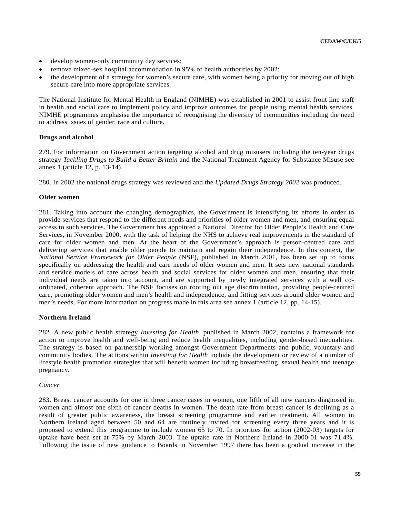- develop women-only community day services;
- remove mixed-sex hospital accommodation in 95% of health authorities by 2002;
- the development of a strategy for women's secure care, with women being a priority for moving out of high secure care into more appropriate services.

The National Institute for Mental Health in England (NIMHE) was established in 2001 to assist front line staff in health and social care to implement policy and improve outcomes for people using mental health services. NIMHE programmes emphasise the importance of recognising the diversity of communities including the need to address issues of gender, race and culture.

#### **Drugs and alcohol**

279. For information on Government action targeting alcohol and drug misusers including the ten-year drugs strategy *Tackling Drugs to Build a Better Britain* and the National Treatment Agency for Substance Misuse see annex 1 (article 12, p. 13-14).

280. In 2002 the national drugs strategy was reviewed and the *Updated Drugs Strategy 2002* was produced.

# **Older women**

281. Taking into account the changing demographics, the Government is intensifying its efforts in order to provide services that respond to the different needs and priorities of older women and men, and ensuring equal access to such services. The Government has appointed a National Director for Older People's Health and Care Services, in November 2000, with the task of helping the NHS to achieve real improvements in the standard of care for older women and men. At the heart of the Government's approach is person-centred care and delivering services that enable older people to maintain and regain their independence. In this context, the *National Service Framework for Older People* (NSF), published in March 2001, has been set up to focus specifically on addressing the health and care needs of older women and men. It sets new national standards and service models of care across health and social services for older women and men, ensuring that their individual needs are taken into account, and are supported by newly integrated services with a well coordinated, coherent approach. The NSF focuses on rooting out age discrimination, providing people-centred care, promoting older women and men's health and independence, and fitting services around older women and men's needs. For more information on progress made in this area see annex 1 (article 12, pp. 14-15).

### **Northern Ireland**

282. A new public health strategy *Investing for Health,* published in March 2002, contains a framework for action to improve health and well-being and reduce health inequalities, including gender-based inequalities. The strategy is based on partnership working amongst Government Departments and public, voluntary and community bodies. The actions within *Investing for Health* include the development or review of a number of lifestyle health promotion strategies that will benefit women including breastfeeding, sexual health and teenage pregnancy.

### *Cancer*

283. Breast cancer accounts for one in three cancer cases in women, one fifth of all new cancers diagnosed in women and almost one sixth of cancer deaths in women. The death rate from breast cancer is declining as a result of greater public awareness, the breast screening programme and earlier treatment. All women in Northern Ireland aged between 50 and 64 are routinely invited for screening every three years and it is proposed to extend this programme to include women 65 to 70. In priorities for action (2002-03) targets for uptake have been set at 75% by March 2003. The uptake rate in Northern Ireland in 2000-01 was 71.4%. Following the issue of new guidance to Boards in November 1997 there has been a gradual increase in the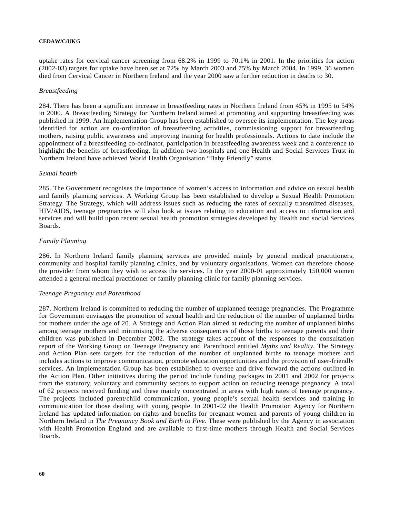uptake rates for cervical cancer screening from 68.2% in 1999 to 70.1% in 2001. In the priorities for action (2002-03) targets for uptake have been set at 72% by March 2003 and 75% by March 2004. In 1999, 36 women died from Cervical Cancer in Northern Ireland and the year 2000 saw a further reduction in deaths to 30.

#### *Breastfeeding*

284. There has been a significant increase in breastfeeding rates in Northern Ireland from 45% in 1995 to 54% in 2000. A Breastfeeding Strategy for Northern Ireland aimed at promoting and supporting breastfeeding was published in 1999. An Implementation Group has been established to oversee its implementation. The key areas identified for action are co-ordination of breastfeeding activities, commissioning support for breastfeeding mothers, raising public awareness and improving training for health professionals. Actions to date include the appointment of a breastfeeding co-ordinator, participation in breastfeeding awareness week and a conference to highlight the benefits of breastfeeding. In addition two hospitals and one Health and Social Services Trust in Northern Ireland have achieved World Health Organisation "Baby Friendly" status.

# *Sexual health*

285. The Government recognises the importance of women's access to information and advice on sexual health and family planning services. A Working Group has been established to develop a Sexual Health Promotion Strategy. The Strategy, which will address issues such as reducing the rates of sexually transmitted diseases, HIV/AIDS, teenage pregnancies will also look at issues relating to education and access to information and services and will build upon recent sexual health promotion strategies developed by Health and social Services Boards.

### *Family Planning*

286. In Northern Ireland family planning services are provided mainly by general medical practitioners, community and hospital family planning clinics, and by voluntary organisations. Women can therefore choose the provider from whom they wish to access the services. In the year 2000-01 approximately 150,000 women attended a general medical practitioner or family planning clinic for family planning services.

#### *Teenage Pregnancy and Parenthood*

287. Northern Ireland is committed to reducing the number of unplanned teenage pregnancies. The Programme for Government envisages the promotion of sexual health and the reduction of the number of unplanned births for mothers under the age of 20. A Strategy and Action Plan aimed at reducing the number of unplanned births among teenage mothers and minimising the adverse consequences of those births to teenage parents and their children was published in December 2002. The strategy takes account of the responses to the consultation report of the Working Group on Teenage Pregnancy and Parenthood entitled *Myths and Reality*. The Strategy and Action Plan sets targets for the reduction of the number of unplanned births to teenage mothers and includes actions to improve communication, promote education opportunities and the provision of user-friendly services. An Implementation Group has been established to oversee and drive forward the actions outlined in the Action Plan. Other initiatives during the period include funding packages in 2001 and 2002 for projects from the statutory, voluntary and community sectors to support action on reducing teenage pregnancy. A total of 62 projects received funding and these mainly concentrated in areas with high rates of teenage pregnancy. The projects included parent/child communication, young people's sexual health services and training in communication for those dealing with young people. In 2001-02 the Health Promotion Agency for Northern Ireland has updated information on rights and benefits for pregnant women and parents of young children in Northern Ireland in *The Pregnancy Book and Birth to Five*. These were published by the Agency in association with Health Promotion England and are available to first-time mothers through Health and Social Services Boards.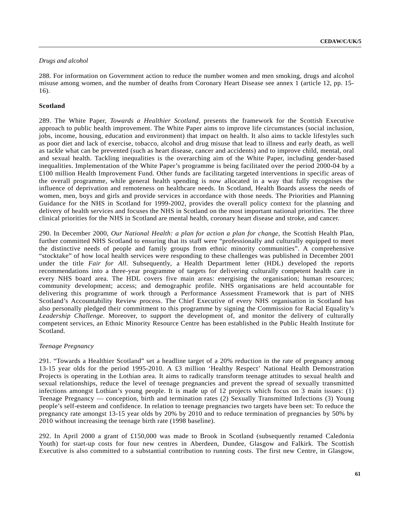# *Drugs and alcohol*

288. For information on Government action to reduce the number women and men smoking, drugs and alcohol misuse among women, and the number of deaths from Coronary Heart Disease see annex 1 (article 12, pp. 15- 16).

# **Scotland**

289. The White Paper, *Towards a Healthier Scotland,* presents the framework for the Scottish Executive approach to public health improvement. The White Paper aims to improve life circumstances (social inclusion, jobs, income, housing, education and environment) that impact on health. It also aims to tackle lifestyles such as poor diet and lack of exercise, tobacco, alcohol and drug misuse that lead to illness and early death, as well as tackle what can be prevented (such as heart disease, cancer and accidents) and to improve child, mental, oral and sexual health. Tackling inequalities is the overarching aim of the White Paper, including gender-based inequalities. Implementation of the White Paper's programme is being facilitated over the period 2000-04 by a £100 million Health Improvement Fund. Other funds are facilitating targeted interventions in specific areas of the overall programme, while general health spending is now allocated in a way that fully recognises the influence of deprivation and remoteness on healthcare needs. In Scotland, Health Boards assess the needs of women, men, boys and girls and provide services in accordance with those needs. The Priorities and Planning Guidance for the NHS in Scotland for 1999-2002, provides the overall policy context for the planning and delivery of health services and focuses the NHS in Scotland on the most important national priorities. The three clinical priorities for the NHS in Scotland are mental health, coronary heart disease and stroke, and cancer.

290. In December 2000, *Our National Health: a plan for action a plan for change*, the Scottish Health Plan, further committed NHS Scotland to ensuring that its staff were "professionally and culturally equipped to meet the distinctive needs of people and family groups from ethnic minority communities". A comprehensive "stocktake" of how local health services were responding to these challenges was published in December 2001 under the title *Fair for All*. Subsequently, a Health Department letter (HDL) developed the reports recommendations into a three-year programme of targets for delivering culturally competent health care in every NHS board area. The HDL covers five main areas: energising the organisation; human resources; community development; access; and demographic profile. NHS organisations are held accountable for delivering this programme of work through a Performance Assessment Framework that is part of NHS Scotland's Accountability Review process. The Chief Executive of every NHS organisation in Scotland has also personally pledged their commitment to this programme by signing the Commission for Racial Equality's *Leadership Challenge*. Moreover, to support the development of, and monitor the delivery of culturally competent services, an Ethnic Minority Resource Centre has been established in the Public Health Institute for Scotland.

# *Teenage Pregnancy*

291. "Towards a Healthier Scotland" set a headline target of a 20% reduction in the rate of pregnancy among 13-15 year olds for the period 1995-2010. A £3 million 'Healthy Respect' National Health Demonstration Projects is operating in the Lothian area. It aims to radically transform teenage attitudes to sexual health and sexual relationships, reduce the level of teenage pregnancies and prevent the spread of sexually transmitted infections amongst Lothian's young people. It is made up of 12 projects which focus on 3 main issues: (1) Teenage Pregnancy — conception, birth and termination rates (2) Sexually Transmitted Infections (3) Young people's self-esteem and confidence. In relation to teenage pregnancies two targets have been set: To reduce the pregnancy rate amongst 13-15 year olds by 20% by 2010 and to reduce termination of pregnancies by 50% by 2010 without increasing the teenage birth rate (1998 baseline).

292. In April 2000 a grant of £150,000 was made to Brook in Scotland (subsequently renamed Caledonia Youth) for start-up costs for four new centres in Aberdeen, Dundee, Glasgow and Falkirk. The Scottish Executive is also committed to a substantial contribution to running costs. The first new Centre, in Glasgow,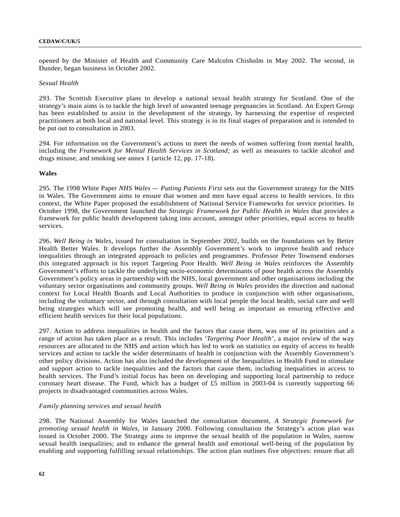opened by the Minister of Health and Community Care Malcolm Chisholm in May 2002. The second, in Dundee, began business in October 2002.

### *Sexual Health*

293. The Scottish Executive plans to develop a national sexual health strategy for Scotland. One of the strategy's main aims is to tackle the high level of unwanted teenage pregnancies in Scotland. An Expert Group has been established to assist in the development of the strategy, by harnessing the expertise of respected practitioners at both local and national level. This strategy is in its final stages of preparation and is intended to be put out to consultation in 2003.

294. For information on the Government's actions to meet the needs of women suffering from mental health, including the *Framework for Mental Health Services in Scotland;* as well as measures to tackle alcohol and drugs misuse, and smoking see annex 1 (article 12, pp. 17-18).

# **Wales**

295. The 1998 White Paper *NHS Wales — Putting Patients First* sets out the Government strategy for the NHS in Wales. The Government aims to ensure that women and men have equal access to health services. In this context, the White Paper proposed the establishment of National Service Frameworks for service priorities. In October 1998, the Government launched the *Strategic Framework for Public Health in Wales* that provides a framework for public health development taking into account, amongst other priorities, equal access to health services.

296. *Well Being in Wales*, issued for consultation in September 2002, builds on the foundations set by Better Health Better Wales. It develops further the Assembly Government's work to improve health and reduce inequalities through an integrated approach to policies and programmes. Professor Peter Townsend endorses this integrated approach in his report Targeting Poor Health. *Well Being in Wales* reinforces the Assembly Government's efforts to tackle the underlying socio-economic determinants of poor health across the Assembly Government's policy areas in partnership with the NHS, local government and other organisations including the voluntary sector organisations and community groups. *Well Being in Wales* provides the direction and national context for Local Health Boards and Local Authorities to produce in conjunction with other organisations, including the voluntary sector, and through consultation with local people the local health, social care and well being strategies which will see promoting health, and well being as important as ensuring effective and efficient health services for their local populations.

297. Action to address inequalities in health and the factors that cause them, was one of its priorities and a range of action has taken place as a result. This includes '*Targeting Poor Health',* a major review of the way resources are allocated to the NHS and action which has led to work on statistics on equity of access to health services and action to tackle the wider determinants of health in conjunction with the Assembly Government's other policy divisions. Action has also included the development of the Inequalities in Health Fund to stimulate and support action to tackle inequalities and the factors that cause them, including inequalities in access to health services. The Fund's initial focus has been on developing and supporting local partnership to reduce coronary heart disease. The Fund, which has a budget of £5 million in 2003-04 is currently supporting 66 projects in disadvantaged communities across Wales.

### *Family planning services and sexual health*

298. The National Assembly for Wales launched the consultation document, *A Strategic framework for promoting sexual health in Wales*, in January 2000. Following consultation the Strategy's action plan was issued in October 2000. The Strategy aims to improve the sexual health of the population in Wales, narrow sexual health inequalities; and to enhance the general health and emotional well-being of the population by enabling and supporting fulfilling sexual relationships. The action plan outlines five objectives: ensure that all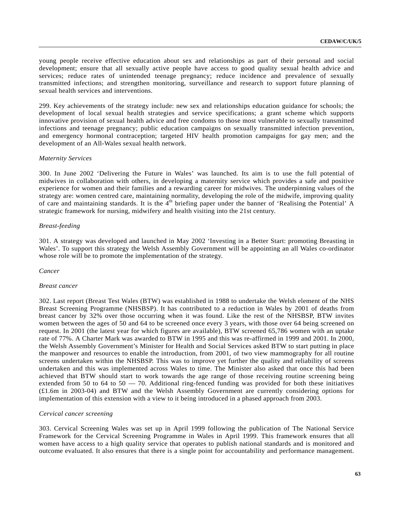young people receive effective education about sex and relationships as part of their personal and social development; ensure that all sexually active people have access to good quality sexual health advice and services; reduce rates of unintended teenage pregnancy; reduce incidence and prevalence of sexually transmitted infections; and strengthen monitoring, surveillance and research to support future planning of sexual health services and interventions.

299. Key achievements of the strategy include: new sex and relationships education guidance for schools; the development of local sexual health strategies and service specifications; a grant scheme which supports innovative provision of sexual health advice and free condoms to those most vulnerable to sexually transmitted infections and teenage pregnancy; public education campaigns on sexually transmitted infection prevention, and emergency hormonal contraception; targeted HIV health promotion campaigns for gay men; and the development of an All-Wales sexual health network.

#### *Maternity Services*

300. In June 2002 'Delivering the Future in Wales' was launched. Its aim is to use the full potential of midwives in collaboration with others, in developing a maternity service which provides a safe and positive experience for women and their families and a rewarding career for midwives. The underpinning values of the strategy are: women centred care, maintaining normality, developing the role of the midwife, improving quality of care and maintaining standards. It is the 4<sup>th</sup> briefing paper under the banner of 'Realising the Potential' A strategic framework for nursing, midwifery and health visiting into the 21st century.

### *Breast-feeding*

301. A strategy was developed and launched in May 2002 'Investing in a Better Start: promoting Breasting in Wales'. To support this strategy the Welsh Assembly Government will be appointing an all Wales co-ordinator whose role will be to promote the implementation of the strategy.

*Cancer*

#### *Breast cancer*

302. Last report (Breast Test Wales (BTW) was established in 1988 to undertake the Welsh element of the NHS Breast Screening Programme (NHSBSP). It has contributed to a reduction in Wales by 2001 of deaths from breast cancer by 32% over those occurring when it was found. Like the rest of the NHSBSP, BTW invites women between the ages of 50 and 64 to be screened once every 3 years, with those over 64 being screened on request. In 2001 (the latest year for which figures are available), BTW screened 65,786 women with an uptake rate of 77%. A Charter Mark was awarded to BTW in 1995 and this was re-affirmed in 1999 and 2001. In 2000, the Welsh Assembly Government's Minister for Health and Social Services asked BTW to start putting in place the manpower and resources to enable the introduction, from 2001, of two view mammography for all routine screens undertaken within the NHSBSP. This was to improve yet further the quality and reliability of screens undertaken and this was implemented across Wales to time. The Minister also asked that once this had been achieved that BTW should start to work towards the age range of those receiving routine screening being extended from 50 to 64 to 50  $-$  70. Additional ring-fenced funding was provided for both these initiatives (£1.6m in 2003-04) and BTW and the Welsh Assembly Government are currently considering options for implementation of this extension with a view to it being introduced in a phased approach from 2003.

### *Cervical cancer screening*

303. Cervical Screening Wales was set up in April 1999 following the publication of The National Service Framework for the Cervical Screening Programme in Wales in April 1999. This framework ensures that all women have access to a high quality service that operates to publish national standards and is monitored and outcome evaluated. It also ensures that there is a single point for accountability and performance management.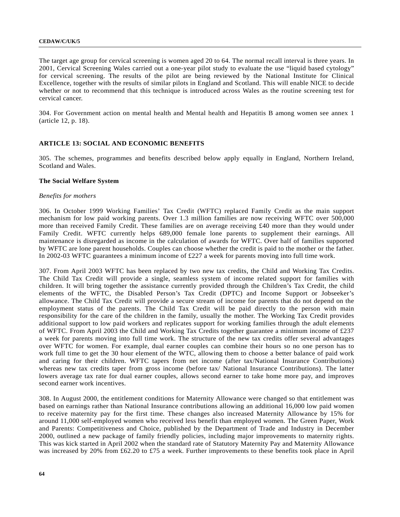#### **CEDAW/C/UK/5**

The target age group for cervical screening is women aged 20 to 64. The normal recall interval is three years. In 2001, Cervical Screening Wales carried out a one-year pilot study to evaluate the use "liquid based cytology" for cervical screening. The results of the pilot are being reviewed by the National Institute for Clinical Excellence, together with the results of similar pilots in England and Scotland. This will enable NICE to decide whether or not to recommend that this technique is introduced across Wales as the routine screening test for cervical cancer.

304. For Government action on mental health and Mental health and Hepatitis B among women see annex 1 (article 12, p. 18).

# **ARTICLE 13: SOCIAL AND ECONOMIC BENEFITS**

305. The schemes, programmes and benefits described below apply equally in England, Northern Ireland, Scotland and Wales.

### **The Social Welfare System**

### *Benefits for mothers*

306. In October 1999 Working Families' Tax Credit (WFTC) replaced Family Credit as the main support mechanism for low paid working parents. Over 1.3 million families are now receiving WFTC over 500,000 more than received Family Credit. These families are on average receiving £40 more than they would under Family Credit. WFTC currently helps 689,000 female lone parents to supplement their earnings. All maintenance is disregarded as income in the calculation of awards for WFTC. Over half of families supported by WFTC are lone parent households. Couples can choose whether the credit is paid to the mother or the father. In 2002-03 WFTC guarantees a minimum income of £227 a week for parents moving into full time work.

307. From April 2003 WFTC has been replaced by two new tax credits, the Child and Working Tax Credits. The Child Tax Credit will provide a single, seamless system of income related support for families with children. It will bring together the assistance currently provided through the Children's Tax Credit, the child elements of the WFTC, the Disabled Person's Tax Credit (DPTC) and Income Support or Jobseeker's allowance. The Child Tax Credit will provide a secure stream of income for parents that do not depend on the employment status of the parents. The Child Tax Credit will be paid directly to the person with main responsibility for the care of the children in the family, usually the mother. The Working Tax Credit provides additional support to low paid workers and replicates support for working families through the adult elements of WFTC. From April 2003 the Child and Working Tax Credits together guarantee a minimum income of £237 a week for parents moving into full time work. The structure of the new tax credits offer several advantages over WFTC for women. For example, dual earner couples can combine their hours so no one person has to work full time to get the 30 hour element of the WTC, allowing them to choose a better balance of paid work and caring for their children. WFTC tapers from net income (after tax/National Insurance Contributions) whereas new tax credits taper from gross income (before tax/ National Insurance Contributions). The latter lowers average tax rate for dual earner couples, allows second earner to take home more pay, and improves second earner work incentives.

308. In August 2000, the entitlement conditions for Maternity Allowance were changed so that entitlement was based on earnings rather than National Insurance contributions allowing an additional 16,000 low paid women to receive maternity pay for the first time. These changes also increased Maternity Allowance by 15% for around 11,000 self-employed women who received less benefit than employed women. The Green Paper, Work and Parents: Competitiveness and Choice, published by the Department of Trade and Industry in December 2000, outlined a new package of family friendly policies, including major improvements to maternity rights. This was kick started in April 2002 when the standard rate of Statutory Maternity Pay and Maternity Allowance was increased by 20% from £62.20 to £75 a week. Further improvements to these benefits took place in April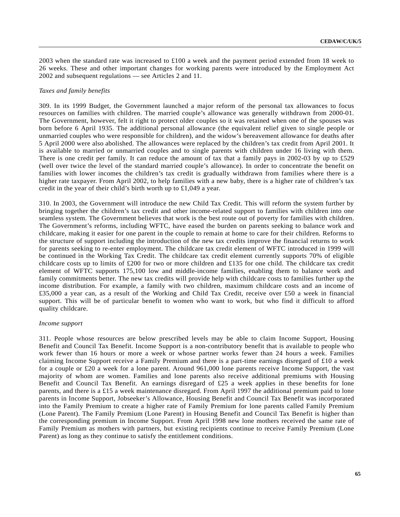2003 when the standard rate was increased to £100 a week and the payment period extended from 18 week to 26 weeks. These and other important changes for working parents were introduced by the Employment Act 2002 and subsequent regulations — see Articles 2 and 11.

### *Taxes and family benefits*

309. In its 1999 Budget, the Government launched a major reform of the personal tax allowances to focus resources on families with children. The married couple's allowance was generally withdrawn from 2000-01. The Government, however, felt it right to protect older couples so it was retained when one of the spouses was born before 6 April 1935. The additional personal allowance (the equivalent relief given to single people or unmarried couples who were responsible for children), and the widow's bereavement allowance for deaths after 5 April 2000 were also abolished. The allowances were replaced by the children's tax credit from April 2001. It is available to married or unmarried couples and to single parents with children under 16 living with them. There is one credit per family. It can reduce the amount of tax that a family pays in 2002-03 by up to £529 (well over twice the level of the standard married couple's allowance). In order to concentrate the benefit on families with lower incomes the children's tax credit is gradually withdrawn from families where there is a higher rate taxpayer. From April 2002, to help families with a new baby, there is a higher rate of children's tax credit in the year of their child's birth worth up to £1,049 a year.

310. In 2003, the Government will introduce the new Child Tax Credit. This will reform the system further by bringing together the children's tax credit and other income-related support to families with children into one seamless system. The Government believes that work is the best route out of poverty for families with children. The Government's reforms, including WFTC, have eased the burden on parents seeking to balance work and childcare, making it easier for one parent in the couple to remain at home to care for their children. Reforms to the structure of support including the introduction of the new tax credits improve the financial returns to work for parents seeking to re-enter employment. The childcare tax credit element of WFTC introduced in 1999 will be continued in the Working Tax Credit. The childcare tax credit element currently supports 70% of eligible childcare costs up to limits of £200 for two or more children and £135 for one child. The childcare tax credit element of WFTC supports 175,100 low and middle-income families, enabling them to balance work and family commitments better. The new tax credits will provide help with childcare costs to families further up the income distribution. For example, a family with two children, maximum childcare costs and an income of £35,000 a year can, as a result of the Working and Child Tax Credit, receive over £50 a week in financial support. This will be of particular benefit to women who want to work, but who find it difficult to afford quality childcare.

#### *Income support*

311. People whose resources are below prescribed levels may be able to claim Income Support, Housing Benefit and Council Tax Benefit. Income Support is a non-contributory benefit that is available to people who work fewer than 16 hours or more a week or whose partner works fewer than 24 hours a week. Families claiming Income Support receive a Family Premium and there is a part-time earnings disregard of £10 a week for a couple or £20 a week for a lone parent. Around 961,000 lone parents receive Income Support, the vast majority of whom are women. Families and lone parents also receive additional premiums with Housing Benefit and Council Tax Benefit. An earnings disregard of £25 a week applies in these benefits for lone parents, and there is a £15 a week maintenance disregard. From April 1997 the additional premium paid to lone parents in Income Support, Jobseeker's Allowance, Housing Benefit and Council Tax Benefit was incorporated into the Family Premium to create a higher rate of Family Premium for lone parents called Family Premium (Lone Parent). The Family Premium (Lone Parent) in Housing Benefit and Council Tax Benefit is higher than the corresponding premium in Income Support. From April 1998 new lone mothers received the same rate of Family Premium as mothers with partners, but existing recipients continue to receive Family Premium (Lone Parent) as long as they continue to satisfy the entitlement conditions.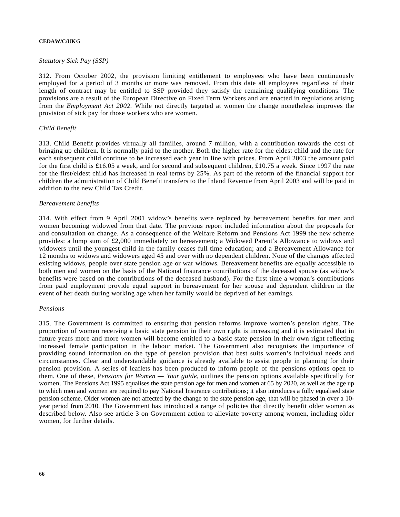# *Statutory Sick Pay (SSP)*

312. From October 2002, the provision limiting entitlement to employees who have been continuously employed for a period of 3 months or more was removed. From this date all employees regardless of their length of contract may be entitled to SSP provided they satisfy the remaining qualifying conditions. The provisions are a result of the European Directive on Fixed Term Workers and are enacted in regulations arising from the *Employment Act 2002*. While not directly targeted at women the change nonetheless improves the provision of sick pay for those workers who are women.

### *Child Benefit*

313. Child Benefit provides virtually all families, around 7 million, with a contribution towards the cost of bringing up children. It is normally paid to the mother. Both the higher rate for the eldest child and the rate for each subsequent child continue to be increased each year in line with prices. From April 2003 the amount paid for the first child is £16.05 a week, and for second and subsequent children, £10.75 a week. Since 1997 the rate for the first/eldest child has increased in real terms by 25%. As part of the reform of the financial support for children the administration of Child Benefit transfers to the Inland Revenue from April 2003 and will be paid in addition to the new Child Tax Credit.

### *Bereavement benefits*

314. With effect from 9 April 2001 widow's benefits were replaced by bereavement benefits for men and women becoming widowed from that date. The previous report included information about the proposals for and consultation on change. As a consequence of the Welfare Reform and Pensions Act 1999 the new scheme provides: a lump sum of £2,000 immediately on bereavement; a Widowed Parent's Allowance to widows and widowers until the youngest child in the family ceases full time education; and a Bereavement Allowance for 12 months to widows and widowers aged 45 and over with no dependent children**.** None of the changes affected existing widows, people over state pension age or war widows. Bereavement benefits are equally accessible to both men and women on the basis of the National Insurance contributions of the deceased spouse (as widow's benefits were based on the contributions of the deceased husband). For the first time a woman's contributions from paid employment provide equal support in bereavement for her spouse and dependent children in the event of her death during working age when her family would be deprived of her earnings.

#### *Pensions*

315. The Government is committed to ensuring that pension reforms improve women's pension rights. The proportion of women receiving a basic state pension in their own right is increasing and it is estimated that in future years more and more women will become entitled to a basic state pension in their own right reflecting increased female participation in the labour market. The Government also recognises the importance of providing sound information on the type of pension provision that best suits women's individual needs and circumstances. Clear and understandable guidance is already available to assist people in planning for their pension provision. A series of leaflets has been produced to inform people of the pensions options open to them. One of these, *Pensions for Women — Your guide,* outlines the pension options available specifically for women. The Pensions Act 1995 equalises the state pension age for men and women at 65 by 2020, as well as the age up to which men and women are required to pay National Insurance contributions; it also introduces a fully equalised state pension scheme. Older women are not affected by the change to the state pension age, that will be phased in over a 10 year period from 2010. The Government has introduced a range of policies that directly benefit older women as described below. Also see article 3 on Government action to alleviate poverty among women, including older women, for further details.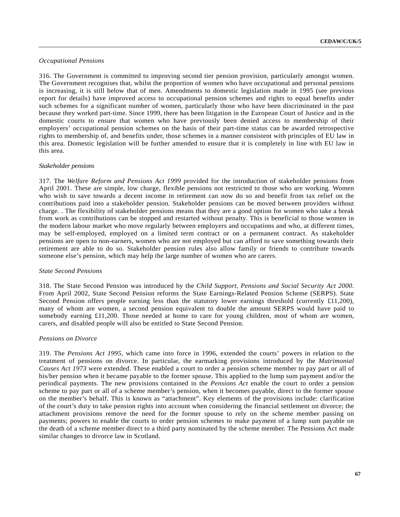# *Occupational Pensions*

316. The Government is committed to improving second tier pension provision, particularly amongst women. The Government recognises that, whilst the proportion of women who have occupational and personal pensions is increasing, it is still below that of men. Amendments to domestic legislation made in 1995 (see previous report for details) have improved access to occupational pension schemes and rights to equal benefits under such schemes for a significant number of women, particularly those who have been discriminated in the past because they worked part-time. Since 1999, there has been litigation in the European Court of Justice and in the domestic courts to ensure that women who have previously been denied access to membership of their employers' occupational pension schemes on the basis of their part-time status can be awarded retrospective rights to membership of, and benefits under, those schemes in a manner consistent with principles of EU law in this area. Domestic legislation will be further amended to ensure that it is completely in line with EU law in this area.

### *Stakeholder pensions*

317. The *Welfare Reform and Pensions Act 1999* provided for the introduction of stakeholder pensions from April 2001. These are simple, low charge, flexible pensions not restricted to those who are working. Women who wish to save towards a decent income in retirement can now do so and benefit from tax relief on the contributions paid into a stakeholder pension. Stakeholder pensions can be moved between providers without charge. . The flexibility of stakeholder pensions means that they are a good option for women who take a break from work as contributions can be stopped and restarted without penalty. This is beneficial to those women in the modern labour market who move regularly between employers and occupations and who, at different times, may be self-employed, employed on a limited term contract or on a permanent contract. As stakeholder pensions are open to non-earners, women who are not employed but can afford to save something towards their retirement are able to do so. Stakeholder pension rules also allow family or friends to contribute towards someone else's pension, which may help the large number of women who are carers.

### *State Second Pensions*

318. The State Second Pension was introduced by the *Child Support, Pensions and Social Security Act 2000*. From April 2002, State Second Pension reforms the State Earnings-Related Pension Scheme (SERPS). State Second Pension offers people earning less than the statutory lower earnings threshold (currently £11,200), many of whom are women, a second pension equivalent to double the amount SERPS would have paid to somebody earning £11,200. Those needed at home to care for young children, most of whom are women, carers, and disabled people will also be entitled to State Second Pension.

#### *Pensions on Divorce*

319. The *Pensions Act 1995*, which came into force in 1996, extended the courts' powers in relation to the treatment of pensions on divorce. In particular, the earmarking provisions introduced by the *Matrimonial Causes Act 1973* were extended. These enabled a court to order a pension scheme member to pay part or all of his/her pension when it became payable to the former spouse. This applied to the lump sum payment and/or the periodical payments. The new provisions contained in the *Pensions Act* enable the court to order a pension scheme to pay part or all of a scheme member's pension, when it becomes payable, direct to the former spouse on the member's behalf. This is known as "attachment". Key elements of the provisions include: clarification of the court's duty to take pension rights into account when considering the financial settlement on divorce; the attachment provisions remove the need for the former spouse to rely on the scheme member passing on payments; powers to enable the courts to order pension schemes to make payment of a lump sum payable on the death of a scheme member direct to a third party nominated by the scheme member. The Pensions Act made similar changes to divorce law in Scotland.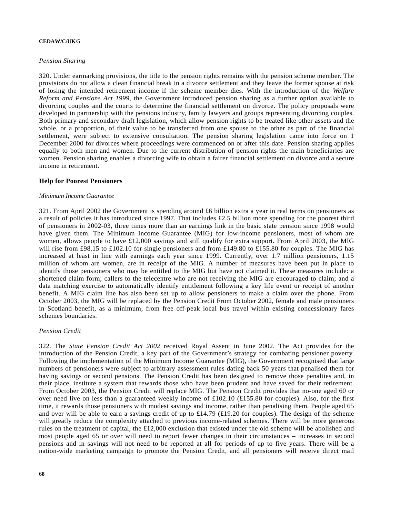### *Pension Sharing*

320. Under earmarking provisions, the title to the pension rights remains with the pension scheme member. The provisions do not allow a clean financial break in a divorce settlement and they leave the former spouse at risk of losing the intended retirement income if the scheme member dies. With the introduction of the *Welfare Reform and Pensions Act 1999*, the Government introduced pension sharing as a further option available to divorcing couples and the courts to determine the financial settlement on divorce. The policy proposals were developed in partnership with the pensions industry, family lawyers and groups representing divorcing couples. Both primary and secondary draft legislation, which allow pension rights to be treated like other assets and the whole, or a proportion, of their value to be transferred from one spouse to the other as part of the financial settlement, were subject to extensive consultation. The pension sharing legislation came into force on 1 December 2000 for divorces where proceedings were commenced on or after this date. Pension sharing applies equally to both men and women. Due to the current distribution of pension rights the main beneficiaries are women. Pension sharing enables a divorcing wife to obtain a fairer financial settlement on divorce and a secure income in retirement.

### **Help for Poorest Pensioners**

#### *Minimum Income Guarantee*

321. From April 2002 the Government is spending around £6 billion extra a year in real terms on pensioners as a result of policies it has introduced since 1997. That includes £2.5 billion more spending for the poorest third of pensioners in 2002-03, three times more than an earnings link in the basic state pension since 1998 would have given them. The Minimum Income Guarantee (MIG) for low-income pensioners, most of whom are women, allows people to have £12,000 savings and still qualify for extra support. From April 2003, the MIG will rise from £98.15 to £102.10 for single pensioners and from £149.80 to £155.80 for couples. The MIG has increased at least in line with earnings each year since 1999. Currently, over 1.7 million pensioners, 1.15 million of whom are women, are in receipt of the MIG. A number of measures have been put in place to identify those pensioners who may be entitled to the MIG but have not claimed it. These measures include: a shortened claim form; callers to the telecentre who are not receiving the MIG are encouraged to claim; and a data matching exercise to automatically identify entitlement following a key life event or receipt of another benefit. A MIG claim line has also been set up to allow pensioners to make a claim over the phone. From October 2003, the MIG will be replaced by the Pension Credit From October 2002, female and male pensioners in Scotland benefit, as a minimum, from free off-peak local bus travel within existing concessionary fares schemes boundaries.

### *Pension Credit*

322. The *State Pension Credit Act 2002* received Royal Assent in June 2002. The Act provides for the introduction of the Pension Credit, a key part of the Government's strategy for combating pensioner poverty. Following the implementation of the Minimum Income Guarantee (MIG), the Government recognised that large numbers of pensioners were subject to arbitrary assessment rules dating back 50 years that penalised them for having savings or second pensions. The Pension Credit has been designed to remove those penalties and, in their place, institute a system that rewards those who have been prudent and have saved for their retirement. From October 2003, the Pension Credit will replace MIG. The Pension Credit provides that no-one aged 60 or over need live on less than a guaranteed weekly income of £102.10 (£155.80 for couples). Also, for the first time, it rewards those pensioners with modest savings and income, rather than penalising them. People aged 65 and over will be able to earn a savings credit of up to £14.79 (£19.20 for couples). The design of the scheme will greatly reduce the complexity attached to previous income-related schemes. There will be more generous rules on the treatment of capital, the £12,000 exclusion that existed under the old scheme will be abolished and most people aged 65 or over will need to report fewer changes in their circumstances – increases in second pensions and in savings will not need to be reported at all for periods of up to five years. There will be a nation-wide marketing campaign to promote the Pension Credit, and all pensioners will receive direct mail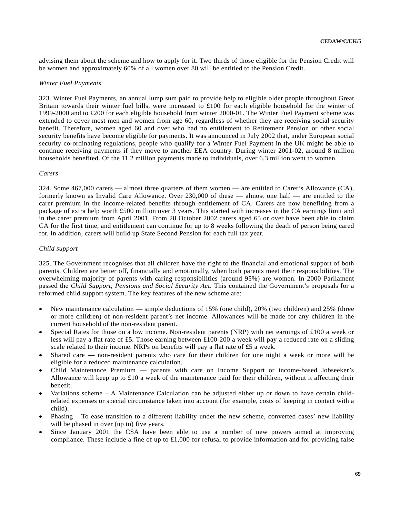advising them about the scheme and how to apply for it. Two thirds of those eligible for the Pension Credit will be women and approximately 60% of all women over 80 will be entitled to the Pension Credit.

### *Winter Fuel Payments*

323. Winter Fuel Payments, an annual lump sum paid to provide help to eligible older people throughout Great Britain towards their winter fuel bills, were increased to £100 for each eligible household for the winter of 1999-2000 and to £200 for each eligible household from winter 2000-01. The Winter Fuel Payment scheme was extended to cover most men and women from age 60, regardless of whether they are receiving social security benefit. Therefore, women aged 60 and over who had no entitlement to Retirement Pension or other social security benefits have become eligible for payments. It was announced in July 2002 that, under European social security co-ordinating regulations, people who qualify for a Winter Fuel Payment in the UK might be able to continue receiving payments if they move to another EEA country. During winter 2001-02, around 8 million households benefited. Of the 11.2 million payments made to individuals, over 6.3 million went to women.

# *Carers*

324. Some 467,000 carers — almost three quarters of them women — are entitled to Carer's Allowance (CA), formerly known as Invalid Care Allowance. Over 230,000 of these — almost one half — are entitled to the carer premium in the income-related benefits through entitlement of CA. Carers are now benefiting from a package of extra help worth £500 million over 3 years. This started with increases in the CA earnings limit and in the carer premium from April 2001. From 28 October 2002 carers aged 65 or over have been able to claim CA for the first time, and entitlement can continue for up to 8 weeks following the death of person being cared for. In addition, carers will build up State Second Pension for each full tax year.

# *Child support*

325. The Government recognises that all children have the right to the financial and emotional support of both parents. Children are better off, financially and emotionally, when both parents meet their responsibilities. The overwhelming majority of parents with caring responsibilities (around 95%) are women. In 2000 Parliament passed the *Child Support, Pensions and Social Security Act*. This contained the Government's proposals for a reformed child support system. The key features of the new scheme are:

- New maintenance calculation simple deductions of 15% (one child), 20% (two children) and 25% (three or more children) of non-resident parent's net income. Allowances will be made for any children in the current household of the non-resident parent.
- Special Rates for those on a low income. Non-resident parents (NRP) with net earnings of £100 a week or less will pay a flat rate of £5. Those earning between £100-200 a week will pay a reduced rate on a sliding scale related to their income. NRPs on benefits will pay a flat rate of £5 a week.
- Shared care non-resident parents who care for their children for one night a week or more will be eligible for a reduced maintenance calculation.
- Child Maintenance Premium parents with care on Income Support or income-based Jobseeker's Allowance will keep up to £10 a week of the maintenance paid for their children, without it affecting their benefit.
- Variations scheme A Maintenance Calculation can be adjusted either up or down to have certain childrelated expenses or special circumstance taken into account (for example, costs of keeping in contact with a child).
- Phasing To ease transition to a different liability under the new scheme, converted cases' new liability will be phased in over (up to) five years.
- Since January 2001 the CSA have been able to use a number of new powers aimed at improving compliance. These include a fine of up to  $\pounds1,000$  for refusal to provide information and for providing false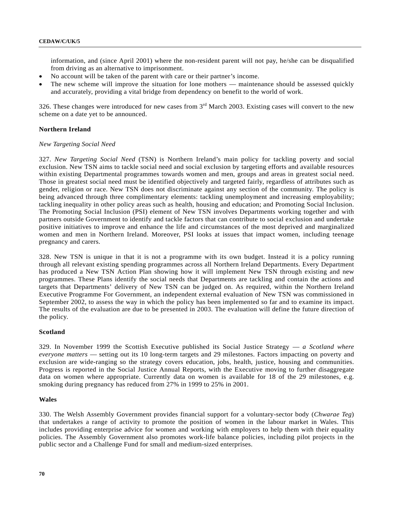information, and (since April 2001) where the non-resident parent will not pay, he/she can be disqualified from driving as an alternative to imprisonment.

- No account will be taken of the parent with care or their partner's income.
- The new scheme will improve the situation for lone mothers maintenance should be assessed quickly and accurately, providing a vital bridge from dependency on benefit to the world of work.

326. These changes were introduced for new cases from  $3<sup>rd</sup>$  March 2003. Existing cases will convert to the new scheme on a date yet to be announced.

# **Northern Ireland**

### *New Targeting Social Need*

327. *New Targeting Social Need* (TSN) is Northern Ireland's main policy for tackling poverty and social exclusion. New TSN aims to tackle social need and social exclusion by targeting efforts and available resources within existing Departmental programmes towards women and men, groups and areas in greatest social need. Those in greatest social need must be identified objectively and targeted fairly, regardless of attributes such as gender, religion or race. New TSN does not discriminate against any section of the community. The policy is being advanced through three complimentary elements: tackling unemployment and increasing employability; tackling inequality in other policy areas such as health, housing and education; and Promoting Social Inclusion. The Promoting Social Inclusion (PSI) element of New TSN involves Departments working together and with partners outside Government to identify and tackle factors that can contribute to social exclusion and undertake positive initiatives to improve and enhance the life and circumstances of the most deprived and marginalized women and men in Northern Ireland. Moreover, PSI looks at issues that impact women, including teenage pregnancy and carers.

328. New TSN is unique in that it is not a programme with its own budget. Instead it is a policy running through all relevant existing spending programmes across all Northern Ireland Departments. Every Department has produced a New TSN Action Plan showing how it will implement New TSN through existing and new programmes. These Plans identify the social needs that Departments are tackling and contain the actions and targets that Departments' delivery of New TSN can be judged on. As required, within the Northern Ireland Executive Programme For Government, an independent external evaluation of New TSN was commissioned in September 2002, to assess the way in which the policy has been implemented so far and to examine its impact. The results of the evaluation are due to be presented in 2003. The evaluation will define the future direction of the policy.

### **Scotland**

329. In November 1999 the Scottish Executive published its Social Justice Strategy — *a Scotland where everyone matters* — setting out its 10 long-term targets and 29 milestones. Factors impacting on poverty and exclusion are wide-ranging so the strategy covers education, jobs, health, justice, housing and communities. Progress is reported in the Social Justice Annual Reports, with the Executive moving to further disaggregate data on women where appropriate. Currently data on women is available for 18 of the 29 milestones, e.g. smoking during pregnancy has reduced from 27% in 1999 to 25% in 2001.

### **Wales**

330. The Welsh Assembly Government provides financial support for a voluntary-sector body (*Chwarae Teg*) that undertakes a range of activity to promote the position of women in the labour market in Wales. This includes providing enterprise advice for women and working with employers to help them with their equality policies. The Assembly Government also promotes work-life balance policies, including pilot projects in the public sector and a Challenge Fund for small and medium-sized enterprises.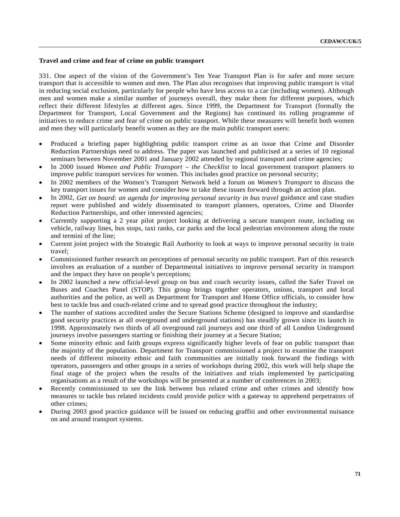# **Travel and crime and fear of crime on public transport**

331. One aspect of the vision of the Government's Ten Year Transport Plan is for safer and more secure transport that is accessible to women and men. The Plan also recognises that improving public transport is vital in reducing social exclusion, particularly for people who have less access to a car (including women). Although men and women make a similar number of journeys overall, they make them for different purposes, which reflect their different lifestyles at different ages. Since 1999, the Department for Transport (formally the Department for Transport, Local Government and the Regions) has continued its rolling programme of initiatives to reduce crime and fear of crime on public transport. While these measures will benefit both women and men they will particularly benefit women as they are the main public transport users:

- Produced a briefing paper highlighting public transport crime as an issue that Crime and Disorder Reduction Partnerships need to address. The paper was launched and publicised at a series of 10 regional seminars between November 2001 and January 2002 attended by regional transport and crime agencies;
- In 2000 issued *Women and Public Transport the Checklist* to local government transport planners to improve public transport services for women. This includes good practice on personal security;
- In 2002 members of the Women's Transport Network held a forum on *Women's Transport* to discuss the key transport issues for women and consider how to take these issues forward through an action plan.
- In 2002, *Get on board: an agenda for improving personal security in bus travel guidance and case studies* report were published and widely disseminated to transport planners, operators, Crime and Disorder Reduction Partnerships, and other interested agencies;
- Currently supporting a 2 year pilot project looking at delivering a secure transport route, including on vehicle, railway lines, bus stops, taxi ranks, car parks and the local pedestrian environment along the route and termini of the line;
- Current joint project with the Strategic Rail Authority to look at ways to improve personal security in train travel;
- Commissioned further research on perceptions of personal security on public transport. Part of this research involves an evaluation of a number of Departmental initiatives to improve personal security in transport and the impact they have on people's perceptions;
- In 2002 launched a new official-level group on bus and coach security issues, called the Safer Travel on Buses and Coaches Panel (STOP). This group brings together operators, unions, transport and local authorities and the police, as well as Department for Transport and Home Office officials, to consider how best to tackle bus and coach-related crime and to spread good practice throughout the industry;
- The number of stations accredited under the Secure Stations Scheme (designed to improve and standardise good security practices at all overground and underground stations) has steadily grown since its launch in 1998. Approximately two thirds of all overground rail journeys and one third of all London Underground journeys involve passengers starting or finishing their journey at a Secure Station;
- Some minority ethnic and faith groups express significantly higher levels of fear on public transport than the majority of the population. Department for Transport commissioned a project to examine the transport needs of different minority ethnic and faith communities are initially took forward the findings with operators, passengers and other groups in a series of workshops during 2002, this work will help shape the final stage of the project when the results of the initiatives and trials implemented by participating organisations as a result of the workshops will be presented at a number of conferences in 2003;
- Recently commissioned to see the link between bus related crime and other crimes and identify how measures to tackle bus related incidents could provide police with a gateway to apprehend perpetrators of other crimes;
- During 2003 good practice guidance will be issued on reducing graffiti and other environmental nuisance on and around transport systems.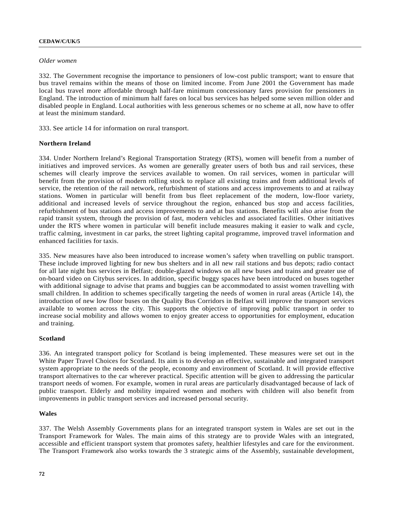### *Older women*

332. The Government recognise the importance to pensioners of low-cost public transport; want to ensure that bus travel remains within the means of those on limited income. From June 2001 the Government has made local bus travel more affordable through half-fare minimum concessionary fares provision for pensioners in England. The introduction of minimum half fares on local bus services has helped some seven million older and disabled people in England. Local authorities with less generous schemes or no scheme at all, now have to offer at least the minimum standard.

333. See article 14 for information on rural transport.

# **Northern Ireland**

334. Under Northern Ireland's Regional Transportation Strategy (RTS), women will benefit from a number of initiatives and improved services. As women are generally greater users of both bus and rail services, these schemes will clearly improve the services available to women. On rail services, women in particular will benefit from the provision of modern rolling stock to replace all existing trains and from additional levels of service, the retention of the rail network, refurbishment of stations and access improvements to and at railway stations. Women in particular will benefit from bus fleet replacement of the modern, low-floor variety, additional and increased levels of service throughout the region, enhanced bus stop and access facilities, refurbishment of bus stations and access improvements to and at bus stations. Benefits will also arise from the rapid transit system, through the provision of fast, modern vehicles and associated facilities. Other initiatives under the RTS where women in particular will benefit include measures making it easier to walk and cycle, traffic calming, investment in car parks, the street lighting capital programme, improved travel information and enhanced facilities for taxis.

335. New measures have also been introduced to increase women's safety when travelling on public transport. These include improved lighting for new bus shelters and in all new rail stations and bus depots; radio contact for all late night bus services in Belfast; double-glazed windows on all new buses and trains and greater use of on-board video on Citybus services. In addition, specific buggy spaces have been introduced on buses together with additional signage to advise that prams and buggies can be accommodated to assist women travelling with small children. In addition to schemes specifically targeting the needs of women in rural areas (Article 14), the introduction of new low floor buses on the Quality Bus Corridors in Belfast will improve the transport services available to women across the city. This supports the objective of improving public transport in order to increase social mobility and allows women to enjoy greater access to opportunities for employment, education and training.

# **Scotland**

336. An integrated transport policy for Scotland is being implemented. These measures were set out in the White Paper Travel Choices for Scotland. Its aim is to develop an effective, sustainable and integrated transport system appropriate to the needs of the people, economy and environment of Scotland. It will provide effective transport alternatives to the car wherever practical. Specific attention will be given to addressing the particular transport needs of women. For example, women in rural areas are particularly disadvantaged because of lack of public transport. Elderly and mobility impaired women and mothers with children will also benefit from improvements in public transport services and increased personal security.

# **Wales**

337. The Welsh Assembly Governments plans for an integrated transport system in Wales are set out in the Transport Framework for Wales. The main aims of this strategy are to provide Wales with an integrated, accessible and efficient transport system that promotes safety, healthier lifestyles and care for the environment. The Transport Framework also works towards the 3 strategic aims of the Assembly, sustainable development,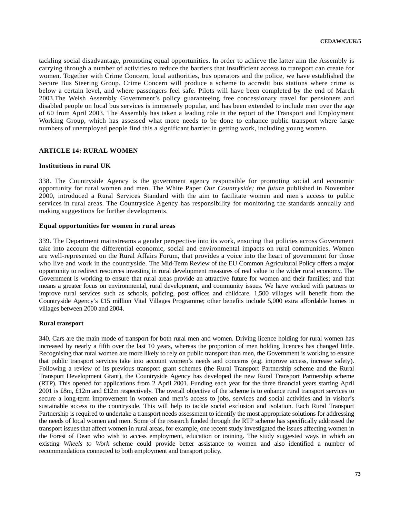tackling social disadvantage, promoting equal opportunities. In order to achieve the latter aim the Assembly is carrying through a number of activities to reduce the barriers that insufficient access to transport can create for women. Together with Crime Concern, local authorities, bus operators and the police, we have established the Secure Bus Steering Group. Crime Concern will produce a scheme to accredit bus stations where crime is below a certain level, and where passengers feel safe. Pilots will have been completed by the end of March 2003.The Welsh Assembly Government's policy guaranteeing free concessionary travel for pensioners and disabled people on local bus services is immensely popular, and has been extended to include men over the age of 60 from April 2003. The Assembly has taken a leading role in the report of the Transport and Employment Working Group, which has assessed what more needs to be done to enhance public transport where large numbers of unemployed people find this a significant barrier in getting work, including young women.

# **ARTICLE 14: RURAL WOMEN**

### **Institutions in rural UK**

338. The Countryside Agency is the government agency responsible for promoting social and economic opportunity for rural women and men. The White Paper *Our Countryside; the future* published in November 2000, introduced a Rural Services Standard with the aim to facilitate women and men's access to public services in rural areas. The Countryside Agency has responsibility for monitoring the standards annually and making suggestions for further developments.

# **Equal opportunities for women in rural areas**

339. The Department mainstreams a gender perspective into its work, ensuring that policies across Government take into account the differential economic, social and environmental impacts on rural communities. Women are well-represented on the Rural Affairs Forum, that provides a voice into the heart of government for those who live and work in the countryside. The Mid-Term Review of the EU Common Agricultural Policy offers a major opportunity to redirect resources investing in rural development measures of real value to the wider rural economy. The Government is working to ensure that rural areas provide an attractive future for women and their families; and that means a greater focus on environmental, rural development, and community issues. We have worked with partners to improve rural services such as schools, policing, post offices and childcare. 1,500 villages will benefit from the Countryside Agency's £15 million Vital Villages Programme; other benefits include 5,000 extra affordable homes in villages between 2000 and 2004.

### **Rural transport**

340. Cars are the main mode of transport for both rural men and women. Driving licence holding for rural women has increased by nearly a fifth over the last 10 years, whereas the proportion of men holding licences has changed little. Recognising that rural women are more likely to rely on public transport than men, the Government is working to ensure that public transport services take into account women's needs and concerns (e.g. improve access, increase safety). Following a review of its previous transport grant schemes (the Rural Transport Partnership scheme and the Rural Transport Development Grant), the Countryside Agency has developed the new Rural Transport Partnership scheme (RTP). This opened for applications from 2 April 2001. Funding each year for the three financial years starting April 2001 is £8m, £12m and £12m respectively. The overall objective of the scheme is to enhance rural transport services to secure a long-term improvement in women and men's access to jobs, services and social activities and in visitor's sustainable access to the countryside. This will help to tackle social exclusion and isolation. Each Rural Transport Partnership is required to undertake a transport needs assessment to identify the most appropriate solutions for addressing the needs of local women and men. Some of the research funded through the RTP scheme has specifically addressed the transport issues that affect women in rural areas, for example, one recent study investigated the issues affecting women in the Forest of Dean who wish to access employment, education or training. The study suggested ways in which an existing *Wheels to Work* scheme could provide better assistance to women and also identified a number of recommendations connected to both employment and transport policy.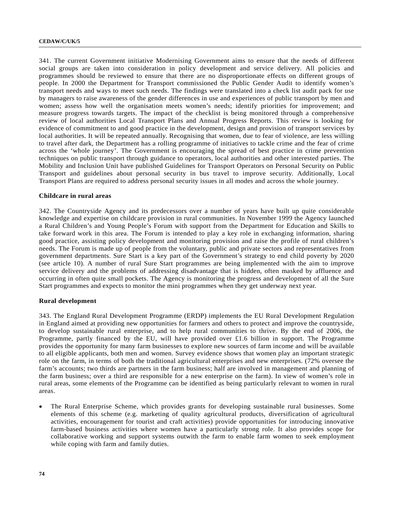341. The current Government initiative Modernising Government aims to ensure that the needs of different social groups are taken into consideration in policy development and service delivery. All policies and programmes should be reviewed to ensure that there are no disproportionate effects on different groups of people. In 2000 the Department for Transport commissioned the Public Gender Audit to identify women's transport needs and ways to meet such needs. The findings were translated into a check list audit pack for use by managers to raise awareness of the gender differences in use and experiences of public transport by men and women; assess how well the organisation meets women's needs; identify priorities for improvement; and measure progress towards targets. The impact of the checklist is being monitored through a comprehensive review of local authorities Local Transport Plans and Annual Progress Reports. This review is looking for evidence of commitment to and good practice in the development, design and provision of transport services by local authorities. It will be repeated annually. Recognising that women, due to fear of violence, are less willing to travel after dark, the Department has a rolling programme of initiatives to tackle crime and the fear of crime across the 'whole journey'. The Government is encouraging the spread of best practice in crime prevention techniques on public transport through guidance to operators, local authorities and other interested parties. The Mobility and Inclusion Unit have published Guidelines for Transport Operators on Personal Security on Public Transport and guidelines about personal security in bus travel to improve security. Additionally, Local Transport Plans are required to address personal security issues in all modes and across the whole journey.

#### **Childcare in rural areas**

342. The Countryside Agency and its predecessors over a number of years have built up quite considerable knowledge and expertise on childcare provision in rural communities. In November 1999 the Agency launched a Rural Children's and Young People's Forum with support from the Department for Education and Skills to take forward work in this area. The Forum is intended to play a key role in exchanging information, sharing good practice, assisting policy development and monitoring provision and raise the profile of rural children's needs. The Forum is made up of people from the voluntary, public and private sectors and representatives from government departments. Sure Start is a key part of the Government's strategy to end child poverty by 2020 (see article 10). A number of rural Sure Start programmes are being implemented with the aim to improve service delivery and the problems of addressing disadvantage that is hidden, often masked by affluence and occurring in often quite small pockets. The Agency is monitoring the progress and development of all the Sure Start programmes and expects to monitor the mini programmes when they get underway next year.

# **Rural development**

343. The England Rural Development Programme (ERDP) implements the EU Rural Development Regulation in England aimed at providing new opportunities for farmers and others to protect and improve the countryside, to develop sustainable rural enterprise, and to help rural communities to thrive. By the end of 2006, the Programme, partly financed by the EU, will have provided over £1.6 billion in support. The Programme provides the opportunity for many farm businesses to explore new sources of farm income and will be available to all eligible applicants, both men and women. Survey evidence shows that women play an important strategic role on the farm, in terms of both the traditional agricultural enterprises and new enterprises. (72% oversee the farm's accounts; two thirds are partners in the farm business; half are involved in management and planning of the farm business; over a third are responsible for a new enterprise on the farm). In view of women's role in rural areas, some elements of the Programme can be identified as being particularly relevant to women in rural areas.

• The Rural Enterprise Scheme, which provides grants for developing sustainable rural businesses. Some elements of this scheme (e.g. marketing of quality agricultural products, diversification of agricultural activities, encouragement for tourist and craft activities) provide opportunities for introducing innovative farm-based business activities where women have a particularly strong role. It also provides scope for collaborative working and support systems outwith the farm to enable farm women to seek employment while coping with farm and family duties.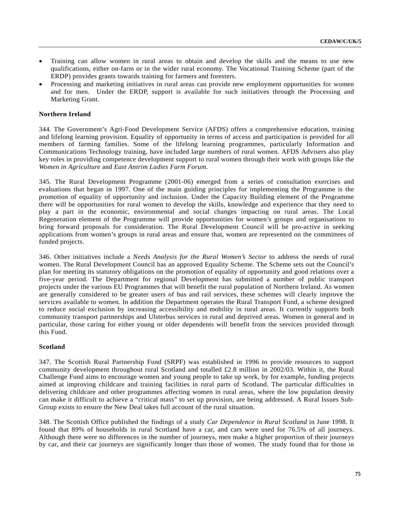- Training can allow women in rural areas to obtain and develop the skills and the means to use new qualifications, either on-farm or in the wider rural economy. The Vocational Training Scheme (part of the ERDP) provides grants towards training for farmers and foresters.
- Processing and marketing initiatives in rural areas can provide new employment opportunities for women and for men. Under the ERDP, support is available for such initiatives through the Processing and Marketing Grant.

# **Northern Ireland**

344. The Government's Agri-Food Development Service (AFDS) offers a comprehensive education, training and lifelong learning provision. Equality of opportunity in terms of access and participation is provided for all members of farming families. Some of the lifelong learning programmes, particularly Information and Communications Technology training, have included large numbers of rural women. AFDS Advisers also play key roles in providing competence development support to rural women through their work with groups like the *Women in Agriculture* and *East Antrim Ladies Farm Forum.*

345. The Rural Development Programme (2001-06) emerged from a series of consultation exercises and evaluations that began in 1997. One of the main guiding principles for implementing the Programme is the promotion of equality of opportunity and inclusion. Under the Capacity Building element of the Programme there will be opportunities for rural women to develop the skills, knowledge and experience that they need to play a part in the economic, environmental and social changes impacting on rural areas. The Local Regeneration element of the Programme will provide opportunities for women's groups and organisations to bring forward proposals for consideration. The Rural Development Council will be pro-active in seeking applications from women's groups in rural areas and ensure that, women are represented on the committees of funded projects.

346. Other initiatives include a *Needs Analysis for the Rural Women's Sector* to address the needs of rural women. The Rural Development Council has an approved Equality Scheme. The Scheme sets out the Council's plan for meeting its statutory obligations on the promotion of equality of opportunity and good relations over a five-year period. The Department for regional Development has submitted a number of public transport projects under the various EU Programmes that will benefit the rural population of Northern Ireland. As women are generally considered to be greater users of bus and rail services, these schemes will clearly improve the services available to women. In addition the Department operates the Rural Transport Fund, a scheme designed to reduce social exclusion by increasing accessibility and mobility in rural areas. It currently supports both community transport partnerships and Ulsterbus services in rural and deprived areas. Women in general and in particular, those caring for either young or older dependents will benefit from the services provided through this Fund.

# **Scotland**

347. The Scottish Rural Partnership Fund (SRPF) was established in 1996 to provide resources to support community development throughout rural Scotland and totalled £2.8 million in 2002/03. Within it, the Rural Challenge Fund aims to encourage women and young people to take up work, by for example, funding projects aimed at improving childcare and training facilities in rural parts of Scotland. The particular difficulties in delivering childcare and other programmes affecting women in rural areas, where the low population density can make it difficult to achieve a "critical mass" to set up provision, are being addressed. A Rural Issues Sub-Group exists to ensure the New Deal takes full account of the rural situation.

348. The Scottish Office published the findings of a study *Car Dependence in Rural Scotland* in June 1998. It found that 89% of households in rural Scotland have a car, and cars were used for 76.5% of all journeys. Although there were no differences in the number of journeys, men make a higher proportion of their journeys by car, and their car journeys are significantly longer than those of women. The study found that for those in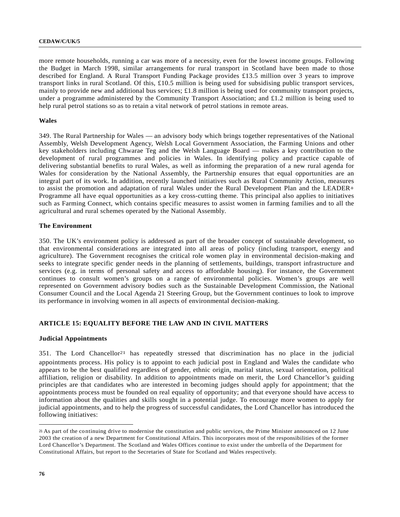more remote households, running a car was more of a necessity, even for the lowest income groups. Following the Budget in March 1998, similar arrangements for rural transport in Scotland have been made to those described for England. A Rural Transport Funding Package provides £13.5 million over 3 years to improve transport links in rural Scotland. Of this, £10.5 million is being used for subsidising public transport services, mainly to provide new and additional bus services; £1.8 million is being used for community transport projects, under a programme administered by the Community Transport Association; and  $\pounds$ 1.2 million is being used to help rural petrol stations so as to retain a vital network of petrol stations in remote areas.

#### **Wales**

349. The Rural Partnership for Wales — an advisory body which brings together representatives of the National Assembly, Welsh Development Agency, Welsh Local Government Association, the Farming Unions and other key stakeholders including Chwarae Teg and the Welsh Language Board — makes a key contribution to the development of rural programmes and policies in Wales. In identifying policy and practice capable of delivering substantial benefits to rural Wales, as well as informing the preparation of a new rural agenda for Wales for consideration by the National Assembly, the Partnership ensures that equal opportunities are an integral part of its work. In addition, recently launched initiatives such as Rural Community Action, measures to assist the promotion and adaptation of rural Wales under the Rural Development Plan and the LEADER+ Programme all have equal opportunities as a key cross-cutting theme. This principal also applies to initiatives such as Farming Connect, which contains specific measures to assist women in farming families and to all the agricultural and rural schemes operated by the National Assembly.

# **The Environment**

350. The UK's environment policy is addressed as part of the broader concept of sustainable development, so that environmental considerations are integrated into all areas of policy (including transport, energy and agriculture). The Government recognises the critical role women play in environmental decision-making and seeks to integrate specific gender needs in the planning of settlements, buildings, transport infrastructure and services (e.g. in terms of personal safety and access to affordable housing). For instance, the Government continues to consult women's groups on a range of environmental policies. Women's groups are well represented on Government advisory bodies such as the Sustainable Development Commission, the National Consumer Council and the Local Agenda 21 Steering Group, but the Government continues to look to improve its performance in involving women in all aspects of environmental decision-making.

# **ARTICLE 15: EQUALITY BEFORE THE LAW AND IN CIVIL MATTERS**

### **Judicial Appointments**

 $351.$  The Lord Chancellor<sup>21</sup> has repeatedly stressed that discrimination has no place in the judicial appointments process. His policy is to appoint to each judicial post in England and Wales the candidate who appears to be the best qualified regardless of gender, ethnic origin, marital status, sexual orientation, political affiliation, religion or disability. In addition to appointments made on merit, the Lord Chancellor's guiding principles are that candidates who are interested in becoming judges should apply for appointment; that the appointments process must be founded on real equality of opportunity; and that everyone should have access to information about the qualities and skills sought in a potential judge. To encourage more women to apply for judicial appointments, and to help the progress of successful candidates, the Lord Chancellor has introduced the following initiatives:

l

<sup>21</sup> As part of the continuing drive to modernise the constitution and public services, the Prime Minister announced on 12 June 2003 the creation of a new Department for Constitutional Affairs. This incorporates most of the responsibilities of the former Lord Chancellor's Department. The Scotland and Wales Offices continue to exist under the umbrella of the Department for Constitutional Affairs, but report to the Secretaries of State for Scotland and Wales respectively.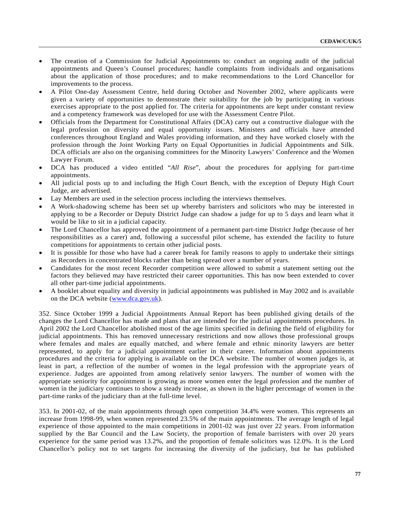- The creation of a Commission for Judicial Appointments to: conduct an ongoing audit of the judicial appointments and Queen's Counsel procedures; handle complaints from individuals and organisations about the application of those procedures; and to make recommendations to the Lord Chancellor for improvements to the process.
- A Pilot One-day Assessment Centre, held during October and November 2002, where applicants were given a variety of opportunities to demonstrate their suitability for the job by participating in various exercises appropriate to the post applied for. The criteria for appointments are kept under constant review and a competency framework was developed for use with the Assessment Centre Pilot.
- Officials from the Department for Constitutional Affairs (DCA) carry out a constructive dialogue with the legal profession on diversity and equal opportunity issues. Ministers and officials have attended conferences throughout England and Wales providing information, and they have worked closely with the profession through the Joint Working Party on Equal Opportunities in Judicial Appointments and Silk. DCA officials are also on the organising committees for the Minority Lawyers' Conference and the Women Lawyer Forum.
- DCA has produced a video entitled "*All Rise*", about the procedures for applying for part-time appointments.
- All judicial posts up to and including the High Court Bench, with the exception of Deputy High Court Judge, are advertised.
- Lay Members are used in the selection process including the interviews themselves.
- A Work-shadowing scheme has been set up whereby barristers and solicitors who may be interested in applying to be a Recorder or Deputy District Judge can shadow a judge for up to 5 days and learn what it would be like to sit in a judicial capacity.
- The Lord Chancellor has approved the appointment of a permanent part-time District Judge (because of her responsibilities as a carer) and, following a successful pilot scheme, has extended the facility to future competitions for appointments to certain other judicial posts.
- It is possible for those who have had a career break for family reasons to apply to undertake their sittings as Recorders in concentrated blocks rather than being spread over a number of years.
- Candidates for the most recent Recorder competition were allowed to submit a statement setting out the factors they believed may have restricted their career opportunities. This has now been extended to cover all other part-time judicial appointments.
- A booklet about equality and diversity in judicial appointments was published in May 2002 and is available on the DCA website (www.dca.gov.uk).

352. Since October 1999 a Judicial Appointments Annual Report has been published giving details of the changes the Lord Chancellor has made and plans that are intended for the judicial appointments procedures. In April 2002 the Lord Chancellor abolished most of the age limits specified in defining the field of eligibility for judicial appointments. This has removed unnecessary restrictions and now allows those professional groups where females and males are equally matched, and where female and ethnic minority lawyers are better represented, to apply for a judicial appointment earlier in their career. Information about appointments procedures and the criteria for applying is available on the DCA website. The number of women judges is, at least in part, a reflection of the number of women in the legal profession with the appropriate years of experience. Judges are appointed from among relatively senior lawyers. The number of women with the appropriate seniority for appointment is growing as more women enter the legal profession and the number of women in the judiciary continues to show a steady increase, as shown in the higher percentage of women in the part-time ranks of the judiciary than at the full-time level.

353. In 2001-02, of the main appointments through open competition 34.4% were women. This represents an increase from 1998-99, when women represented 23.5% of the main appointments. The average length of legal experience of those appointed to the main competitions in 2001-02 was just over 22 years. From information supplied by the Bar Council and the Law Society, the proportion of female barristers with over 20 years experience for the same period was 13.2%, and the proportion of female solicitors was 12.0%. It is the Lord Chancellor's policy not to set targets for increasing the diversity of the judiciary, but he has published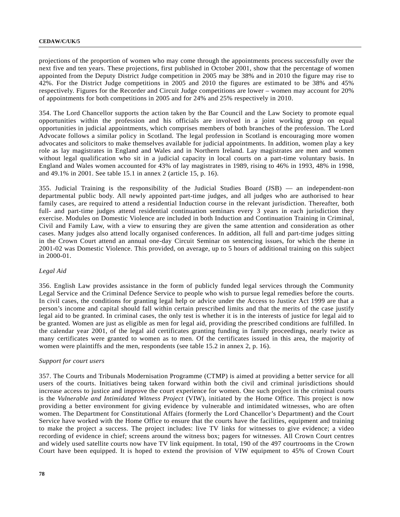#### **CEDAW/C/UK/5**

projections of the proportion of women who may come through the appointments process successfully over the next five and ten years. These projections, first published in October 2001, show that the percentage of women appointed from the Deputy District Judge competition in 2005 may be 38% and in 2010 the figure may rise to 42%. For the District Judge competitions in 2005 and 2010 the figures are estimated to be 38% and 45% respectively. Figures for the Recorder and Circuit Judge competitions are lower – women may account for 20% of appointments for both competitions in 2005 and for 24% and 25% respectively in 2010.

354. The Lord Chancellor supports the action taken by the Bar Council and the Law Society to promote equal opportunities within the profession and his officials are involved in a joint working group on equal opportunities in judicial appointments, which comprises members of both branches of the profession. The Lord Advocate follows a similar policy in Scotland. The legal profession in Scotland is encouraging more women advocates and solicitors to make themselves available for judicial appointments. In addition, women play a key role as lay magistrates in England and Wales and in Northern Ireland. Lay magistrates are men and women without legal qualification who sit in a judicial capacity in local courts on a part-time voluntary basis. In England and Wales women accounted for 43% of lay magistrates in 1989, rising to 46% in 1993, 48% in 1998, and 49.1% in 2001. See table 15.1 in annex 2 (article 15, p. 16).

355. Judicial Training is the responsibility of the Judicial Studies Board (JSB) — an independent-non departmental public body. All newly appointed part-time judges, and all judges who are authorised to hear family cases, are required to attend a residential Induction course in the relevant jurisdiction. Thereafter, both full- and part-time judges attend residential continuation seminars every 3 years in each jurisdiction they exercise. Modules on Domestic Violence are included in both Induction and Continuation Training in Criminal, Civil and Family Law, with a view to ensuring they are given the same attention and consideration as other cases. Many judges also attend locally organised conferences. In addition, all full and part-time judges sitting in the Crown Court attend an annual one-day Circuit Seminar on sentencing issues, for which the theme in 2001-02 was Domestic Violence. This provided, on average, up to 5 hours of additional training on this subject in 2000-01.

### *Legal Aid*

356. English Law provides assistance in the form of publicly funded legal services through the Community Legal Service and the Criminal Defence Service to people who wish to pursue legal remedies before the courts. In civil cases, the conditions for granting legal help or advice under the Access to Justice Act 1999 are that a person's income and capital should fall within certain prescribed limits and that the merits of the case justify legal aid to be granted. In criminal cases, the only test is whether it is in the interests of justice for legal aid to be granted. Women are just as eligible as men for legal aid, providing the prescribed conditions are fulfilled. In the calendar year 2001, of the legal aid certificates granting funding in family proceedings, nearly twice as many certificates were granted to women as to men. Of the certificates issued in this area, the majority of women were plaintiffs and the men, respondents (see table 15.2 in annex 2, p. 16).

#### *Support for court users*

357. The Courts and Tribunals Modernisation Programme (CTMP) is aimed at providing a better service for all users of the courts. Initiatives being taken forward within both the civil and criminal jurisdictions should increase access to justice and improve the court experience for women. One such project in the criminal courts is the *Vulnerable and Intimidated Witness Project* (VIW), initiated by the Home Office. This project is now providing a better environment for giving evidence by vulnerable and intimidated witnesses, who are often women. The Department for Constitutional Affairs (formerly the Lord Chancellor's Department) and the Court Service have worked with the Home Office to ensure that the courts have the facilities, equipment and training to make the project a success. The project includes: live TV links for witnesses to give evidence; a video recording of evidence in chief; screens around the witness box; pagers for witnesses. All Crown Court centres and widely used satellite courts now have TV link equipment. In total, 190 of the 497 courtrooms in the Crown Court have been equipped. It is hoped to extend the provision of VIW equipment to 45% of Crown Court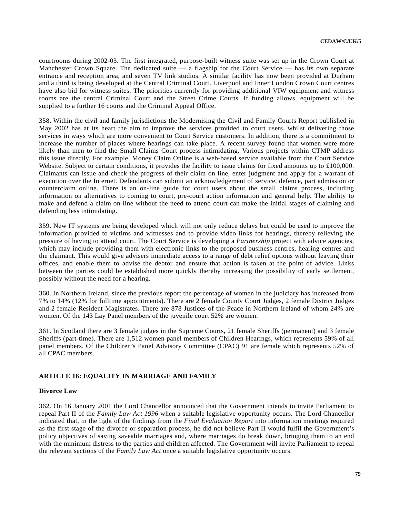courtrooms during 2002-03. The first integrated, purpose-built witness suite was set up in the Crown Court at Manchester Crown Square. The dedicated suite — a flagship for the Court Service — has its own separate entrance and reception area, and seven TV link studios. A similar facility has now been provided at Durham and a third is being developed at the Central Criminal Court. Liverpool and Inner London Crown Court centres have also bid for witness suites. The priorities currently for providing additional VIW equipment and witness rooms are the central Criminal Court and the Street Crime Courts. If funding allows, equipment will be supplied to a further 16 courts and the Criminal Appeal Office.

358. Within the civil and family jurisdictions the Modernising the Civil and Family Courts Report published in May 2002 has at its heart the aim to improve the services provided to court users, whilst delivering those services in ways which are more convenient to Court Service customers. In addition, there is a commitment to increase the number of places where hearings can take place. A recent survey found that women were more likely than men to find the Small Claims Court process intimidating. Various projects within CTMP address this issue directly. For example, Money Claim Online is a web-based service available from the Court Service Website. Subject to certain conditions, it provides the facility to issue claims for fixed amounts up to £100,000. Claimants can issue and check the progress of their claim on line, enter judgment and apply for a warrant of execution over the Internet. Defendants can submit an acknowledgement of service, defence, part admission or counterclaim online. There is an on-line guide for court users about the small claims process, including information on alternatives to coming to court, pre-court action information and general help. The ability to make and defend a claim on-line without the need to attend court can make the initial stages of claiming and defending less intimidating.

359. New IT systems are being developed which will not only reduce delays but could be used to improve the information provided to victims and witnesses and to provide video links for hearings, thereby relieving the pressure of having to attend court. The Court Service is developing a *Partnership* project with advice agencies, which may include providing them with electronic links to the proposed business centres, hearing centres and the claimant. This would give advisers immediate access to a range of debt relief options without leaving their offices, and enable them to advise the debtor and ensure that action is taken at the point of advice. Links between the parties could be established more quickly thereby increasing the possibility of early settlement, possibly without the need for a hearing.

360. In Northern Ireland, since the previous report the percentage of women in the judiciary has increased from 7% to 14% (12% for fulltime appointments). There are 2 female County Court Judges, 2 female District Judges and 2 female Resident Magistrates. There are 878 Justices of the Peace in Northern Ireland of whom 24% are women. Of the 143 Lay Panel members of the juvenile court 52% are women.

361. In Scotland there are 3 female judges in the Supreme Courts, 21 female Sheriffs (permanent) and 3 female Sheriffs (part-time). There are 1,512 women panel members of Children Hearings, which represents 59% of all panel members. Of the Children's Panel Advisory Committee (CPAC) 91 are female which represents 52% of all CPAC members.

# **ARTICLE 16: EQUALITY IN MARRIAGE AND FAMILY**

#### **Divorce Law**

362. On 16 January 2001 the Lord Chancellor announced that the Government intends to invite Parliament to repeal Part II of the *Family Law Act 1996* when a suitable legislative opportunity occurs. The Lord Chancellor indicated that, in the light of the findings from the *Final Evaluation Report* into information meetings required as the first stage of the divorce or separation process, he did not believe Part II would fulfil the Government's policy objectives of saving saveable marriages and, where marriages do break down, bringing them to an end with the minimum distress to the parties and children affected. The Government will invite Parliament to repeal the relevant sections of the *Family Law Act* once a suitable legislative opportunity occurs.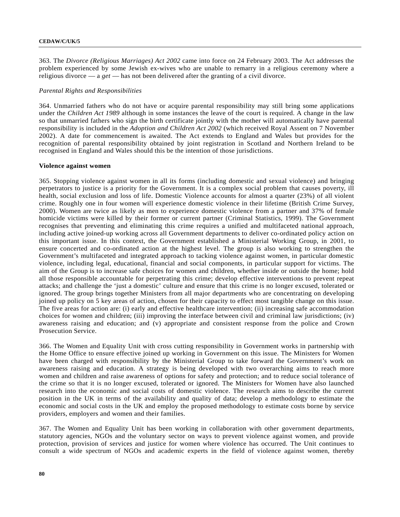363. The *Divorce (Religious Marriages) Act 2002* came into force on 24 February 2003. The Act addresses the problem experienced by some Jewish ex-wives who are unable to remarry in a religious ceremony where a religious divorce — a *get* — has not been delivered after the granting of a civil divorce.

#### *Parental Rights and Responsibilities*

364. Unmarried fathers who do not have or acquire parental responsibility may still bring some applications under the *Children Act 1989* although in some instances the leave of the court is required. A change in the law so that unmarried fathers who sign the birth certificate jointly with the mother will automatically have parental responsibility is included in the *Adoption and Children Act 2002* (which received Royal Assent on 7 November 2002). A date for commencement is awaited. The Act extends to England and Wales but provides for the recognition of parental responsibility obtained by joint registration in Scotland and Northern Ireland to be recognised in England and Wales should this be the intention of those jurisdictions.

# **Violence against women**

365. Stopping violence against women in all its forms (including domestic and sexual violence) and bringing perpetrators to justice is a priority for the Government. It is a complex social problem that causes poverty, ill health, social exclusion and loss of life. Domestic Violence accounts for almost a quarter (23%) of all violent crime. Roughly one in four women will experience domestic violence in their lifetime (British Crime Survey, 2000). Women are twice as likely as men to experience domestic violence from a partner and 37% of female homicide victims were killed by their former or current partner (Criminal Statistics, 1999). The Government recognises that preventing and eliminating this crime requires a unified and multifaceted national approach, including active joined-up working across all Government departments to deliver co-ordinated policy action on this important issue. In this context, the Government established a Ministerial Working Group, in 2001, to ensure concerted and co-ordinated action at the highest level. The group is also working to strengthen the Government's multifaceted and integrated approach to tacking violence against women, in particular domestic violence, including legal, educational, financial and social components, in particular support for victims. The aim of the Group is to increase safe choices for women and children, whether inside or outside the home; hold all those responsible accountable for perpetrating this crime; develop effective interventions to prevent repeat attacks; and challenge the 'just a domestic' culture and ensure that this crime is no longer excused, tolerated or ignored. The group brings together Ministers from all major departments who are concentrating on developing joined up policy on 5 key areas of action, chosen for their capacity to effect most tangible change on this issue. The five areas for action are: (i) early and effective healthcare intervention; (ii) increasing safe accommodation choices for women and children; (iii) improving the interface between civil and criminal law jurisdictions; (iv) awareness raising and education; and (v) appropriate and consistent response from the police and Crown Prosecution Service.

366. The Women and Equality Unit with cross cutting responsibility in Government works in partnership with the Home Office to ensure effective joined up working in Government on this issue. The Ministers for Women have been charged with responsibility by the Ministerial Group to take forward the Government's work on awareness raising and education. A strategy is being developed with two overarching aims to reach more women and children and raise awareness of options for safety and protection; and to reduce social tolerance of the crime so that it is no longer excused, tolerated or ignored. The Ministers for Women have also launched research into the economic and social costs of domestic violence. The research aims to describe the current position in the UK in terms of the availability and quality of data; develop a methodology to estimate the economic and social costs in the UK and employ the proposed methodology to estimate costs borne by service providers, employers and women and their families.

367. The Women and Equality Unit has been working in collaboration with other government departments, statutory agencies, NGOs and the voluntary sector on ways to prevent violence against women, and provide protection, provision of services and justice for women where violence has occurred. The Unit continues to consult a wide spectrum of NGOs and academic experts in the field of violence against women, thereby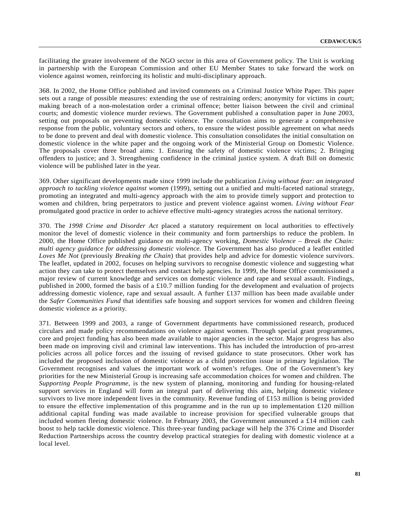facilitating the greater involvement of the NGO sector in this area of Government policy. The Unit is working in partnership with the European Commission and other EU Member States to take forward the work on violence against women, reinforcing its holistic and multi-disciplinary approach.

368. In 2002, the Home Office published and invited comments on a Criminal Justice White Paper. This paper sets out a range of possible measures: extending the use of restraining orders; anonymity for victims in court; making breach of a non-molestation order a criminal offence; better liaison between the civil and criminal courts; and domestic violence murder reviews. The Government published a consultation paper in June 2003, setting out proposals on preventing domestic violence. The consultation aims to generate a comprehensive response from the public, voluntary sectors and others, to ensure the widest possible agreement on what needs to be done to prevent and deal with domestic violence. This consultation consolidates the initial consultation on domestic violence in the white paper and the ongoing work of the Ministerial Group on Domestic Violence. The proposals cover three broad aims: 1. Ensuring the safety of domestic violence victims; 2. Bringing offenders to justice; and 3. Strengthening confidence in the criminal justice system. A draft Bill on domestic violence will be published later in the year.

369. Other significant developments made since 1999 include the publication *Living without fear: an integrated approach to tackling violence against women* (1999), setting out a unified and multi-faceted national strategy, promoting an integrated and multi-agency approach with the aim to provide timely support and protection to women and children, bring perpetrators to justice and prevent violence against women. *Living without Fear* promulgated good practice in order to achieve effective multi-agency strategies across the national territory.

370. The *1998 Crime and Disorder Act* placed a statutory requirement on local authorities to effectively monitor the level of domestic violence in their community and form partnerships to reduce the problem. In 2000, the Home Office published guidance on multi-agency working, *Domestic Violence – Break the Chain: multi agency guidance for addressing domestic violence.* The Government has also produced a leaflet entitled *Loves Me Not* (previously *Breaking the Chain*) that provides help and advice for domestic violence survivors. The leaflet, updated in 2002, focuses on helping survivors to recognise domestic violence and suggesting what action they can take to protect themselves and contact help agencies. In 1999, the Home Office commissioned a major review of current knowledge and services on domestic violence and rape and sexual assault. Findings, published in 2000, formed the basis of a £10.7 million funding for the development and evaluation of projects addressing domestic violence, rape and sexual assault. A further £137 million has been made available under the *Safer Communities Fund* that identifies safe housing and support services for women and children fleeing domestic violence as a priority.

371. Between 1999 and 2003, a range of Government departments have commissioned research, produced circulars and made policy recommendations on violence against women. Through special grant programmes, core and project funding has also been made available to major agencies in the sector. Major progress has also been made on improving civil and criminal law interventions. This has included the introduction of pro-arrest policies across all police forces and the issuing of revised guidance to state prosecutors. Other work has included the proposed inclusion of domestic violence as a child protection issue in primary legislation. The Government recognises and values the important work of women's refuges. One of the Government's key priorities for the new Ministerial Group is increasing safe accommodation choices for women and children. The *Supporting People Programme*, is the new system of planning, monitoring and funding for housing-related support services in England will form an integral part of delivering this aim, helping domestic violence survivors to live more independent lives in the community. Revenue funding of £153 million is being provided to ensure the effective implementation of this programme and in the run up to implementation £120 million additional capital funding was made available to increase provision for specified vulnerable groups that included women fleeing domestic violence. In February 2003, the Government announced a £14 million cash boost to help tackle domestic violence. This three-year funding package will help the 376 Crime and Disorder Reduction Partnerships across the country develop practical strategies for dealing with domestic violence at a local level.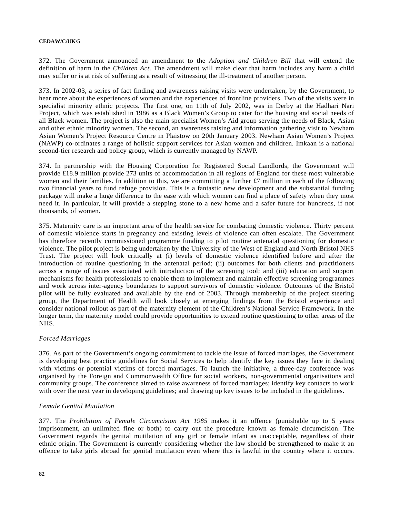372. The Government announced an amendment to the *Adoption and Children Bill* that will extend the definition of harm in the *Children Act*. The amendment will make clear that harm includes any harm a child may suffer or is at risk of suffering as a result of witnessing the ill-treatment of another person.

373. In 2002-03, a series of fact finding and awareness raising visits were undertaken, by the Government, to hear more about the experiences of women and the experiences of frontline providers. Two of the visits were in specialist minority ethnic projects. The first one, on 11th of July 2002, was in Derby at the Hadhari Nari Project, which was established in 1986 as a Black Women's Group to cater for the housing and social needs of all Black women. The project is also the main specialist Women's Aid group serving the needs of Black, Asian and other ethnic minority women. The second, an awareness raising and information gathering visit to Newham Asian Women's Project Resource Centre in Plaistow on 20th January 2003. Newham Asian Women's Project (NAWP) co-ordinates a range of holistic support services for Asian women and children. Imkaan is a national second-tier research and policy group, which is currently managed by NAWP.

374. In partnership with the Housing Corporation for Registered Social Landlords, the Government will provide £18.9 million provide 273 units of accommodation in all regions of England for these most vulnerable women and their families. In addition to this, we are committing a further £7 million in each of the following two financial years to fund refuge provision. This is a fantastic new development and the substantial funding package will make a huge difference to the ease with which women can find a place of safety when they most need it. In particular, it will provide a stepping stone to a new home and a safer future for hundreds, if not thousands, of women.

375. Maternity care is an important area of the health service for combating domestic violence. Thirty percent of domestic violence starts in pregnancy and existing levels of violence can often escalate. The Government has therefore recently commissioned programme funding to pilot routine antenatal questioning for domestic violence. The pilot project is being undertaken by the University of the West of England and North Bristol NHS Trust. The project will look critically at (i) levels of domestic violence identified before and after the introduction of routine questioning in the antenatal period; (ii) outcomes for both clients and practitioners across a range of issues associated with introduction of the screening tool; and (iii) education and support mechanisms for health professionals to enable them to implement and maintain effective screening programmes and work across inter-agency boundaries to support survivors of domestic violence. Outcomes of the Bristol pilot will be fully evaluated and available by the end of 2003. Through membership of the project steering group, the Department of Health will look closely at emerging findings from the Bristol experience and consider national rollout as part of the maternity element of the Children's National Service Framework. In the longer term, the maternity model could provide opportunities to extend routine questioning to other areas of the NHS.

# *Forced Marriages*

376. As part of the Government's ongoing commitment to tackle the issue of forced marriages, the Government is developing best practice guidelines for Social Services to help identify the key issues they face in dealing with victims or potential victims of forced marriages. To launch the initiative, a three-day conference was organised by the Foreign and Commonwealth Office for social workers, non-governmental organisations and community groups. The conference aimed to raise awareness of forced marriages; identify key contacts to work with over the next year in developing guidelines; and drawing up key issues to be included in the guidelines.

### *Female Genital Mutilation*

377. The *Prohibition of Female Circumcision Act 1985* makes it an offence (punishable up to 5 years imprisonment, an unlimited fine or both) to carry out the procedure known as female circumcision. The Government regards the genital mutilation of any girl or female infant as unacceptable, regardless of their ethnic origin. The Government is currently considering whether the law should be strengthened to make it an offence to take girls abroad for genital mutilation even where this is lawful in the country where it occurs.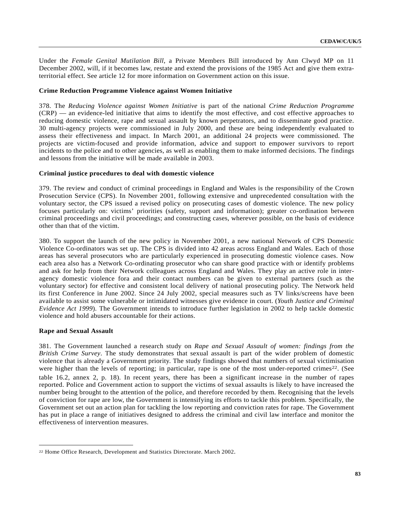Under the *Female Genital Mutilation Bill*, a Private Members Bill introduced by Ann Clwyd MP on 11 December 2002, will, if it becomes law, restate and extend the provisions of the 1985 Act and give them extraterritorial effect. See article 12 for more information on Government action on this issue.

#### **Crime Reduction Programme Violence against Women Initiative**

378. The *Reducing Violence against Women Initiative* is part of the national *Crime Reduction Programme* (CRP) — an evidence-led initiative that aims to identify the most effective, and cost effective approaches to reducing domestic violence, rape and sexual assault by known perpetrators, and to disseminate good practice. 30 multi-agency projects were commissioned in July 2000, and these are being independently evaluated to assess their effectiveness and impact. In March 2001, an additional 24 projects were commissioned. The projects are victim-focused and provide information, advice and support to empower survivors to report incidents to the police and to other agencies, as well as enabling them to make informed decisions. The findings and lessons from the initiative will be made available in 2003.

### **Criminal justice procedures to deal with domestic violence**

379. The review and conduct of criminal proceedings in England and Wales is the responsibility of the Crown Prosecution Service (CPS). In November 2001, following extensive and unprecedented consultation with the voluntary sector, the CPS issued a revised policy on prosecuting cases of domestic violence. The new policy focuses particularly on: victims' priorities (safety, support and information); greater co-ordination between criminal proceedings and civil proceedings; and constructing cases, wherever possible, on the basis of evidence other than that of the victim.

380. To support the launch of the new policy in November 2001, a new national Network of CPS Domestic Violence Co-ordinators was set up. The CPS is divided into 42 areas across England and Wales. Each of those areas has several prosecutors who are particularly experienced in prosecuting domestic violence cases. Now each area also has a Network Co-ordinating prosecutor who can share good practice with or identify problems and ask for help from their Network colleagues across England and Wales. They play an active role in interagency domestic violence fora and their contact numbers can be given to external partners (such as the voluntary sector) for effective and consistent local delivery of national prosecuting policy. The Network held its first Conference in June 2002. Since 24 July 2002, special measures such as TV links/screens have been available to assist some vulnerable or intimidated witnesses give evidence in court. (*Youth Justice and Criminal Evidence Act 1999*). The Government intends to introduce further legislation in 2002 to help tackle domestic violence and hold abusers accountable for their actions.

# **Rape and Sexual Assault**

l

381. The Government launched a research study on *Rape and Sexual Assault of women: findings from the British Crime Survey*. The study demonstrates that sexual assault is part of the wider problem of domestic violence that is already a Government priority. The study findings showed that numbers of sexual victimisation were higher than the levels of reporting; in particular, rape is one of the most under-reported crimes<sup>22</sup>. (See table 16.2, annex 2, p. 18). In recent years, there has been a significant increase in the number of rapes reported. Police and Government action to support the victims of sexual assaults is likely to have increased the number being brought to the attention of the police, and therefore recorded by them. Recognising that the levels of conviction for rape are low, the Government is intensifying its efforts to tackle this problem. Specifically, the Government set out an action plan for tackling the low reporting and conviction rates for rape. The Government has put in place a range of initiatives designed to address the criminal and civil law interface and monitor the effectiveness of intervention measures.

<sup>22</sup> Home Office Research, Development and Statistics Directorate. March 2002.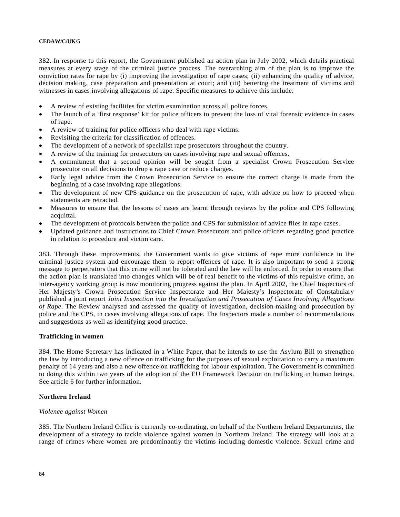382. In response to this report, the Government published an action plan in July 2002, which details practical measures at every stage of the criminal justice process. The overarching aim of the plan is to improve the conviction rates for rape by (i) improving the investigation of rape cases; (ii) enhancing the quality of advice, decision making, case preparation and presentation at court; and (iii) bettering the treatment of victims and witnesses in cases involving allegations of rape. Specific measures to achieve this include:

- A review of existing facilities for victim examination across all police forces.
- The launch of a 'first response' kit for police officers to prevent the loss of vital forensic evidence in cases of rape.
- A review of training for police officers who deal with rape victims.
- Revisiting the criteria for classification of offences.
- The development of a network of specialist rape prosecutors throughout the country.
- A review of the training for prosecutors on cases involving rape and sexual offences.
- A commitment that a second opinion will be sought from a specialist Crown Prosecution Service prosecutor on all decisions to drop a rape case or reduce charges.
- Early legal advice from the Crown Prosecution Service to ensure the correct charge is made from the beginning of a case involving rape allegations.
- The development of new CPS guidance on the prosecution of rape, with advice on how to proceed when statements are retracted.
- Measures to ensure that the lessons of cases are learnt through reviews by the police and CPS following acquittal.
- The development of protocols between the police and CPS for submission of advice files in rape cases.
- Updated guidance and instructions to Chief Crown Prosecutors and police officers regarding good practice in relation to procedure and victim care.

383. Through these improvements, the Government wants to give victims of rape more confidence in the criminal justice system and encourage them to report offences of rape. It is also important to send a strong message to perpetrators that this crime will not be tolerated and the law will be enforced. In order to ensure that the action plan is translated into changes which will be of real benefit to the victims of this repulsive crime, an inter-agency working group is now monitoring progress against the plan. In April 2002, the Chief Inspectors of Her Majesty's Crown Prosecution Service Inspectorate and Her Majesty's Inspectorate of Constabulary published a joint report *Joint Inspection into the Investigation and Prosecution of Cases Involving Allegations of Rape*. The Review analysed and assessed the quality of investigation, decision-making and prosecution by police and the CPS, in cases involving allegations of rape. The Inspectors made a number of recommendations and suggestions as well as identifying good practice.

### **Trafficking in women**

384. The Home Secretary has indicated in a White Paper, that he intends to use the Asylum Bill to strengthen the law by introducing a new offence on trafficking for the purposes of sexual exploitation to carry a maximum penalty of 14 years and also a new offence on trafficking for labour exploitation. The Government is committed to doing this within two years of the adoption of the EU Framework Decision on trafficking in human beings. See article 6 for further information.

#### **Northern Ireland**

#### *Violence against Women*

385. The Northern Ireland Office is currently co-ordinating, on behalf of the Northern Ireland Departments, the development of a strategy to tackle violence against women in Northern Ireland. The strategy will look at a range of crimes where women are predominantly the victims including domestic violence. Sexual crime and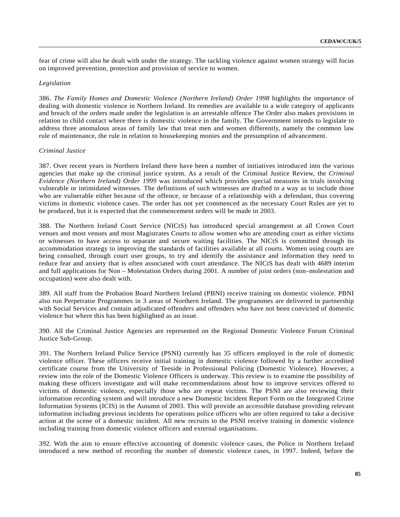fear of crime will also be dealt with under the strategy. The tackling violence against women strategy will focus on improved prevention, protection and provision of service to women.

### *Legislation*

386. *The Family Homes and Domestic Violence (Northern Ireland) Order 1998* highlights the importance of dealing with domestic violence in Northern Ireland. Its remedies are available to a wide category of applicants and breach of the orders made under the legislation is an arrestable offence The Order also makes provisions in relation to child contact where there is domestic violence in the family. The Government intends to legislate to address three anomalous areas of family law that treat men and women differently, namely the common law rule of maintenance, the rule in relation to housekeeping monies and the presumption of advancement.

# *Criminal Justice*

387. Over recent years in Northern Ireland there have been a number of initiatives introduced into the various agencies that make up the criminal justice system. As a result of the Criminal Justice Review, the *Criminal Evidence (Northern Ireland) Order 1999* was introduced which provides special measures in trials involving vulnerable or intimidated witnesses. The definitions of such witnesses are drafted in a way as to include those who are vulnerable either because of the offence, or because of a relationship with a defendant, thus covering victims in domestic violence cases. The order has not yet commenced as the necessary Court Rules are yet to be produced, but it is expected that the commencement orders will be made in 2003.

388. The Northern Ireland Court Service (NICtS) has introduced special arrangement at all Crown Court venues and most venues and most Magistrates Courts to allow women who are attending court as either victims or witnesses to have access to separate and secure waiting facilities. The NICtS is committed through its accommodation strategy to improving the standards of facilities available at all courts. Women using courts are being consulted, through court user groups, to try and identify the assistance and information they need to reduce fear and anxiety that is often associated with court attendance. The NICtS has dealt with 4689 interim and full applications for Non – Molestation Orders during 2001. A number of joint orders (non–molestation and occupation) were also dealt with.

389. All staff from the Probation Board Northern Ireland (PBNI) receive training on domestic violence. PBNI also run Perpetrator Programmes in 3 areas of Northern Ireland. The programmes are delivered in partnership with Social Services and contain adjudicated offenders and offenders who have not been convicted of domestic violence but where this has been highlighted as an issue.

390. All the Criminal Justice Agencies are represented on the Regional Domestic Violence Forum Criminal Justice Sub-Group.

391. The Northern Ireland Police Service (PSNI) currently has 35 officers employed in the role of domestic violence officer. These officers receive initial training in domestic violence followed by a further accredited certificate course from the University of Teeside in Professional Policing (Domestic Violence). However, a review into the role of the Domestic Violence Officers is underway. This review is to examine the possibility of making these officers investigate and will make recommendations about how to improve services offered to victims of domestic violence, especially those who are repeat victims. The PSNI are also reviewing their information recording system and will introduce a new Domestic Incident Report Form on the Integrated Crime Information Systems (ICIS) in the Autumn of 2003. This will provide an accessible database providing relevant information including previous incidents for operations police officers who are often required to take a decisive action at the scene of a domestic incident. All new recruits to the PSNI receive training in domestic violence including training from domestic violence officers and external organisations.

392. With the aim to ensure effective accounting of domestic violence cases, the Police in Northern Ireland introduced a new method of recording the number of domestic violence cases, in 1997. Indeed, before the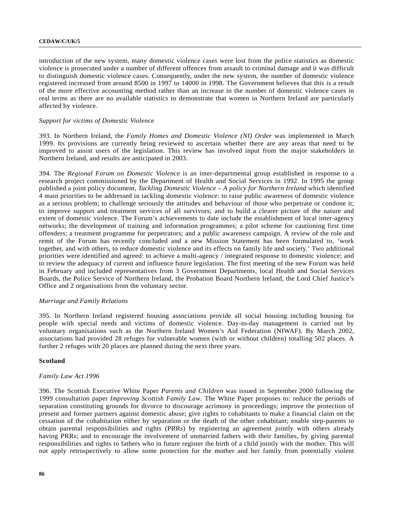#### **CEDAW/C/UK/5**

introduction of the new system, many domestic violence cases were lost from the police statistics as domestic violence is prosecuted under a number of different offences from assault to criminal damage and it was difficult to distinguish domestic violence cases. Consequently, under the new system, the number of domestic violence registered increased from around 8500 in 1997 to 14000 in 1998. The Government believes that this is a result of the more effective accounting method rather than an increase in the number of domestic violence cases in real terms as there are no available statistics to demonstrate that women in Northern Ireland are particularly affected by violence.

### *Support for victims of Domestic Violence*

393. In Northern Ireland, the *Family Homes and Domestic Violence (NI) Order* was implemented in March 1999. Its provisions are currently being reviewed to ascertain whether there are any areas that need to be improved to assist users of the legislation. This review has involved input from the major stakeholders in Northern Ireland, and results are anticipated in 2003.

394. The *Regional Forum on Domestic Violence* is an inter-departmental group established in response to a research project commissioned by the Department of Health and Social Services in 1992. In 1995 the group published a joint policy document, *Tackling Domestic Violence – A policy for Northern Ireland* which identified 4 main priorities to be addressed in tackling domestic violence: to raise public awareness of domestic violence as a serious problem; to challenge seriously the attitudes and behaviour of those who perpetrate or condone it; to improve support and treatment services of all survivors; and to build a clearer picture of the nature and extent of domestic violence. The Forum's achievements to date include the establishment of local inter-agency networks; the development of training and information programmes; a pilot scheme for cautioning first time offenders; a treatment programme for perpetrators; and a public awareness campaign. A review of the role and remit of the Forum has recently concluded and a new Mission Statement has been formulated to, 'work together, and with others, to reduce domestic violence and its effects on family life and society.' Two additional priorities were identified and agreed: to achieve a multi-agency / integrated response to domestic violence; and to review the adequacy of current and influence future legislation. The first meeting of the new Forum was held in February and included representatives from 3 Government Departments, local Health and Social Services Boards, the Police Service of Northern Ireland, the Probation Board Northern Ireland, the Lord Chief Justice's Office and 2 organisations from the voluntary sector.

#### *Marriage and Family Relations*

395. In Northern Ireland registered housing associations provide all social housing including housing for people with special needs and victims of domestic violence. Day-to-day management is carried out by voluntary organisations such as the Northern Ireland Women's Aid Federation (NIWAF). By March 2002, associations had provided 28 refuges for vulnerable women (with or without children) totalling 502 places. A further 2 refuges with 20 places are planned during the next three years.

### **Scotland**

#### *Family Law Act 1996*

396. The Scottish Executive White Paper *Parents and Children* was issued in September 2000 following the 1999 consultation paper *Improving Scottish Family Law*. The White Paper proposes to: reduce the periods of separation constituting grounds for divorce to discourage acrimony in proceedings; improve the protection of present and former partners against domestic abuse; give rights to cohabitants to make a financial claim on the cessation of the cohabitation either by separation or the death of the other cohabitant; enable step-parents to obtain parental responsibilities and rights (PRRs) by registering an agreement jointly with others already having PRRs; and to encourage the involvement of unmarried fathers with their families, by giving parental responsibilities and rights to fathers who in future register the birth of a child jointly with the mother. This will not apply retrospectively to allow some protection for the mother and her family from potentially violent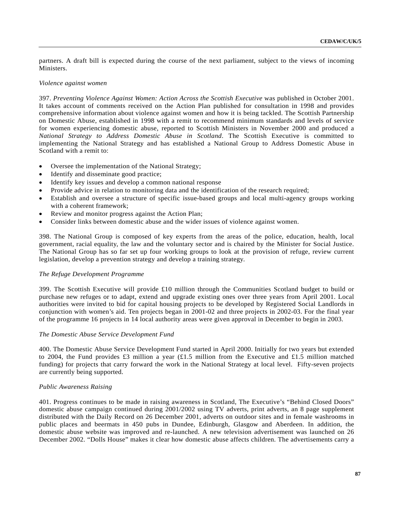partners. A draft bill is expected during the course of the next parliament, subject to the views of incoming Ministers.

### *Violence against women*

397. *Preventing Violence Against Women: Action Across the Scottish Executive* was published in October 2001. It takes account of comments received on the Action Plan published for consultation in 1998 and provides comprehensive information about violence against women and how it is being tackled. The Scottish Partnership on Domestic Abuse, established in 1998 with a remit to recommend minimum standards and levels of service for women experiencing domestic abuse, reported to Scottish Ministers in November 2000 and produced a *National Strategy to Address Domestic Abuse in Scotland*. The Scottish Executive is committed to implementing the National Strategy and has established a National Group to Address Domestic Abuse in Scotland with a remit to:

- Oversee the implementation of the National Strategy;
- Identify and disseminate good practice;
- Identify key issues and develop a common national response
- Provide advice in relation to monitoring data and the identification of the research required;
- Establish and oversee a structure of specific issue-based groups and local multi-agency groups working with a coherent framework;
- Review and monitor progress against the Action Plan;
- Consider links between domestic abuse and the wider issues of violence against women.

398. The National Group is composed of key experts from the areas of the police, education, health, local government, racial equality, the law and the voluntary sector and is chaired by the Minister for Social Justice. The National Group has so far set up four working groups to look at the provision of refuge, review current legislation, develop a prevention strategy and develop a training strategy.

### *The Refuge Development Programme*

399. The Scottish Executive will provide £10 million through the Communities Scotland budget to build or purchase new refuges or to adapt, extend and upgrade existing ones over three years from April 2001. Local authorities were invited to bid for capital housing projects to be developed by Registered Social Landlords in conjunction with women's aid. Ten projects began in 2001-02 and three projects in 2002-03. For the final year of the programme 16 projects in 14 local authority areas were given approval in December to begin in 2003.

### *The Domestic Abuse Service Development Fund*

400. The Domestic Abuse Service Development Fund started in April 2000. Initially for two years but extended to 2004, the Fund provides £3 million a year (£1.5 million from the Executive and £1.5 million matched funding) for projects that carry forward the work in the National Strategy at local level. Fifty-seven projects are currently being supported.

### *Public Awareness Raising*

401. Progress continues to be made in raising awareness in Scotland, The Executive's "Behind Closed Doors" domestic abuse campaign continued during 2001/2002 using TV adverts, print adverts, an 8 page supplement distributed with the Daily Record on 26 December 2001, adverts on outdoor sites and in female washrooms in public places and beermats in 450 pubs in Dundee, Edinburgh, Glasgow and Aberdeen. In addition, the domestic abuse website was improved and re-launched. A new television advertisement was launched on 26 December 2002. "Dolls House" makes it clear how domestic abuse affects children. The advertisements carry a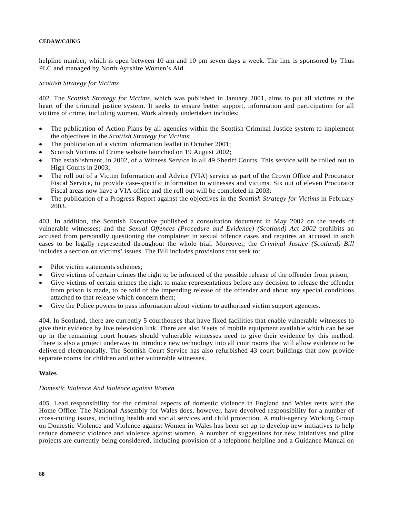helpline number, which is open between 10 am and 10 pm seven days a week. The line is sponsored by Thus PLC and managed by North Ayrshire Women's Aid.

### *Scottish Strategy for Victims*

402. The *Scottish Strategy for Victims*, which was published in January 2001, aims to put all victims at the heart of the criminal justice system. It seeks to ensure better support, information and participation for all victims of crime, including women. Work already undertaken includes:

- The publication of Action Plans by all agencies within the Scottish Criminal Justice system to implement the objectives in the *Scottish Strategy for Victims*;
- The publication of a victim information leaflet in October 2001;
- Scottish Victims of Crime website launched on 19 August 2002;
- The establishment, in 2002, of a Witness Service in all 49 Sheriff Courts. This service will be rolled out to High Courts in 2003;
- The roll out of a Victim Information and Advice (VIA) service as part of the Crown Office and Procurator Fiscal Service, to provide case-specific information to witnesses and victims. Six out of eleven Procurator Fiscal areas now have a VIA office and the roll out will be completed in 2003;
- The publication of a Progress Report against the objectives in the *Scottish Strategy for Victims* in February 2003.

403. In addition, the Scottish Executive published a consultation document in May 2002 on the needs of vulnerable witnesses; and the *Sexual Offences (Procedure and Evidence) (Scotland) Act 2002* prohibits an accused from personally questioning the complainer in sexual offence cases and requires an accused in such cases to be legally represented throughout the whole trial. Moreover, the *Criminal Justice (Scotland) Bill* includes a section on victims' issues. The Bill includes provisions that seek to:

- Pilot victim statements schemes:
- Give victims of certain crimes the right to be informed of the possible release of the offender from prison;
- Give victims of certain crimes the right to make representations before any decision to release the offender from prison is made, to be told of the impending release of the offender and about any special conditions attached to that release which concern them;
- Give the Police powers to pass information about victims to authorised victim support agencies.

404. In Scotland, there are currently 5 courthouses that have fixed facilities that enable vulnerable witnesses to give their evidence by live television link. There are also 9 sets of mobile equipment available which can be set up in the remaining court houses should vulnerable witnesses need to give their evidence by this method. There is also a project underway to introduce new technology into all courtrooms that will allow evidence to be delivered electronically. The Scottish Court Service has also refurbished 43 court buildings that now provide separate rooms for children and other vulnerable witnesses.

#### **Wales**

# *Domestic Violence And Violence against Women*

405. Lead responsibility for the criminal aspects of domestic violence in England and Wales rests with the Home Office. The National Assembly for Wales does, however, have devolved responsibility for a number of cross-cutting issues, including health and social services and child protection. A multi-agency Working Group on Domestic Violence and Violence against Women in Wales has been set up to develop new initiatives to help reduce domestic violence and violence against women. A number of suggestions for new initiatives and pilot projects are currently being considered, including provision of a telephone helpline and a Guidance Manual on